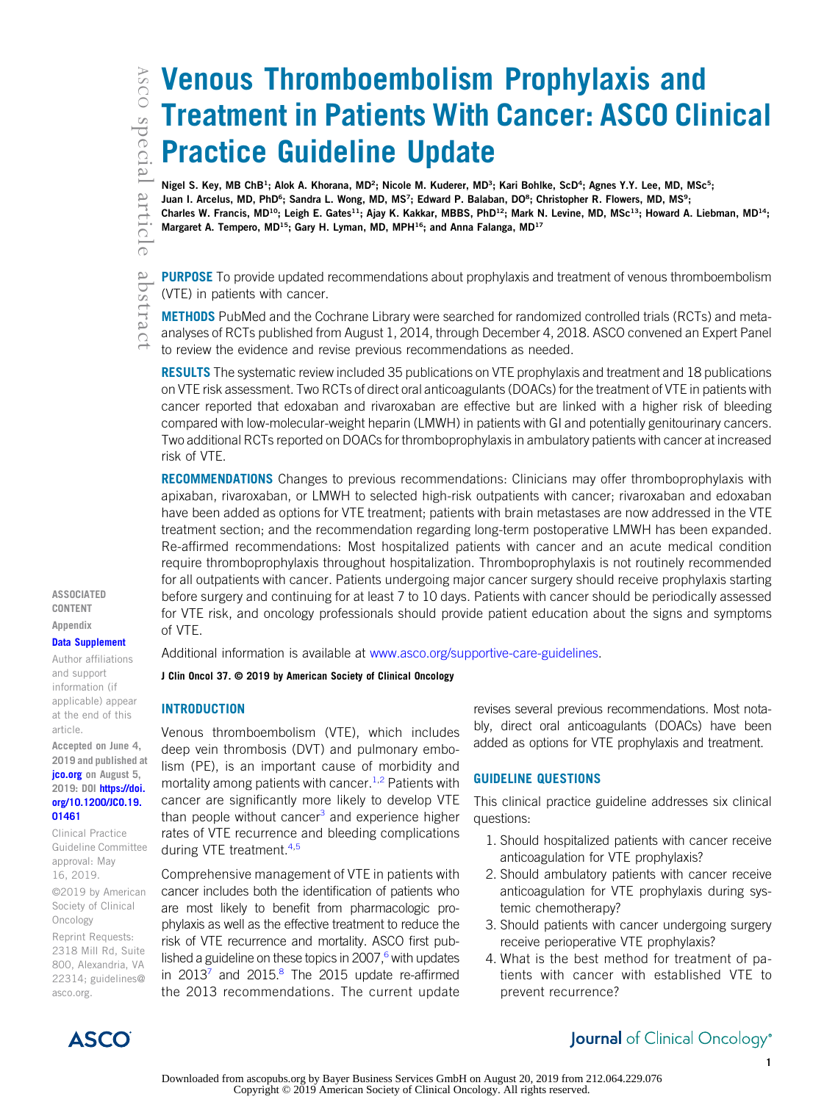# Venous Thromboembolism Prophylaxis and Treatment in Patients With Cancer: ASCO Clinical Practice Guideline Update

Nigel S. Key, MB ChB<sup>1</sup>; Alok A. Khorana, MD<sup>2</sup>; Nicole M. Kuderer, MD<sup>3</sup>; Kari Bohlke, ScD<sup>4</sup>; Agnes Y.Y. Lee, MD, MSc<sup>5</sup>; Juan I. Arcelus, MD, PhD<sup>6</sup>; Sandra L. Wong, MD, MS<sup>7</sup>; Edward P. Balaban, DO<sup>8</sup>; Christopher R. Flowers, MD, MS<sup>9</sup>; Charles W. Francis, MD<sup>10</sup>; Leigh E. Gates<sup>11</sup>; Ajay K. Kakkar, MBBS, PhD<sup>12</sup>; Mark N. Levine, MD, MSc<sup>13</sup>; Howard A. Liebman, MD<sup>14</sup>; Margaret A. Tempero, MD<sup>15</sup>; Gary H. Lyman, MD, MPH<sup>16</sup>; and Anna Falanga, MD<sup>17</sup>

**PURPOSE** To provide updated recommendations about prophylaxis and treatment of venous thromboembolism (VTE) in patients with cancer.

METHODS PubMed and the Cochrane Library were searched for randomized controlled trials (RCTs) and metaanalyses of RCTs published from August 1, 2014, through December 4, 2018. ASCO convened an Expert Panel to review the evidence and revise previous recommendations as needed.

RESULTS The systematic review included 35 publications on VTE prophylaxis and treatment and 18 publications on VTE risk assessment. Two RCTs of direct oral anticoagulants (DOACs) for the treatment of VTE in patients with cancer reported that edoxaban and rivaroxaban are effective but are linked with a higher risk of bleeding compared with low-molecular-weight heparin (LMWH) in patients with GI and potentially genitourinary cancers. Two additional RCTs reported on DOACs for thromboprophylaxis in ambulatory patients with cancer at increased risk of VTE.

RECOMMENDATIONS Changes to previous recommendations: Clinicians may offer thromboprophylaxis with apixaban, rivaroxaban, or LMWH to selected high-risk outpatients with cancer; rivaroxaban and edoxaban have been added as options for VTE treatment; patients with brain metastases are now addressed in the VTE treatment section; and the recommendation regarding long-term postoperative LMWH has been expanded. Re-affirmed recommendations: Most hospitalized patients with cancer and an acute medical condition require thromboprophylaxis throughout hospitalization. Thromboprophylaxis is not routinely recommended for all outpatients with cancer. Patients undergoing major cancer surgery should receive prophylaxis starting before surgery and continuing for at least 7 to 10 days. Patients with cancer should be periodically assessed for VTE risk, and oncology professionals should provide patient education about the signs and symptoms of VTE.

ASSOCIATED CONTENT Appendix

### [Data Supplement](https://ascopubs.org/doi/suppl/10.1200/JCO.19.01461)

Author affiliations and support information (if applicable) appear at the end of this article.

Accepted on June 4, 2019 and published at [jco.org](http://jco.org) on August 5, 2019: DOI [https://doi.](http://ascopubs.org/doi/full/10.1200/JCO.19.01461) [org/10.1200/JCO.19.](http://ascopubs.org/doi/full/10.1200/JCO.19.01461) [01461](http://ascopubs.org/doi/full/10.1200/JCO.19.01461)

Clinical Practice Guideline Committee approval: May 16, 2019. ©2019 by American Society of Clinical Oncology Reprint Requests: 2318 Mill Rd, Suite 800, Alexandria, VA 22314; guidelines@ asco.org.

Additional information is available at [www.asco.org/supportive-care-guidelines.](www.asco.org/supportive-care-guidelines)

J Clin Oncol 37. © 2019 by American Society of Clinical Oncology

### INTRODUCTION

Venous thromboembolism (VTE), which includes deep vein thrombosis (DVT) and pulmonary embolism (PE), is an important cause of morbidity and mortality among patients with cancer.<sup>[1,2](#page-20-0)</sup> Patients with cancer are significantly more likely to develop VTE than people without cancer<sup>[3](#page-20-0)</sup> and experience higher rates of VTE recurrence and bleeding complications during VTE treatment.[4](#page-20-0),[5](#page-20-0)

Comprehensive management of VTE in patients with cancer includes both the identification of patients who are most likely to benefit from pharmacologic prophylaxis as well as the effective treatment to reduce the risk of VTE recurrence and mortality. ASCO first published a guideline on these topics in  $2007<sup>6</sup>$  $2007<sup>6</sup>$  $2007<sup>6</sup>$  with updates in  $2013<sup>7</sup>$  and  $2015<sup>8</sup>$ . The 2015 update re-affirmed the 2013 recommendations. The current update

revises several previous recommendations. Most notably, direct oral anticoagulants (DOACs) have been added as options for VTE prophylaxis and treatment.

# GUIDELINE QUESTIONS

This clinical practice guideline addresses six clinical questions:

- 1. Should hospitalized patients with cancer receive anticoagulation for VTE prophylaxis?
- 2. Should ambulatory patients with cancer receive anticoagulation for VTE prophylaxis during systemic chemotherapy?
- 3. Should patients with cancer undergoing surgery receive perioperative VTE prophylaxis?
- 4. What is the best method for treatment of patients with cancer with established VTE to prevent recurrence?



# **Journal** of Clinical Oncology®

Downloaded from ascopubs.org by Bayer Business Services GmbH on August 20, 2019 from 212.064.229.076 Copyright © 2019 American Society of Clinical Oncology. All rights reserved.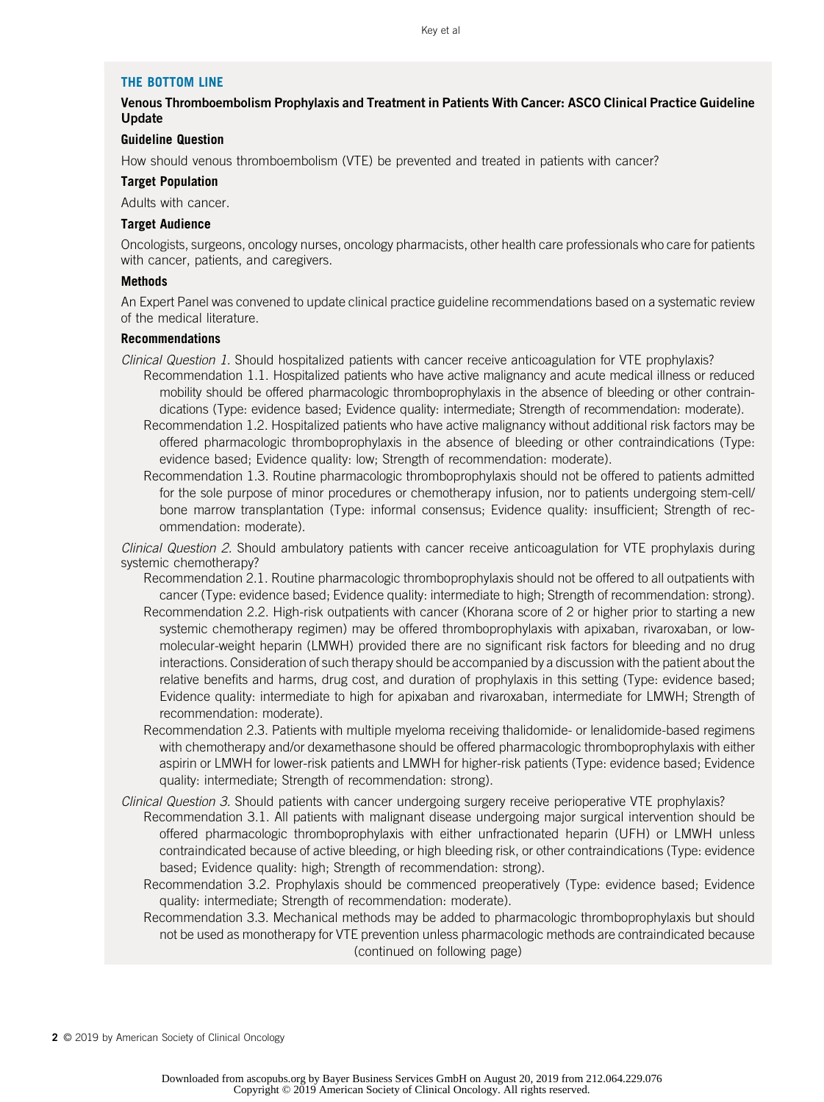#### THE BOTTOM LINE

# Venous Thromboembolism Prophylaxis and Treatment in Patients With Cancer: ASCO Clinical Practice Guideline Update

### Guideline Question

How should venous thromboembolism (VTE) be prevented and treated in patients with cancer?

# Target Population

Adults with cancer.

### Target Audience

Oncologists, surgeons, oncology nurses, oncology pharmacists, other health care professionals who care for patients with cancer, patients, and caregivers.

### **Methods**

An Expert Panel was convened to update clinical practice guideline recommendations based on a systematic review of the medical literature.

# Recommendations

- Clinical Question 1. Should hospitalized patients with cancer receive anticoagulation for VTE prophylaxis? Recommendation 1.1. Hospitalized patients who have active malignancy and acute medical illness or reduced mobility should be offered pharmacologic thromboprophylaxis in the absence of bleeding or other contraindications (Type: evidence based; Evidence quality: intermediate; Strength of recommendation: moderate).
	- Recommendation 1.2. Hospitalized patients who have active malignancy without additional risk factors may be offered pharmacologic thromboprophylaxis in the absence of bleeding or other contraindications (Type: evidence based; Evidence quality: low; Strength of recommendation: moderate).
	- Recommendation 1.3. Routine pharmacologic thromboprophylaxis should not be offered to patients admitted for the sole purpose of minor procedures or chemotherapy infusion, nor to patients undergoing stem-cell/ bone marrow transplantation (Type: informal consensus; Evidence quality: insufficient; Strength of recommendation: moderate).

Clinical Question 2. Should ambulatory patients with cancer receive anticoagulation for VTE prophylaxis during systemic chemotherapy?

- Recommendation 2.1. Routine pharmacologic thromboprophylaxis should not be offered to all outpatients with cancer (Type: evidence based; Evidence quality: intermediate to high; Strength of recommendation: strong). Recommendation 2.2. High-risk outpatients with cancer (Khorana score of 2 or higher prior to starting a new
- systemic chemotherapy regimen) may be offered thromboprophylaxis with apixaban, rivaroxaban, or lowmolecular-weight heparin (LMWH) provided there are no significant risk factors for bleeding and no drug interactions. Consideration of such therapy should be accompanied by a discussion with the patient about the relative benefits and harms, drug cost, and duration of prophylaxis in this setting (Type: evidence based; Evidence quality: intermediate to high for apixaban and rivaroxaban, intermediate for LMWH; Strength of recommendation: moderate).
- Recommendation 2.3. Patients with multiple myeloma receiving thalidomide- or lenalidomide-based regimens with chemotherapy and/or dexamethasone should be offered pharmacologic thromboprophylaxis with either aspirin or LMWH for lower-risk patients and LMWH for higher-risk patients (Type: evidence based; Evidence quality: intermediate; Strength of recommendation: strong).
- Clinical Question 3. Should patients with cancer undergoing surgery receive perioperative VTE prophylaxis? Recommendation 3.1. All patients with malignant disease undergoing major surgical intervention should be offered pharmacologic thromboprophylaxis with either unfractionated heparin (UFH) or LMWH unless contraindicated because of active bleeding, or high bleeding risk, or other contraindications (Type: evidence based; Evidence quality: high; Strength of recommendation: strong).
	- Recommendation 3.2. Prophylaxis should be commenced preoperatively (Type: evidence based; Evidence quality: intermediate; Strength of recommendation: moderate).
	- Recommendation 3.3. Mechanical methods may be added to pharmacologic thromboprophylaxis but should not be used as monotherapy for VTE prevention unless pharmacologic methods are contraindicated because (continued on following page)

2 © 2019 by American Society of Clinical Oncology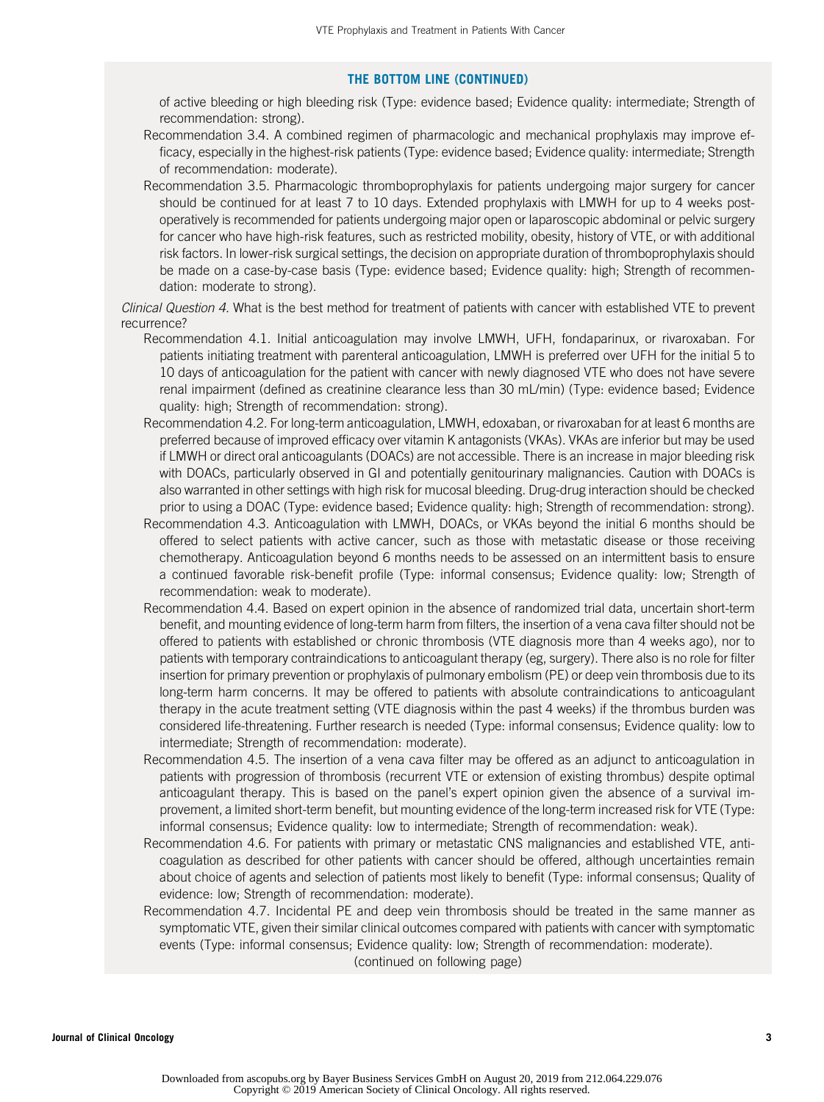# THE BOTTOM LINE (CONTINUED)

of active bleeding or high bleeding risk (Type: evidence based; Evidence quality: intermediate; Strength of recommendation: strong).

- Recommendation 3.4. A combined regimen of pharmacologic and mechanical prophylaxis may improve efficacy, especially in the highest-risk patients (Type: evidence based; Evidence quality: intermediate; Strength of recommendation: moderate).
- Recommendation 3.5. Pharmacologic thromboprophylaxis for patients undergoing major surgery for cancer should be continued for at least 7 to 10 days. Extended prophylaxis with LMWH for up to 4 weeks postoperatively is recommended for patients undergoing major open or laparoscopic abdominal or pelvic surgery for cancer who have high-risk features, such as restricted mobility, obesity, history of VTE, or with additional risk factors. In lower-risk surgical settings, the decision on appropriate duration of thromboprophylaxis should be made on a case-by-case basis (Type: evidence based; Evidence quality: high; Strength of recommendation: moderate to strong).

Clinical Question 4. What is the best method for treatment of patients with cancer with established VTE to prevent recurrence?

- Recommendation 4.1. Initial anticoagulation may involve LMWH, UFH, fondaparinux, or rivaroxaban. For patients initiating treatment with parenteral anticoagulation, LMWH is preferred over UFH for the initial 5 to 10 days of anticoagulation for the patient with cancer with newly diagnosed VTE who does not have severe renal impairment (defined as creatinine clearance less than 30 mL/min) (Type: evidence based; Evidence quality: high; Strength of recommendation: strong).
- Recommendation 4.2. For long-term anticoagulation, LMWH, edoxaban, or rivaroxaban for at least 6 months are preferred because of improved efficacy over vitamin K antagonists (VKAs). VKAs are inferior but may be used if LMWH or direct oral anticoagulants (DOACs) are not accessible. There is an increase in major bleeding risk with DOACs, particularly observed in GI and potentially genitourinary malignancies. Caution with DOACs is also warranted in other settings with high risk for mucosal bleeding. Drug-drug interaction should be checked prior to using a DOAC (Type: evidence based; Evidence quality: high; Strength of recommendation: strong).
- Recommendation 4.3. Anticoagulation with LMWH, DOACs, or VKAs beyond the initial 6 months should be offered to select patients with active cancer, such as those with metastatic disease or those receiving chemotherapy. Anticoagulation beyond 6 months needs to be assessed on an intermittent basis to ensure a continued favorable risk-benefit profile (Type: informal consensus; Evidence quality: low; Strength of recommendation: weak to moderate).
- Recommendation 4.4. Based on expert opinion in the absence of randomized trial data, uncertain short-term benefit, and mounting evidence of long-term harm from filters, the insertion of a vena cava filter should not be offered to patients with established or chronic thrombosis (VTE diagnosis more than 4 weeks ago), nor to patients with temporary contraindications to anticoagulant therapy (eg, surgery). There also is no role for filter insertion for primary prevention or prophylaxis of pulmonary embolism (PE) or deep vein thrombosis due to its long-term harm concerns. It may be offered to patients with absolute contraindications to anticoagulant therapy in the acute treatment setting (VTE diagnosis within the past 4 weeks) if the thrombus burden was considered life-threatening. Further research is needed (Type: informal consensus; Evidence quality: low to intermediate; Strength of recommendation: moderate).
- Recommendation 4.5. The insertion of a vena cava filter may be offered as an adjunct to anticoagulation in patients with progression of thrombosis (recurrent VTE or extension of existing thrombus) despite optimal anticoagulant therapy. This is based on the panel's expert opinion given the absence of a survival improvement, a limited short-term benefit, but mounting evidence of the long-term increased risk for VTE (Type: informal consensus; Evidence quality: low to intermediate; Strength of recommendation: weak).
- Recommendation 4.6. For patients with primary or metastatic CNS malignancies and established VTE, anticoagulation as described for other patients with cancer should be offered, although uncertainties remain about choice of agents and selection of patients most likely to benefit (Type: informal consensus; Quality of evidence: low; Strength of recommendation: moderate).
- Recommendation 4.7. Incidental PE and deep vein thrombosis should be treated in the same manner as symptomatic VTE, given their similar clinical outcomes compared with patients with cancer with symptomatic events (Type: informal consensus; Evidence quality: low; Strength of recommendation: moderate). (continued on following page)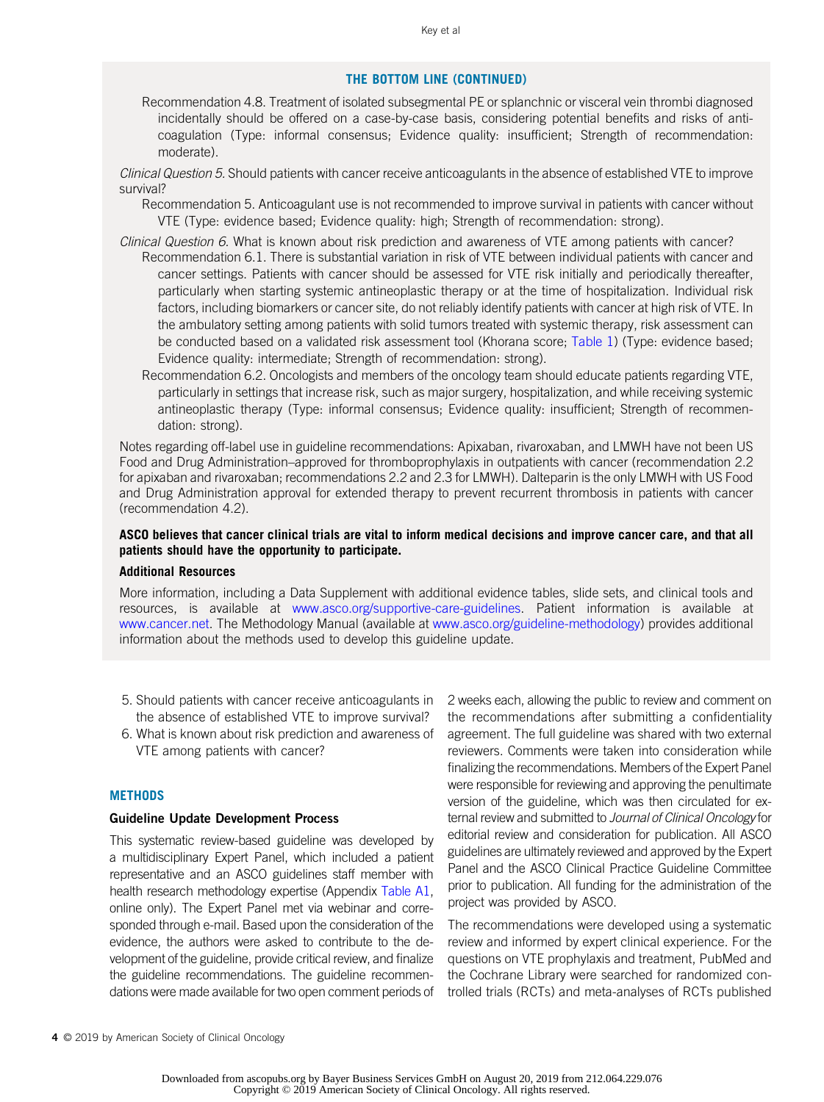# THE BOTTOM LINE (CONTINUED)

Recommendation 4.8. Treatment of isolated subsegmental PE or splanchnic or visceral vein thrombi diagnosed incidentally should be offered on a case-by-case basis, considering potential benefits and risks of anticoagulation (Type: informal consensus; Evidence quality: insufficient; Strength of recommendation: moderate).

Clinical Question 5. Should patients with cancer receive anticoagulants in the absence of established VTE to improve survival?

- Recommendation 5. Anticoagulant use is not recommended to improve survival in patients with cancer without VTE (Type: evidence based; Evidence quality: high; Strength of recommendation: strong).
- Clinical Question 6. What is known about risk prediction and awareness of VTE among patients with cancer? Recommendation 6.1. There is substantial variation in risk of VTE between individual patients with cancer and cancer settings. Patients with cancer should be assessed for VTE risk initially and periodically thereafter, particularly when starting systemic antineoplastic therapy or at the time of hospitalization. Individual risk factors, including biomarkers or cancer site, do not reliably identify patients with cancer at high risk of VTE. In the ambulatory setting among patients with solid tumors treated with systemic therapy, risk assessment can be conducted based on a validated risk assessment tool (Khorana score; [Table 1\)](#page-6-0) (Type: evidence based; Evidence quality: intermediate; Strength of recommendation: strong).
	- Recommendation 6.2. Oncologists and members of the oncology team should educate patients regarding VTE, particularly in settings that increase risk, such as major surgery, hospitalization, and while receiving systemic antineoplastic therapy (Type: informal consensus; Evidence quality: insufficient; Strength of recommendation: strong).

Notes regarding off-label use in guideline recommendations: Apixaban, rivaroxaban, and LMWH have not been US Food and Drug Administration–approved for thromboprophylaxis in outpatients with cancer (recommendation 2.2 for apixaban and rivaroxaban; recommendations 2.2 and 2.3 for LMWH). Dalteparin is the only LMWH with US Food and Drug Administration approval for extended therapy to prevent recurrent thrombosis in patients with cancer (recommendation 4.2).

# ASCO believes that cancer clinical trials are vital to inform medical decisions and improve cancer care, and that all patients should have the opportunity to participate.

# Additional Resources

More information, including a Data Supplement with additional evidence tables, slide sets, and clinical tools and resources, is available at [www.asco.org/supportive-care-guidelines.](http://www.asco.org/supportive-care-guidelines) Patient information is available at [www.cancer.net.](http://www.cancer.net) The Methodology Manual (available at [www.asco.org/guideline-methodology\)](http://www.asco.org/guideline-methodology) provides additional information about the methods used to develop this guideline update.

- 5. Should patients with cancer receive anticoagulants in the absence of established VTE to improve survival?
- 6. What is known about risk prediction and awareness of VTE among patients with cancer?

#### **METHODS**

### Guideline Update Development Process

This systematic review-based guideline was developed by a multidisciplinary Expert Panel, which included a patient representative and an ASCO guidelines staff member with health research methodology expertise (Appendix [Table A1](#page-26-0), online only). The Expert Panel met via webinar and corresponded through e-mail. Based upon the consideration of the evidence, the authors were asked to contribute to the development of the guideline, provide critical review, and finalize the guideline recommendations. The guideline recommendations were made available for two open comment periods of

2 weeks each, allowing the public to review and comment on the recommendations after submitting a confidentiality agreement. The full guideline was shared with two external reviewers. Comments were taken into consideration while finalizing the recommendations. Members of the Expert Panel were responsible for reviewing and approving the penultimate version of the guideline, which was then circulated for external review and submitted to Journal of Clinical Oncology for editorial review and consideration for publication. All ASCO guidelines are ultimately reviewed and approved by the Expert Panel and the ASCO Clinical Practice Guideline Committee prior to publication. All funding for the administration of the project was provided by ASCO.

The recommendations were developed using a systematic review and informed by expert clinical experience. For the questions on VTE prophylaxis and treatment, PubMed and the Cochrane Library were searched for randomized controlled trials (RCTs) and meta-analyses of RCTs published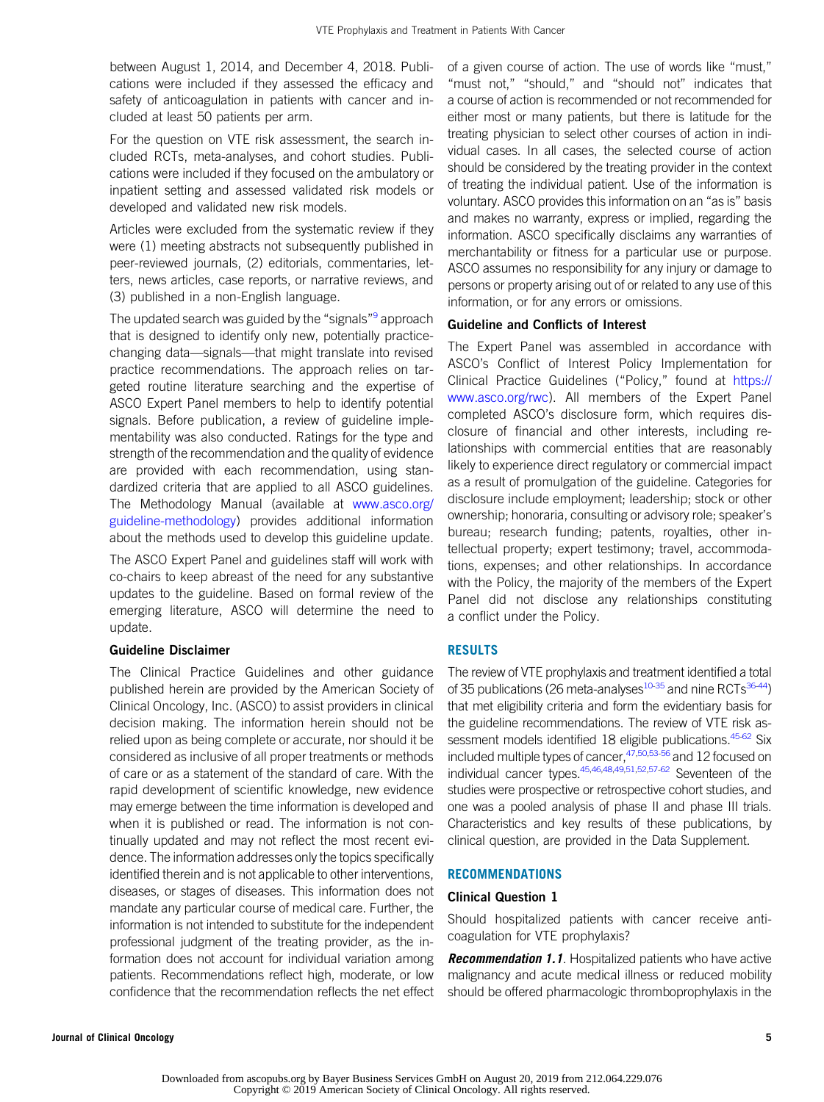between August 1, 2014, and December 4, 2018. Publications were included if they assessed the efficacy and safety of anticoagulation in patients with cancer and included at least 50 patients per arm.

For the question on VTE risk assessment, the search included RCTs, meta-analyses, and cohort studies. Publications were included if they focused on the ambulatory or inpatient setting and assessed validated risk models or developed and validated new risk models.

Articles were excluded from the systematic review if they were (1) meeting abstracts not subsequently published in peer-reviewed journals, (2) editorials, commentaries, letters, news articles, case reports, or narrative reviews, and (3) published in a non-English language.

The updated search was guided by the "signals"<sup>[9](#page-20-0)</sup> approach that is designed to identify only new, potentially practicechanging data—signals—that might translate into revised practice recommendations. The approach relies on targeted routine literature searching and the expertise of ASCO Expert Panel members to help to identify potential signals. Before publication, a review of guideline implementability was also conducted. Ratings for the type and strength of the recommendation and the quality of evidence are provided with each recommendation, using standardized criteria that are applied to all ASCO guidelines. The Methodology Manual (available at [www.asco.org/](http://www.asco.org/guideline-methodology) [guideline-methodology\)](http://www.asco.org/guideline-methodology) provides additional information about the methods used to develop this guideline update.

The ASCO Expert Panel and guidelines staff will work with co-chairs to keep abreast of the need for any substantive updates to the guideline. Based on formal review of the emerging literature, ASCO will determine the need to update.

### Guideline Disclaimer

The Clinical Practice Guidelines and other guidance published herein are provided by the American Society of Clinical Oncology, Inc. (ASCO) to assist providers in clinical decision making. The information herein should not be relied upon as being complete or accurate, nor should it be considered as inclusive of all proper treatments or methods of care or as a statement of the standard of care. With the rapid development of scientific knowledge, new evidence may emerge between the time information is developed and when it is published or read. The information is not continually updated and may not reflect the most recent evidence. The information addresses only the topics specifically identified therein and is not applicable to other interventions, diseases, or stages of diseases. This information does not mandate any particular course of medical care. Further, the information is not intended to substitute for the independent professional judgment of the treating provider, as the information does not account for individual variation among patients. Recommendations reflect high, moderate, or low confidence that the recommendation reflects the net effect

of a given course of action. The use of words like "must," "must not," "should," and "should not" indicates that a course of action is recommended or not recommended for either most or many patients, but there is latitude for the treating physician to select other courses of action in individual cases. In all cases, the selected course of action should be considered by the treating provider in the context of treating the individual patient. Use of the information is voluntary. ASCO provides this information on an "as is" basis and makes no warranty, express or implied, regarding the information. ASCO specifically disclaims any warranties of merchantability or fitness for a particular use or purpose. ASCO assumes no responsibility for any injury or damage to persons or property arising out of or related to any use of this information, or for any errors or omissions.

# Guideline and Conflicts of Interest

The Expert Panel was assembled in accordance with ASCO's Conflict of Interest Policy Implementation for Clinical Practice Guidelines ("Policy," found at [https://](https://www.asco.org/rwc) [www.asco.org/rwc](https://www.asco.org/rwc)). All members of the Expert Panel completed ASCO's disclosure form, which requires disclosure of financial and other interests, including relationships with commercial entities that are reasonably likely to experience direct regulatory or commercial impact as a result of promulgation of the guideline. Categories for disclosure include employment; leadership; stock or other ownership; honoraria, consulting or advisory role; speaker's bureau; research funding; patents, royalties, other intellectual property; expert testimony; travel, accommodations, expenses; and other relationships. In accordance with the Policy, the majority of the members of the Expert Panel did not disclose any relationships constituting a conflict under the Policy.

### RESULTS

The review of VTE prophylaxis and treatment identified a total of 35 publications (26 meta-analyses<sup>10[-35](#page-21-0)</sup> and nine RCTs<sup>36-44</sup>) that met eligibility criteria and form the evidentiary basis for the guideline recommendations. The review of VTE risk as-sessment models identified 18 eligible publications.<sup>[45](#page-21-0)[-62](#page-22-0)</sup> Six included multiple types of cancer, [47](#page-21-0),[50](#page-21-0)[,53-56](#page-22-0) and 12 focused on individual cancer types.<sup>45,46,48,49,51,52,[57-62](#page-22-0)</sup> Seventeen of the studies were prospective or retrospective cohort studies, and one was a pooled analysis of phase II and phase III trials. Characteristics and key results of these publications, by clinical question, are provided in the Data Supplement.

### RECOMMENDATIONS

### Clinical Question 1

Should hospitalized patients with cancer receive anticoagulation for VTE prophylaxis?

**Recommendation 1.1.** Hospitalized patients who have active malignancy and acute medical illness or reduced mobility should be offered pharmacologic thromboprophylaxis in the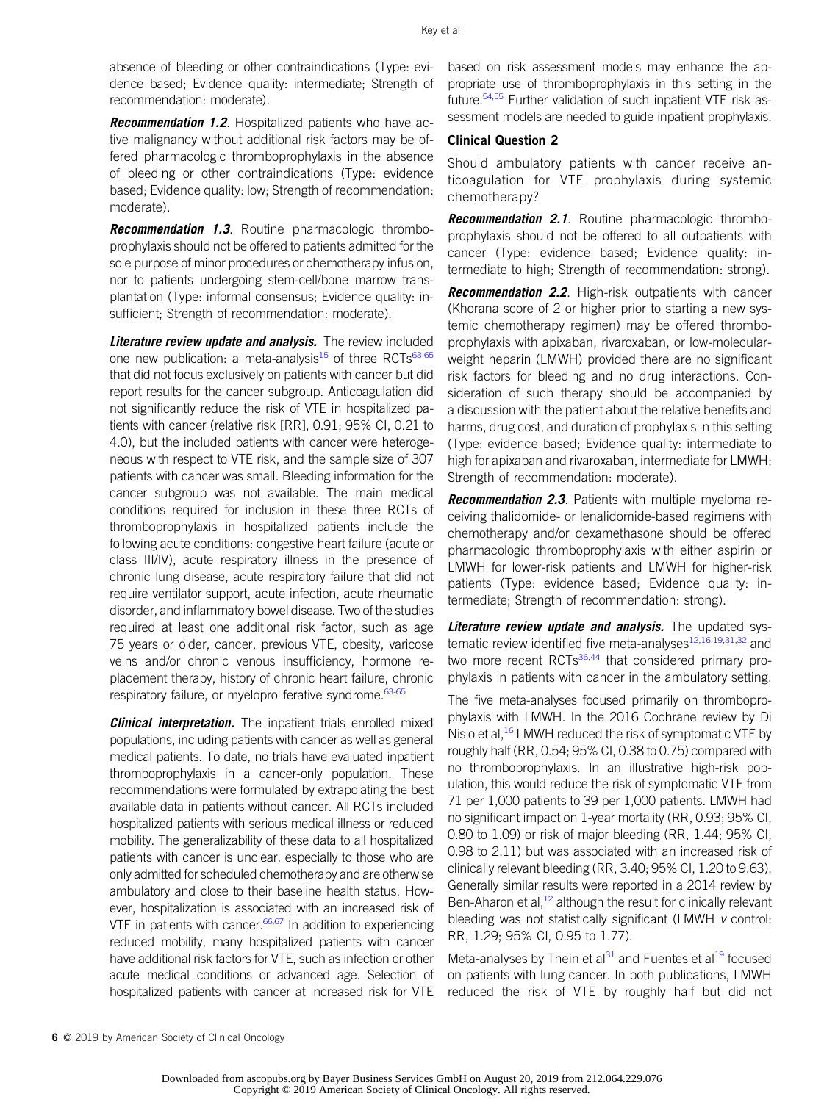absence of bleeding or other contraindications (Type: evidence based; Evidence quality: intermediate; Strength of recommendation: moderate).

**Recommendation 1.2.** Hospitalized patients who have active malignancy without additional risk factors may be offered pharmacologic thromboprophylaxis in the absence of bleeding or other contraindications (Type: evidence based; Evidence quality: low; Strength of recommendation: moderate).

**Recommendation 1.3.** Routine pharmacologic thromboprophylaxis should not be offered to patients admitted for the sole purpose of minor procedures or chemotherapy infusion, nor to patients undergoing stem-cell/bone marrow transplantation (Type: informal consensus; Evidence quality: insufficient; Strength of recommendation: moderate).

Literature review update and analysis. The review included one new publication: a meta-analysis<sup>15</sup> of three RCTs<sup>[63-65](#page-22-0)</sup> that did not focus exclusively on patients with cancer but did report results for the cancer subgroup. Anticoagulation did not significantly reduce the risk of VTE in hospitalized patients with cancer (relative risk [RR], 0.91; 95% CI, 0.21 to 4.0), but the included patients with cancer were heterogeneous with respect to VTE risk, and the sample size of 307 patients with cancer was small. Bleeding information for the cancer subgroup was not available. The main medical conditions required for inclusion in these three RCTs of thromboprophylaxis in hospitalized patients include the following acute conditions: congestive heart failure (acute or class III/IV), acute respiratory illness in the presence of chronic lung disease, acute respiratory failure that did not require ventilator support, acute infection, acute rheumatic disorder, and inflammatory bowel disease. Two of the studies required at least one additional risk factor, such as age 75 years or older, cancer, previous VTE, obesity, varicose veins and/or chronic venous insufficiency, hormone replacement therapy, history of chronic heart failure, chronic respiratory failure, or myeloproliferative syndrome.<sup>[63-65](#page-22-0)</sup>

**Clinical interpretation.** The inpatient trials enrolled mixed populations, including patients with cancer as well as general medical patients. To date, no trials have evaluated inpatient thromboprophylaxis in a cancer-only population. These recommendations were formulated by extrapolating the best available data in patients without cancer. All RCTs included hospitalized patients with serious medical illness or reduced mobility. The generalizability of these data to all hospitalized patients with cancer is unclear, especially to those who are only admitted for scheduled chemotherapy and are otherwise ambulatory and close to their baseline health status. However, hospitalization is associated with an increased risk of VTE in patients with cancer. $66,67$  In addition to experiencing reduced mobility, many hospitalized patients with cancer have additional risk factors for VTE, such as infection or other acute medical conditions or advanced age. Selection of hospitalized patients with cancer at increased risk for VTE based on risk assessment models may enhance the appropriate use of thromboprophylaxis in this setting in the future.<sup>[54,55](#page-22-0)</sup> Further validation of such inpatient VTE risk assessment models are needed to guide inpatient prophylaxis.

### Clinical Question 2

Should ambulatory patients with cancer receive anticoagulation for VTE prophylaxis during systemic chemotherapy?

Recommendation 2.1. Routine pharmacologic thromboprophylaxis should not be offered to all outpatients with cancer (Type: evidence based; Evidence quality: intermediate to high; Strength of recommendation: strong).

**Recommendation 2.2.** High-risk outpatients with cancer (Khorana score of 2 or higher prior to starting a new systemic chemotherapy regimen) may be offered thromboprophylaxis with apixaban, rivaroxaban, or low-molecularweight heparin (LMWH) provided there are no significant risk factors for bleeding and no drug interactions. Consideration of such therapy should be accompanied by a discussion with the patient about the relative benefits and harms, drug cost, and duration of prophylaxis in this setting (Type: evidence based; Evidence quality: intermediate to high for apixaban and rivaroxaban, intermediate for LMWH; Strength of recommendation: moderate).

Recommendation 2.3. Patients with multiple myeloma receiving thalidomide- or lenalidomide-based regimens with chemotherapy and/or dexamethasone should be offered pharmacologic thromboprophylaxis with either aspirin or LMWH for lower-risk patients and LMWH for higher-risk patients (Type: evidence based; Evidence quality: intermediate; Strength of recommendation: strong).

Literature review update and analysis. The updated sys-tematic review identified five meta-analyses<sup>[12](#page-20-0),[16](#page-20-0)[,19](#page-21-0),[31,32](#page-21-0)</sup> and two more recent RCTs<sup>[36,44](#page-21-0)</sup> that considered primary prophylaxis in patients with cancer in the ambulatory setting.

The five meta-analyses focused primarily on thromboprophylaxis with LMWH. In the 2016 Cochrane review by Di Nisio et al,  $^{16}$  $^{16}$  $^{16}$  LMWH reduced the risk of symptomatic VTE by roughly half (RR, 0.54; 95% CI, 0.38 to 0.75) compared with no thromboprophylaxis. In an illustrative high-risk population, this would reduce the risk of symptomatic VTE from 71 per 1,000 patients to 39 per 1,000 patients. LMWH had no significant impact on 1-year mortality (RR, 0.93; 95% CI, 0.80 to 1.09) or risk of major bleeding (RR, 1.44; 95% CI, 0.98 to 2.11) but was associated with an increased risk of clinically relevant bleeding (RR, 3.40; 95% CI, 1.20 to 9.63). Generally similar results were reported in a 2014 review by Ben-Aharon et al, $^{12}$  although the result for clinically relevant bleeding was not statistically significant (LMWH v control: RR, 1.29; 95% CI, 0.95 to 1.77).

Meta-analyses by Thein et al<sup>[31](#page-21-0)</sup> and Fuentes et al<sup>[19](#page-21-0)</sup> focused on patients with lung cancer. In both publications, LMWH reduced the risk of VTE by roughly half but did not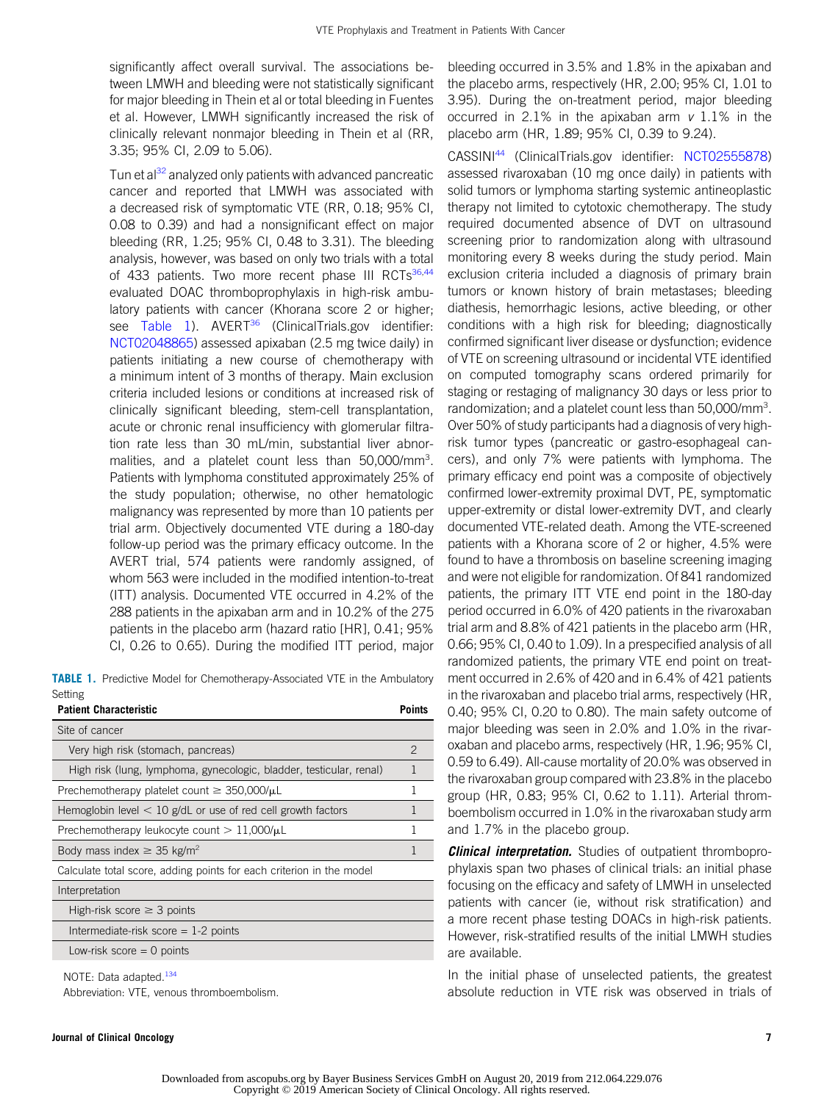<span id="page-6-0"></span>significantly affect overall survival. The associations between LMWH and bleeding were not statistically significant for major bleeding in Thein et al or total bleeding in Fuentes et al. However, LMWH significantly increased the risk of clinically relevant nonmajor bleeding in Thein et al (RR, 3.35; 95% CI, 2.09 to 5.06).

Tun et al<sup>[32](#page-21-0)</sup> analyzed only patients with advanced pancreatic cancer and reported that LMWH was associated with a decreased risk of symptomatic VTE (RR, 0.18; 95% CI, 0.08 to 0.39) and had a nonsignificant effect on major bleeding (RR, 1.25; 95% CI, 0.48 to 3.31). The bleeding analysis, however, was based on only two trials with a total of 433 patients. Two more recent phase III RCTs<sup>[36,44](#page-21-0)</sup> evaluated DOAC thromboprophylaxis in high-risk ambulatory patients with cancer (Khorana score 2 or higher; see Table 1). AVERT<sup>[36](#page-21-0)</sup> (ClinicalTrials.gov identifier: [NCT02048865](https://clinicaltrials.gov/ct2/show/NCT02048865)) assessed apixaban (2.5 mg twice daily) in patients initiating a new course of chemotherapy with a minimum intent of 3 months of therapy. Main exclusion criteria included lesions or conditions at increased risk of clinically significant bleeding, stem-cell transplantation, acute or chronic renal insufficiency with glomerular filtration rate less than 30 mL/min, substantial liver abnormalities, and a platelet count less than 50,000/mm<sup>3</sup>. Patients with lymphoma constituted approximately 25% of the study population; otherwise, no other hematologic malignancy was represented by more than 10 patients per trial arm. Objectively documented VTE during a 180-day follow-up period was the primary efficacy outcome. In the AVERT trial, 574 patients were randomly assigned, of whom 563 were included in the modified intention-to-treat (ITT) analysis. Documented VTE occurred in 4.2% of the 288 patients in the apixaban arm and in 10.2% of the 275 patients in the placebo arm (hazard ratio [HR], 0.41; 95% CI, 0.26 to 0.65). During the modified ITT period, major

TABLE 1. Predictive Model for Chemotherapy-Associated VTE in the Ambulatory Setting

| <b>Patient Characteristic</b>                                        | Points         |
|----------------------------------------------------------------------|----------------|
| Site of cancer                                                       |                |
| Very high risk (stomach, pancreas)                                   | $\overline{c}$ |
| High risk (lung, lymphoma, gynecologic, bladder, testicular, renal)  |                |
| Prechemotherapy platelet count $\geq$ 350,000/ $\mu$ L               |                |
| Hemoglobin level $< 10$ g/dL or use of red cell growth factors       |                |
| Prechemotherapy leukocyte count $> 11,000/\mu L$                     |                |
| Body mass index $\geq$ 35 kg/m <sup>2</sup>                          |                |
| Calculate total score, adding points for each criterion in the model |                |
| Interpretation                                                       |                |
| High-risk score $\geq$ 3 points                                      |                |
| Intermediate-risk score $= 1-2$ points                               |                |
| Low-risk score $= 0$ points                                          |                |
| $M$ $\cap$ $T$ $\cap$ $D$ , $L$ , $L$ , $L$ , $I$ , $I$ , $I$        |                |

NOTE: Data adapted.<sup>[134](#page-24-0)</sup>

Abbreviation: VTE, venous thromboembolism.

Journal of Clinical Oncology 7

bleeding occurred in 3.5% and 1.8% in the apixaban and the placebo arms, respectively (HR, 2.00; 95% CI, 1.01 to 3.95). During the on-treatment period, major bleeding occurred in 2.1% in the apixaban arm  $v$  1.1% in the placebo arm (HR, 1.89; 95% CI, 0.39 to 9.24).

CASSINI[44](#page-21-0) (ClinicalTrials.gov identifier: [NCT02555878\)](https://clinicaltrials.gov/ct2/show/NCT02555878) assessed rivaroxaban (10 mg once daily) in patients with solid tumors or lymphoma starting systemic antineoplastic therapy not limited to cytotoxic chemotherapy. The study required documented absence of DVT on ultrasound screening prior to randomization along with ultrasound monitoring every 8 weeks during the study period. Main exclusion criteria included a diagnosis of primary brain tumors or known history of brain metastases; bleeding diathesis, hemorrhagic lesions, active bleeding, or other conditions with a high risk for bleeding; diagnostically confirmed significant liver disease or dysfunction; evidence of VTE on screening ultrasound or incidental VTE identified on computed tomography scans ordered primarily for staging or restaging of malignancy 30 days or less prior to randomization; and a platelet count less than 50,000/mm<sup>3</sup>. Over 50% of study participants had a diagnosis of very highrisk tumor types (pancreatic or gastro-esophageal cancers), and only 7% were patients with lymphoma. The primary efficacy end point was a composite of objectively confirmed lower-extremity proximal DVT, PE, symptomatic upper-extremity or distal lower-extremity DVT, and clearly documented VTE-related death. Among the VTE-screened patients with a Khorana score of 2 or higher, 4.5% were found to have a thrombosis on baseline screening imaging and were not eligible for randomization. Of 841 randomized patients, the primary ITT VTE end point in the 180-day period occurred in 6.0% of 420 patients in the rivaroxaban trial arm and 8.8% of 421 patients in the placebo arm (HR, 0.66; 95% CI, 0.40 to 1.09). In a prespecified analysis of all randomized patients, the primary VTE end point on treatment occurred in 2.6% of 420 and in 6.4% of 421 patients in the rivaroxaban and placebo trial arms, respectively (HR, 0.40; 95% CI, 0.20 to 0.80). The main safety outcome of major bleeding was seen in 2.0% and 1.0% in the rivaroxaban and placebo arms, respectively (HR, 1.96; 95% CI, 0.59 to 6.49). All-cause mortality of 20.0% was observed in the rivaroxaban group compared with 23.8% in the placebo group (HR, 0.83; 95% CI, 0.62 to 1.11). Arterial thromboembolism occurred in 1.0% in the rivaroxaban study arm and 1.7% in the placebo group.

**Clinical interpretation.** Studies of outpatient thromboprophylaxis span two phases of clinical trials: an initial phase focusing on the efficacy and safety of LMWH in unselected patients with cancer (ie, without risk stratification) and a more recent phase testing DOACs in high-risk patients. However, risk-stratified results of the initial LMWH studies are available.

In the initial phase of unselected patients, the greatest absolute reduction in VTE risk was observed in trials of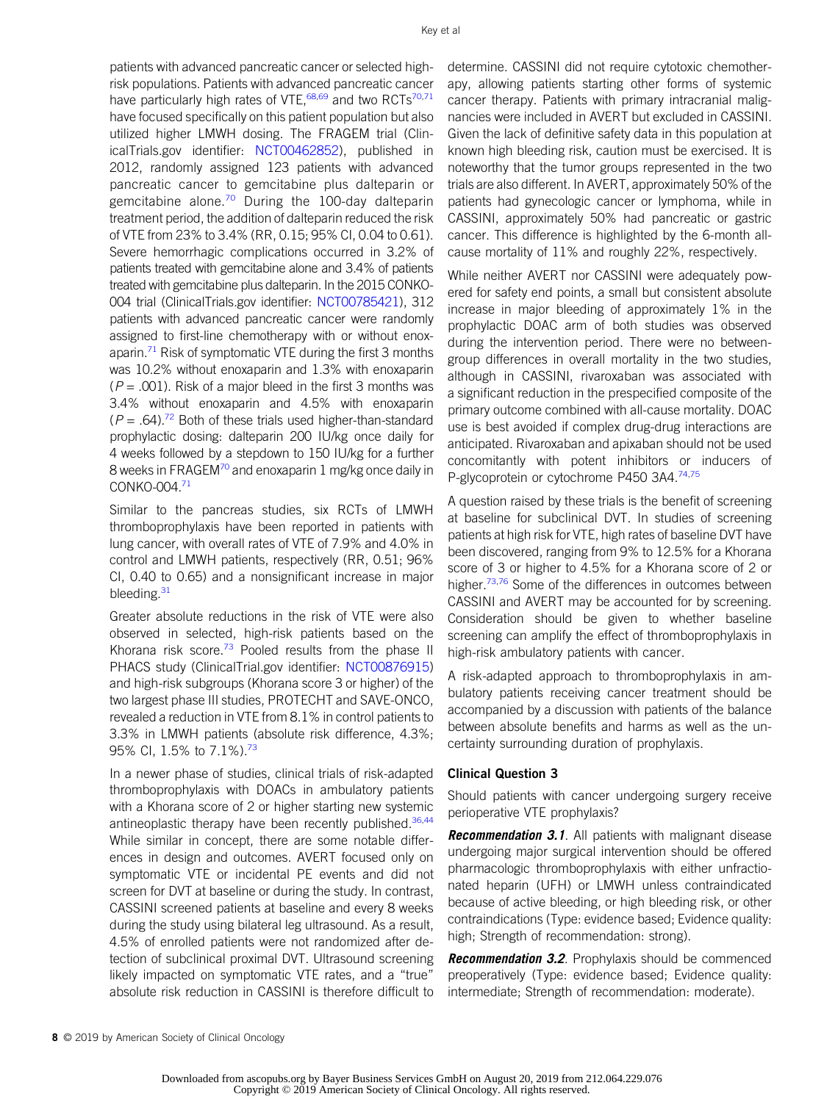patients with advanced pancreatic cancer or selected highrisk populations. Patients with advanced pancreatic cancer have particularly high rates of VTE,<sup>[68,69](#page-22-0)</sup> and two RCTs<sup>[70,71](#page-22-0)</sup> have focused specifically on this patient population but also utilized higher LMWH dosing. The FRAGEM trial (ClinicalTrials.gov identifier: [NCT00462852\)](https://clinicaltrials.gov/ct2/show/NCT00462852), published in 2012, randomly assigned 123 patients with advanced pancreatic cancer to gemcitabine plus dalteparin or gemcitabine alone.<sup>[70](#page-22-0)</sup> During the 100-day dalteparin treatment period, the addition of dalteparin reduced the risk of VTE from 23% to 3.4% (RR, 0.15; 95% CI, 0.04 to 0.61). Severe hemorrhagic complications occurred in 3.2% of patients treated with gemcitabine alone and 3.4% of patients treated with gemcitabine plus dalteparin. In the 2015 CONKO-004 trial (ClinicalTrials.gov identifier: [NCT00785421](https://clinicaltrials.gov/ct2/show/NCT00785421)), 312 patients with advanced pancreatic cancer were randomly assigned to first-line chemotherapy with or without enox-aparin.<sup>[71](#page-22-0)</sup> Risk of symptomatic VTE during the first 3 months was 10.2% without enoxaparin and 1.3% with enoxaparin  $(P = .001)$ . Risk of a major bleed in the first 3 months was 3.4% without enoxaparin and 4.5% with enoxaparin  $(P = .64).$ <sup>72</sup> Both of these trials used higher-than-standard prophylactic dosing: dalteparin 200 IU/kg once daily for 4 weeks followed by a stepdown to 150 IU/kg for a further 8 weeks in FRAGEM<sup>70</sup> and enoxaparin 1 mg/kg once daily in CONKO-004[.71](#page-22-0)

Similar to the pancreas studies, six RCTs of LMWH thromboprophylaxis have been reported in patients with lung cancer, with overall rates of VTE of 7.9% and 4.0% in control and LMWH patients, respectively (RR, 0.51; 96% CI, 0.40 to 0.65) and a nonsignificant increase in major bleeding. $31$ 

Greater absolute reductions in the risk of VTE were also observed in selected, high-risk patients based on the Khorana risk score.<sup>[73](#page-22-0)</sup> Pooled results from the phase II PHACS study (ClinicalTrial.gov identifier: [NCT00876915\)](https://clinicaltrials.gov/ct2/show/NCT00876915) and high-risk subgroups (Khorana score 3 or higher) of the two largest phase III studies, PROTECHT and SAVE-ONCO, revealed a reduction in VTE from 8.1% in control patients to 3.3% in LMWH patients (absolute risk difference, 4.3%; 95% CI,  $1.5\%$  to 7.1%).<sup>[73](#page-22-0)</sup>

In a newer phase of studies, clinical trials of risk-adapted thromboprophylaxis with DOACs in ambulatory patients with a Khorana score of 2 or higher starting new systemic antineoplastic therapy have been recently published.<sup>[36,44](#page-21-0)</sup> While similar in concept, there are some notable differences in design and outcomes. AVERT focused only on symptomatic VTE or incidental PE events and did not screen for DVT at baseline or during the study. In contrast, CASSINI screened patients at baseline and every 8 weeks during the study using bilateral leg ultrasound. As a result, 4.5% of enrolled patients were not randomized after detection of subclinical proximal DVT. Ultrasound screening likely impacted on symptomatic VTE rates, and a "true" absolute risk reduction in CASSINI is therefore difficult to determine. CASSINI did not require cytotoxic chemotherapy, allowing patients starting other forms of systemic cancer therapy. Patients with primary intracranial malignancies were included in AVERT but excluded in CASSINI. Given the lack of definitive safety data in this population at known high bleeding risk, caution must be exercised. It is noteworthy that the tumor groups represented in the two trials are also different. In AVERT, approximately 50% of the patients had gynecologic cancer or lymphoma, while in CASSINI, approximately 50% had pancreatic or gastric cancer. This difference is highlighted by the 6-month allcause mortality of 11% and roughly 22%, respectively.

While neither AVERT nor CASSINI were adequately powered for safety end points, a small but consistent absolute increase in major bleeding of approximately 1% in the prophylactic DOAC arm of both studies was observed during the intervention period. There were no betweengroup differences in overall mortality in the two studies, although in CASSINI, rivaroxaban was associated with a significant reduction in the prespecified composite of the primary outcome combined with all-cause mortality. DOAC use is best avoided if complex drug-drug interactions are anticipated. Rivaroxaban and apixaban should not be used concomitantly with potent inhibitors or inducers of P-glycoprotein or cytochrome P450 3A4.<sup>[74,75](#page-22-0)</sup>

A question raised by these trials is the benefit of screening at baseline for subclinical DVT. In studies of screening patients at high risk for VTE, high rates of baseline DVT have been discovered, ranging from 9% to 12.5% for a Khorana score of 3 or higher to 4.5% for a Khorana score of 2 or higher.<sup>73,76</sup> Some of the differences in outcomes between CASSINI and AVERT may be accounted for by screening. Consideration should be given to whether baseline screening can amplify the effect of thromboprophylaxis in high-risk ambulatory patients with cancer.

A risk-adapted approach to thromboprophylaxis in ambulatory patients receiving cancer treatment should be accompanied by a discussion with patients of the balance between absolute benefits and harms as well as the uncertainty surrounding duration of prophylaxis.

### Clinical Question 3

Should patients with cancer undergoing surgery receive perioperative VTE prophylaxis?

Recommendation 3.1. All patients with malignant disease undergoing major surgical intervention should be offered pharmacologic thromboprophylaxis with either unfractionated heparin (UFH) or LMWH unless contraindicated because of active bleeding, or high bleeding risk, or other contraindications (Type: evidence based; Evidence quality: high; Strength of recommendation: strong).

**Recommendation 3.2.** Prophylaxis should be commenced preoperatively (Type: evidence based; Evidence quality: intermediate; Strength of recommendation: moderate).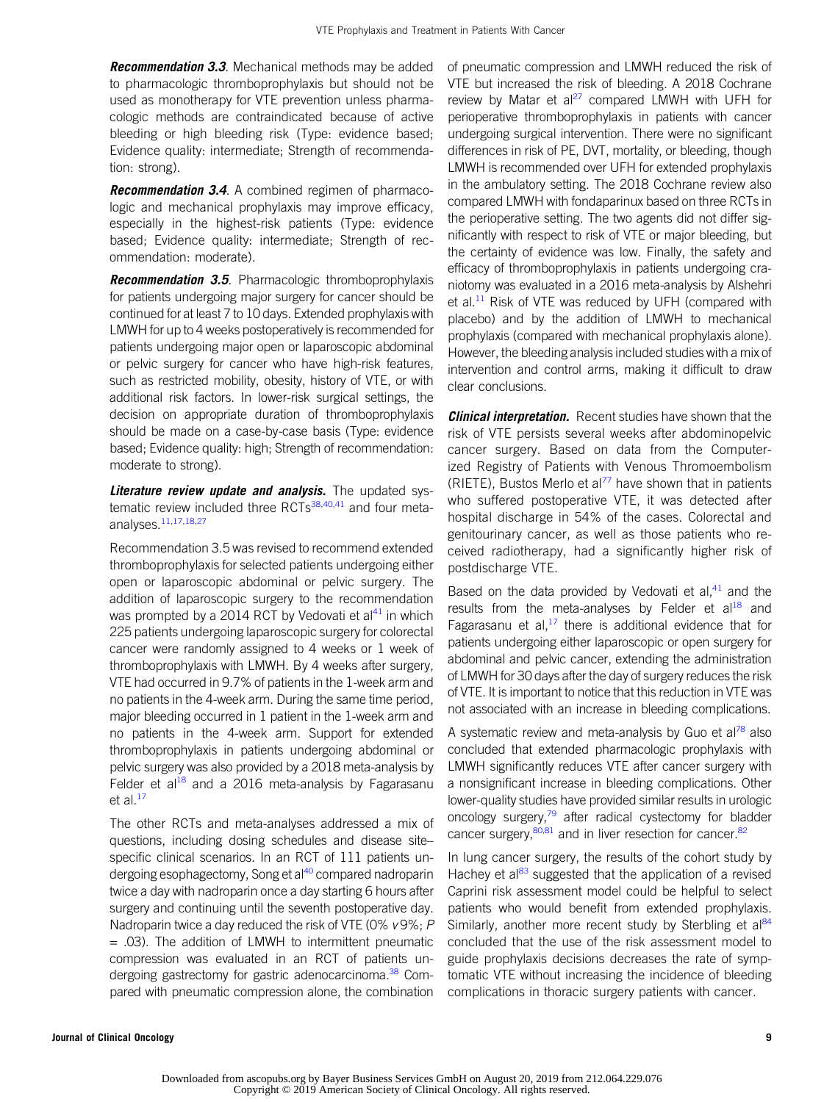**Recommendation 3.3.** Mechanical methods may be added to pharmacologic thromboprophylaxis but should not be used as monotherapy for VTE prevention unless pharmacologic methods are contraindicated because of active bleeding or high bleeding risk (Type: evidence based; Evidence quality: intermediate; Strength of recommendation: strong).

**Recommendation 3.4.** A combined regimen of pharmacologic and mechanical prophylaxis may improve efficacy, especially in the highest-risk patients (Type: evidence based; Evidence quality: intermediate; Strength of recommendation: moderate).

**Recommendation 3.5.** Pharmacologic thromboprophylaxis for patients undergoing major surgery for cancer should be continued for at least 7 to 10 days. Extended prophylaxis with LMWH for up to 4 weeks postoperatively is recommended for patients undergoing major open or laparoscopic abdominal or pelvic surgery for cancer who have high-risk features, such as restricted mobility, obesity, history of VTE, or with additional risk factors. In lower-risk surgical settings, the decision on appropriate duration of thromboprophylaxis should be made on a case-by-case basis (Type: evidence based; Evidence quality: high; Strength of recommendation: moderate to strong).

Literature review update and analysis. The updated systematic review included three RCTs $38,40,41$  $38,40,41$  $38,40,41$  and four meta-analyses.<sup>[11](#page-20-0),[17,](#page-20-0)[18](#page-21-0),[27](#page-21-0)</sup>

Recommendation 3.5 was revised to recommend extended thromboprophylaxis for selected patients undergoing either open or laparoscopic abdominal or pelvic surgery. The addition of laparoscopic surgery to the recommendation was prompted by a 2014 RCT by Vedovati et al $41$  in which 225 patients undergoing laparoscopic surgery for colorectal cancer were randomly assigned to 4 weeks or 1 week of thromboprophylaxis with LMWH. By 4 weeks after surgery, VTE had occurred in 9.7% of patients in the 1-week arm and no patients in the 4-week arm. During the same time period, major bleeding occurred in 1 patient in the 1-week arm and no patients in the 4-week arm. Support for extended thromboprophylaxis in patients undergoing abdominal or pelvic surgery was also provided by a 2018 meta-analysis by Felder et al $18$  and a 2016 meta-analysis by Fagarasanu et al. $17$ 

The other RCTs and meta-analyses addressed a mix of questions, including dosing schedules and disease site– specific clinical scenarios. In an RCT of 111 patients un-dergoing esophagectomy, Song et al<sup>[40](#page-21-0)</sup> compared nadroparin twice a day with nadroparin once a day starting 6 hours after surgery and continuing until the seventh postoperative day. Nadroparin twice a day reduced the risk of VTE (0%  $v$ 9%; P = .03). The addition of LMWH to intermittent pneumatic compression was evaluated in an RCT of patients undergoing gastrectomy for gastric adenocarcinoma.<sup>38</sup> Compared with pneumatic compression alone, the combination of pneumatic compression and LMWH reduced the risk of VTE but increased the risk of bleeding. A 2018 Cochrane review by Matar et  $al^{27}$  $al^{27}$  $al^{27}$  compared LMWH with UFH for perioperative thromboprophylaxis in patients with cancer undergoing surgical intervention. There were no significant differences in risk of PE, DVT, mortality, or bleeding, though LMWH is recommended over UFH for extended prophylaxis in the ambulatory setting. The 2018 Cochrane review also compared LMWH with fondaparinux based on three RCTs in the perioperative setting. The two agents did not differ significantly with respect to risk of VTE or major bleeding, but the certainty of evidence was low. Finally, the safety and efficacy of thromboprophylaxis in patients undergoing craniotomy was evaluated in a 2016 meta-analysis by Alshehri et al. $<sup>11</sup>$  $<sup>11</sup>$  $<sup>11</sup>$  Risk of VTE was reduced by UFH (compared with</sup> placebo) and by the addition of LMWH to mechanical prophylaxis (compared with mechanical prophylaxis alone). However, the bleeding analysis included studies with a mix of intervention and control arms, making it difficult to draw clear conclusions.

**Clinical interpretation.** Recent studies have shown that the risk of VTE persists several weeks after abdominopelvic cancer surgery. Based on data from the Computerized Registry of Patients with Venous Thromoembolism (RIETE), Bustos Merlo et al<sup>[77](#page-22-0)</sup> have shown that in patients who suffered postoperative VTE, it was detected after hospital discharge in 54% of the cases. Colorectal and genitourinary cancer, as well as those patients who received radiotherapy, had a significantly higher risk of postdischarge VTE.

Based on the data provided by Vedovati et al, $41$  and the results from the meta-analyses by Felder et  $al^{18}$  and Fagarasanu et al, $17$  there is additional evidence that for patients undergoing either laparoscopic or open surgery for abdominal and pelvic cancer, extending the administration of LMWH for 30 days after the day of surgery reduces the risk of VTE. It is important to notice that this reduction in VTE was not associated with an increase in bleeding complications.

A systematic review and meta-analysis by Guo et  $a^{78}$  $a^{78}$  $a^{78}$  also concluded that extended pharmacologic prophylaxis with LMWH significantly reduces VTE after cancer surgery with a nonsignificant increase in bleeding complications. Other lower-quality studies have provided similar results in urologic oncology surgery,<sup>79</sup> after radical cystectomy for bladder cancer surgery, $80,81$  $80,81$  and in liver resection for cancer.  $82$ 

In lung cancer surgery, the results of the cohort study by Hachey et al<sup>[83](#page-22-0)</sup> suggested that the application of a revised Caprini risk assessment model could be helpful to select patients who would benefit from extended prophylaxis. Similarly, another more recent study by Sterbling et al<sup>[84](#page-22-0)</sup> concluded that the use of the risk assessment model to guide prophylaxis decisions decreases the rate of symptomatic VTE without increasing the incidence of bleeding complications in thoracic surgery patients with cancer.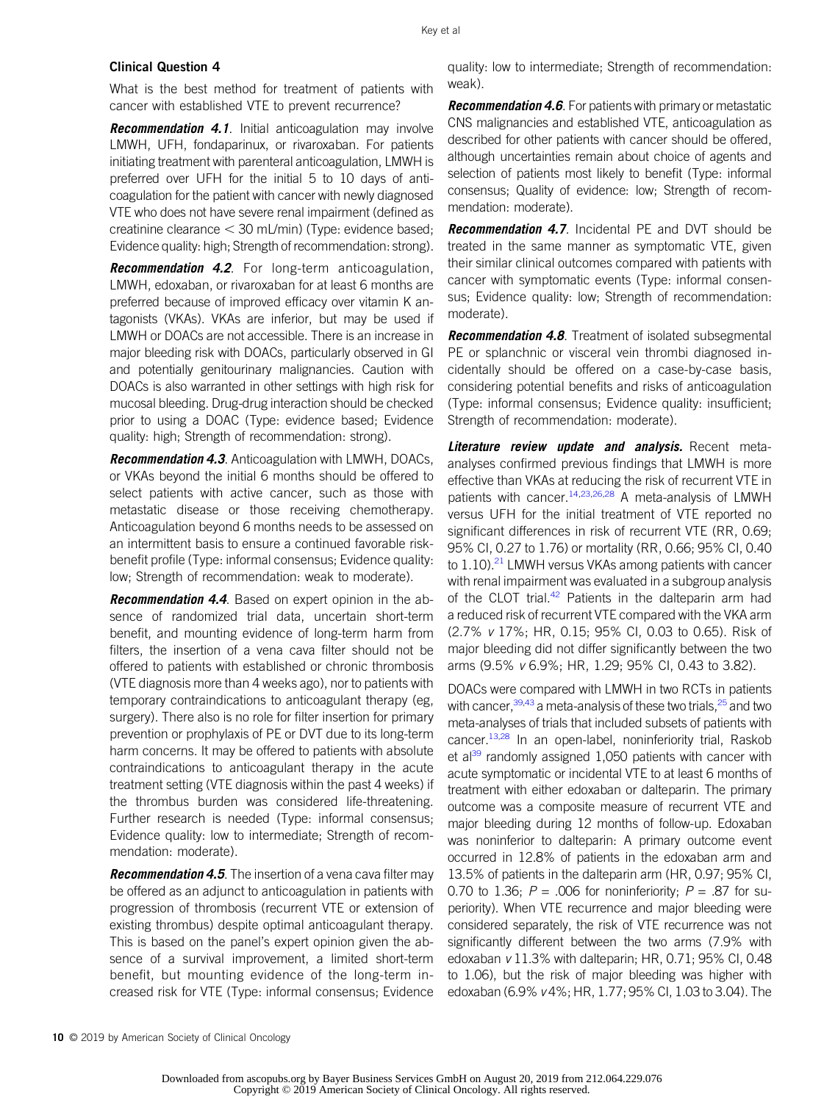### Clinical Question 4

What is the best method for treatment of patients with cancer with established VTE to prevent recurrence?

**Recommendation 4.1.** Initial anticoagulation may involve LMWH, UFH, fondaparinux, or rivaroxaban. For patients initiating treatment with parenteral anticoagulation, LMWH is preferred over UFH for the initial 5 to 10 days of anticoagulation for the patient with cancer with newly diagnosed VTE who does not have severe renal impairment (defined as creatinine clearance  $<$  30 mL/min) (Type: evidence based; Evidence quality: high; Strength of recommendation: strong).

Recommendation 4.2. For long-term anticoagulation, LMWH, edoxaban, or rivaroxaban for at least 6 months are preferred because of improved efficacy over vitamin K antagonists (VKAs). VKAs are inferior, but may be used if LMWH or DOACs are not accessible. There is an increase in major bleeding risk with DOACs, particularly observed in GI and potentially genitourinary malignancies. Caution with DOACs is also warranted in other settings with high risk for mucosal bleeding. Drug-drug interaction should be checked prior to using a DOAC (Type: evidence based; Evidence quality: high; Strength of recommendation: strong).

**Recommendation 4.3.** Anticoagulation with LMWH, DOACs, or VKAs beyond the initial 6 months should be offered to select patients with active cancer, such as those with metastatic disease or those receiving chemotherapy. Anticoagulation beyond 6 months needs to be assessed on an intermittent basis to ensure a continued favorable riskbenefit profile (Type: informal consensus; Evidence quality: low; Strength of recommendation: weak to moderate).

Recommendation 4.4. Based on expert opinion in the absence of randomized trial data, uncertain short-term benefit, and mounting evidence of long-term harm from filters, the insertion of a vena cava filter should not be offered to patients with established or chronic thrombosis (VTE diagnosis more than 4 weeks ago), nor to patients with temporary contraindications to anticoagulant therapy (eg, surgery). There also is no role for filter insertion for primary prevention or prophylaxis of PE or DVT due to its long-term harm concerns. It may be offered to patients with absolute contraindications to anticoagulant therapy in the acute treatment setting (VTE diagnosis within the past 4 weeks) if the thrombus burden was considered life-threatening. Further research is needed (Type: informal consensus; Evidence quality: low to intermediate; Strength of recommendation: moderate).

Recommendation 4.5. The insertion of a vena cava filter may be offered as an adjunct to anticoagulation in patients with progression of thrombosis (recurrent VTE or extension of existing thrombus) despite optimal anticoagulant therapy. This is based on the panel's expert opinion given the absence of a survival improvement, a limited short-term benefit, but mounting evidence of the long-term increased risk for VTE (Type: informal consensus; Evidence quality: low to intermediate; Strength of recommendation: weak).

**Recommendation 4.6.** For patients with primary or metastatic CNS malignancies and established VTE, anticoagulation as described for other patients with cancer should be offered, although uncertainties remain about choice of agents and selection of patients most likely to benefit (Type: informal consensus; Quality of evidence: low; Strength of recommendation: moderate).

**Recommendation 4.7.** Incidental PE and DVT should be treated in the same manner as symptomatic VTE, given their similar clinical outcomes compared with patients with cancer with symptomatic events (Type: informal consensus; Evidence quality: low; Strength of recommendation: moderate).

**Recommendation 4.8.** Treatment of isolated subsegmental PE or splanchnic or visceral vein thrombi diagnosed incidentally should be offered on a case-by-case basis, considering potential benefits and risks of anticoagulation (Type: informal consensus; Evidence quality: insufficient; Strength of recommendation: moderate).

Literature review update and analysis. Recent metaanalyses confirmed previous findings that LMWH is more effective than VKAs at reducing the risk of recurrent VTE in patients with cancer.<sup>[14](#page-20-0)[,23](#page-21-0),[26,28](#page-21-0)</sup> A meta-analysis of LMWH versus UFH for the initial treatment of VTE reported no significant differences in risk of recurrent VTE (RR, 0.69; 95% CI, 0.27 to 1.76) or mortality (RR, 0.66; 95% CI, 0.40 to 1.10).<sup>21</sup> LMWH versus VKAs among patients with cancer with renal impairment was evaluated in a subgroup analysis of the CLOT trial.<sup>[42](#page-21-0)</sup> Patients in the dalteparin arm had a reduced risk of recurrent VTE compared with the VKA arm (2.7% v 17%; HR, 0.15; 95% CI, 0.03 to 0.65). Risk of major bleeding did not differ significantly between the two arms (9.5% v 6.9%; HR, 1.29; 95% CI, 0.43 to 3.82).

DOACs were compared with LMWH in two RCTs in patients with cancer,  $39,43$  $39,43$  $39,43$  a meta-analysis of these two trials,  $25$  and two meta-analyses of trials that included subsets of patients with cancer.<sup>13,[28](#page-21-0)</sup> In an open-label, noninferiority trial, Raskob et al $^{39}$  randomly assigned 1,050 patients with cancer with acute symptomatic or incidental VTE to at least 6 months of treatment with either edoxaban or dalteparin. The primary outcome was a composite measure of recurrent VTE and major bleeding during 12 months of follow-up. Edoxaban was noninferior to dalteparin: A primary outcome event occurred in 12.8% of patients in the edoxaban arm and 13.5% of patients in the dalteparin arm (HR, 0.97; 95% CI, 0.70 to 1.36;  $P = 0.006$  for noninferiority;  $P = 0.87$  for superiority). When VTE recurrence and major bleeding were considered separately, the risk of VTE recurrence was not significantly different between the two arms (7.9% with edoxaban v 11.3% with dalteparin; HR, 0.71; 95% CI, 0.48 to 1.06), but the risk of major bleeding was higher with edoxaban (6.9% v 4%; HR, 1.77; 95% CI, 1.03 to 3.04). The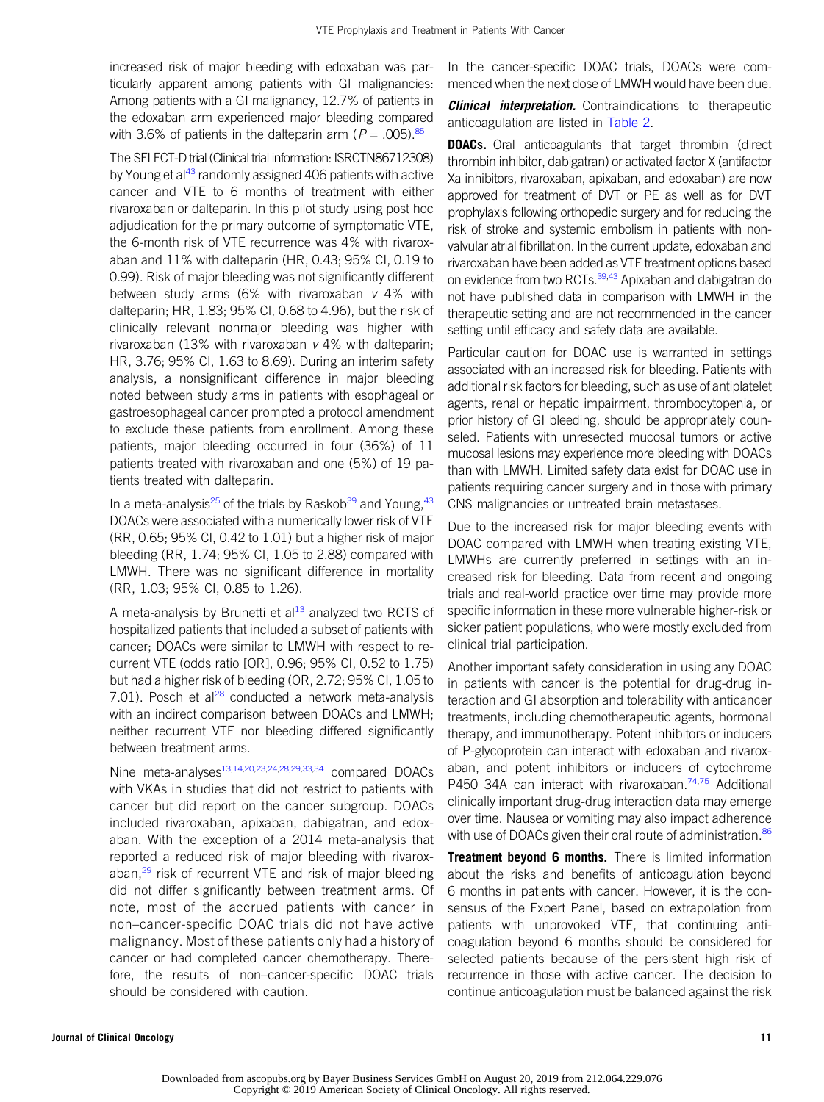increased risk of major bleeding with edoxaban was particularly apparent among patients with GI malignancies: Among patients with a GI malignancy, 12.7% of patients in the edoxaban arm experienced major bleeding compared with 3.6% of patients in the dalteparin arm ( $P = .005$ ).<sup>[85](#page-22-0)</sup>

The SELECT-D trial (Clinical trial information: ISRCTN86712308) by Young et al<sup>[43](#page-21-0)</sup> randomly assigned 406 patients with active cancer and VTE to 6 months of treatment with either rivaroxaban or dalteparin. In this pilot study using post hoc adjudication for the primary outcome of symptomatic VTE, the 6-month risk of VTE recurrence was 4% with rivaroxaban and 11% with dalteparin (HR, 0.43; 95% CI, 0.19 to 0.99). Risk of major bleeding was not significantly different between study arms (6% with rivaroxaban  $v$  4% with dalteparin; HR, 1.83; 95% CI, 0.68 to 4.96), but the risk of clinically relevant nonmajor bleeding was higher with rivaroxaban (13% with rivaroxaban v 4% with dalteparin; HR, 3.76; 95% CI, 1.63 to 8.69). During an interim safety analysis, a nonsignificant difference in major bleeding noted between study arms in patients with esophageal or gastroesophageal cancer prompted a protocol amendment to exclude these patients from enrollment. Among these patients, major bleeding occurred in four (36%) of 11 patients treated with rivaroxaban and one (5%) of 19 patients treated with dalteparin.

In a meta-analysis<sup>[25](#page-21-0)</sup> of the trials by Raskob<sup>[39](#page-21-0)</sup> and Young,  $43$ DOACs were associated with a numerically lower risk of VTE (RR, 0.65; 95% CI, 0.42 to 1.01) but a higher risk of major bleeding (RR, 1.74; 95% CI, 1.05 to 2.88) compared with LMWH. There was no significant difference in mortality (RR, 1.03; 95% CI, 0.85 to 1.26).

A meta-analysis by Brunetti et al $13$  analyzed two RCTS of hospitalized patients that included a subset of patients with cancer; DOACs were similar to LMWH with respect to recurrent VTE (odds ratio [OR], 0.96; 95% CI, 0.52 to 1.75) but had a higher risk of bleeding (OR, 2.72; 95% CI, 1.05 to 7.01). Posch et al $^{28}$  $^{28}$  $^{28}$  conducted a network meta-analysis with an indirect comparison between DOACs and LMWH; neither recurrent VTE nor bleeding differed significantly between treatment arms.

Nine meta-analyses<sup>13,14,[20,23,24,28](#page-21-0),[29,33,34](#page-21-0)</sup> compared DOACs with VKAs in studies that did not restrict to patients with cancer but did report on the cancer subgroup. DOACs included rivaroxaban, apixaban, dabigatran, and edoxaban. With the exception of a 2014 meta-analysis that reported a reduced risk of major bleeding with rivaroxaban, $29$  risk of recurrent VTE and risk of major bleeding did not differ significantly between treatment arms. Of note, most of the accrued patients with cancer in non–cancer-specific DOAC trials did not have active malignancy. Most of these patients only had a history of cancer or had completed cancer chemotherapy. Therefore, the results of non–cancer-specific DOAC trials should be considered with caution.

In the cancer-specific DOAC trials, DOACs were commenced when the next dose of LMWH would have been due.

**Clinical interpretation.** Contraindications to therapeutic anticoagulation are listed in [Table 2.](#page-11-0)

**DOACs.** Oral anticoagulants that target thrombin (direct thrombin inhibitor, dabigatran) or activated factor X (antifactor Xa inhibitors, rivaroxaban, apixaban, and edoxaban) are now approved for treatment of DVT or PE as well as for DVT prophylaxis following orthopedic surgery and for reducing the risk of stroke and systemic embolism in patients with nonvalvular atrial fibrillation. In the current update, edoxaban and rivaroxaban have been added as VTE treatment options based on evidence from two RCTs.<sup>39,43</sup> Apixaban and dabigatran do not have published data in comparison with LMWH in the therapeutic setting and are not recommended in the cancer setting until efficacy and safety data are available.

Particular caution for DOAC use is warranted in settings associated with an increased risk for bleeding. Patients with additional risk factors for bleeding, such as use of antiplatelet agents, renal or hepatic impairment, thrombocytopenia, or prior history of GI bleeding, should be appropriately counseled. Patients with unresected mucosal tumors or active mucosal lesions may experience more bleeding with DOACs than with LMWH. Limited safety data exist for DOAC use in patients requiring cancer surgery and in those with primary CNS malignancies or untreated brain metastases.

Due to the increased risk for major bleeding events with DOAC compared with LMWH when treating existing VTE, LMWHs are currently preferred in settings with an increased risk for bleeding. Data from recent and ongoing trials and real-world practice over time may provide more specific information in these more vulnerable higher-risk or sicker patient populations, who were mostly excluded from clinical trial participation.

Another important safety consideration in using any DOAC in patients with cancer is the potential for drug-drug interaction and GI absorption and tolerability with anticancer treatments, including chemotherapeutic agents, hormonal therapy, and immunotherapy. Potent inhibitors or inducers of P-glycoprotein can interact with edoxaban and rivaroxaban, and potent inhibitors or inducers of cytochrome P450 34A can interact with rivaroxaban.<sup>74,[75](#page-22-0)</sup> Additional clinically important drug-drug interaction data may emerge over time. Nausea or vomiting may also impact adherence with use of DOACs given their oral route of administration.<sup>[86](#page-22-0)</sup>

Treatment beyond 6 months. There is limited information about the risks and benefits of anticoagulation beyond 6 months in patients with cancer. However, it is the consensus of the Expert Panel, based on extrapolation from patients with unprovoked VTE, that continuing anticoagulation beyond 6 months should be considered for selected patients because of the persistent high risk of recurrence in those with active cancer. The decision to continue anticoagulation must be balanced against the risk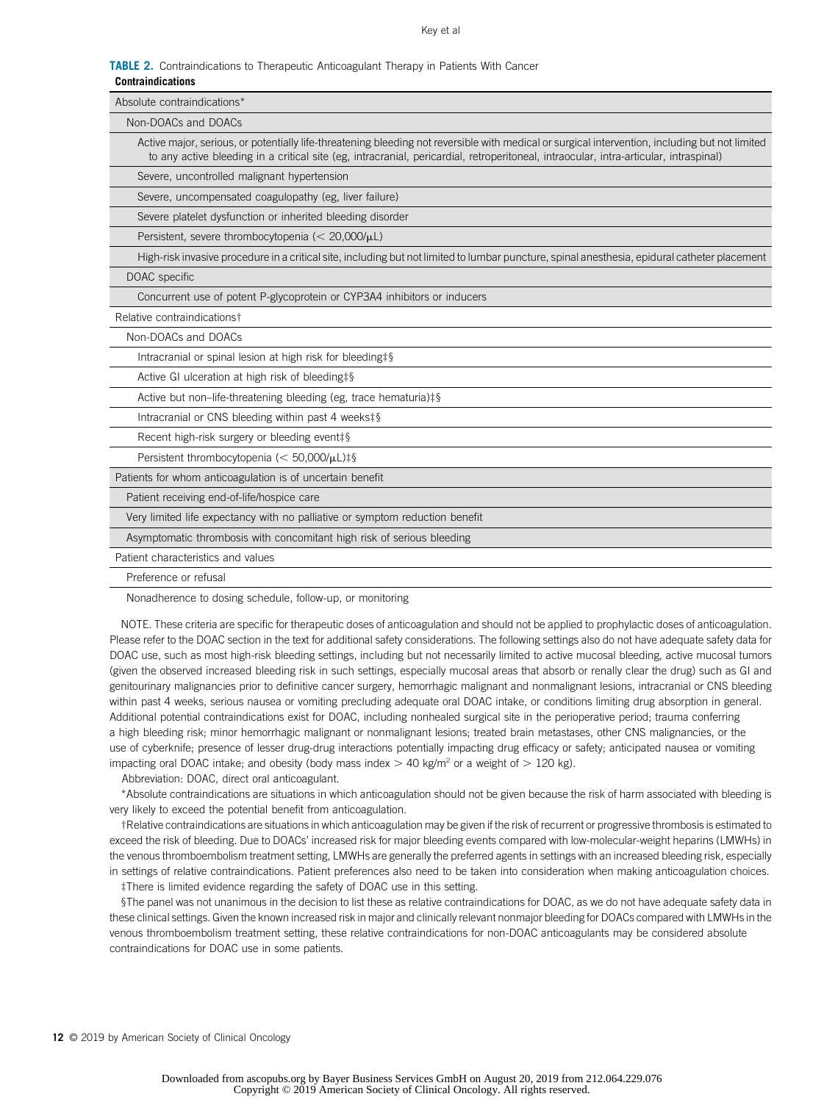#### Key et al

<span id="page-11-0"></span>**TABLE 2.** Contraindications to Therapeutic Anticoagulant Therapy in Patients With Cancer Contraindications

Absolute contraindications\*

Non-DOACs and DOACs

Active major, serious, or potentially life-threatening bleeding not reversible with medical or surgical intervention, including but not limited to any active bleeding in a critical site (eg, intracranial, pericardial, retroperitoneal, intraocular, intra-articular, intraspinal)

Severe, uncontrolled malignant hypertension

Severe, uncompensated coagulopathy (eg, liver failure)

Severe platelet dysfunction or inherited bleeding disorder

Persistent, severe thrombocytopenia ( $<$  20,000/ $\mu$ L)

High-risk invasive procedure in a critical site, including but not limited to lumbar puncture, spinal anesthesia, epidural catheter placement DOAC specific

Concurrent use of potent P-glycoprotein or CYP3A4 inhibitors or inducers

Relative contraindications†

Non-DOACs and DOACs

Intracranial or spinal lesion at high risk for bleeding‡§

Active GI ulceration at high risk of bleeding‡§

Active but non–life-threatening bleeding (eg, trace hematuria)‡§

Intracranial or CNS bleeding within past 4 weeks‡§

Recent high-risk surgery or bleeding event‡§

Persistent thrombocytopenia (< 50,000/ $\mu$ L)‡§

Patients for whom anticoagulation is of uncertain benefit

Patient receiving end-of-life/hospice care

Very limited life expectancy with no palliative or symptom reduction benefit

Asymptomatic thrombosis with concomitant high risk of serious bleeding

Patient characteristics and values

#### Preference or refusal

Nonadherence to dosing schedule, follow-up, or monitoring

NOTE. These criteria are specific for therapeutic doses of anticoagulation and should not be applied to prophylactic doses of anticoagulation. Please refer to the DOAC section in the text for additional safety considerations. The following settings also do not have adequate safety data for DOAC use, such as most high-risk bleeding settings, including but not necessarily limited to active mucosal bleeding, active mucosal tumors (given the observed increased bleeding risk in such settings, especially mucosal areas that absorb or renally clear the drug) such as GI and genitourinary malignancies prior to definitive cancer surgery, hemorrhagic malignant and nonmalignant lesions, intracranial or CNS bleeding within past 4 weeks, serious nausea or vomiting precluding adequate oral DOAC intake, or conditions limiting drug absorption in general. Additional potential contraindications exist for DOAC, including nonhealed surgical site in the perioperative period; trauma conferring a high bleeding risk; minor hemorrhagic malignant or nonmalignant lesions; treated brain metastases, other CNS malignancies, or the use of cyberknife; presence of lesser drug-drug interactions potentially impacting drug efficacy or safety; anticipated nausea or vomiting impacting oral DOAC intake; and obesity (body mass index  $>$  40 kg/m<sup>2</sup> or a weight of  $>$  120 kg).

Abbreviation: DOAC, direct oral anticoagulant.

\*Absolute contraindications are situations in which anticoagulation should not be given because the risk of harm associated with bleeding is very likely to exceed the potential benefit from anticoagulation.

†Relative contraindications are situations in which anticoagulation may be given if the risk of recurrent or progressive thrombosis is estimated to exceed the risk of bleeding. Due to DOACs' increased risk for major bleeding events compared with low-molecular-weight heparins (LMWHs) in the venous thromboembolism treatment setting, LMWHs are generally the preferred agents in settings with an increased bleeding risk, especially in settings of relative contraindications. Patient preferences also need to be taken into consideration when making anticoagulation choices. ‡There is limited evidence regarding the safety of DOAC use in this setting.

§The panel was not unanimous in the decision to list these as relative contraindications for DOAC, as we do not have adequate safety data in these clinical settings. Given the known increased risk in major and clinically relevant nonmajor bleeding for DOACs compared with LMWHs in the venous thromboembolism treatment setting, these relative contraindications for non-DOAC anticoagulants may be considered absolute contraindications for DOAC use in some patients.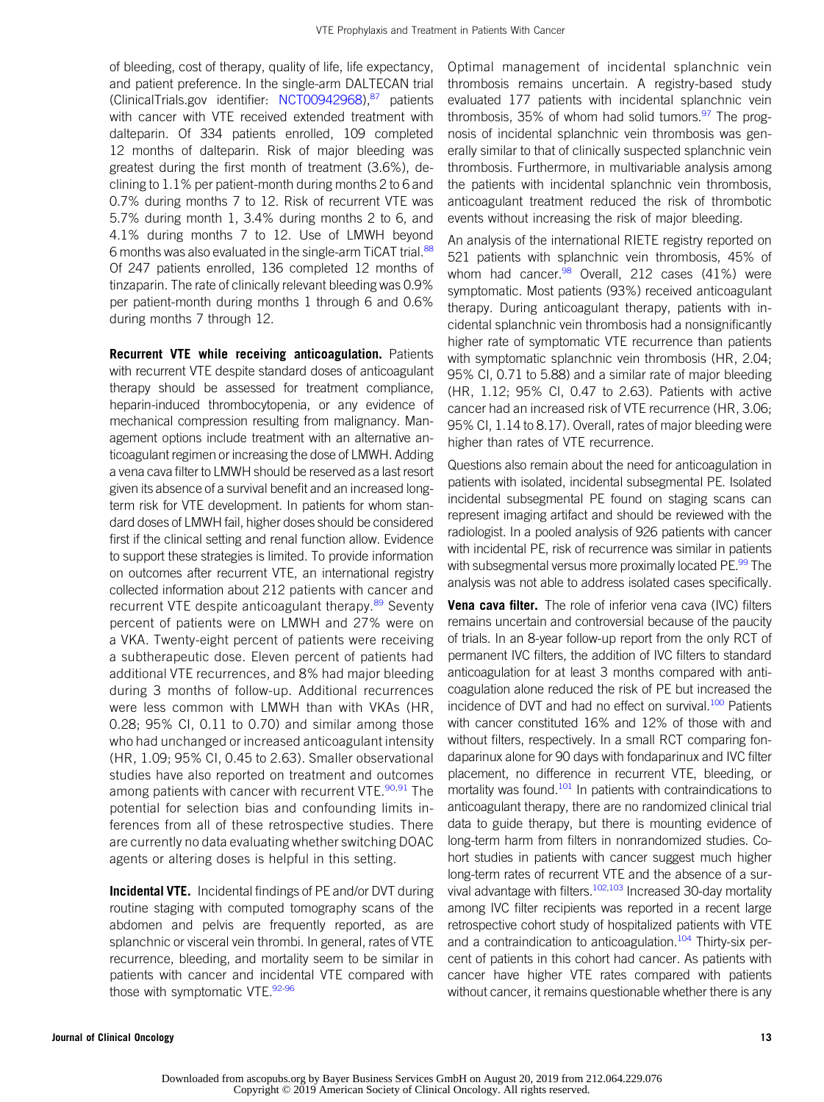of bleeding, cost of therapy, quality of life, life expectancy, and patient preference. In the single-arm DALTECAN trial (ClinicalTrials.gov identifier: [NCT00942968](https://clinicaltrials.gov/ct2/show/NCT00942968)),<sup>[87](#page-22-0)</sup> patients with cancer with VTE received extended treatment with dalteparin. Of 334 patients enrolled, 109 completed 12 months of dalteparin. Risk of major bleeding was greatest during the first month of treatment (3.6%), declining to 1.1% per patient-month during months 2 to 6 and 0.7% during months 7 to 12. Risk of recurrent VTE was 5.7% during month 1, 3.4% during months 2 to 6, and 4.1% during months 7 to 12. Use of LMWH beyond 6 months was also evaluated in the single-arm TiCAT trial.<sup>[88](#page-23-0)</sup> Of 247 patients enrolled, 136 completed 12 months of tinzaparin. The rate of clinically relevant bleeding was 0.9% per patient-month during months 1 through 6 and 0.6% during months 7 through 12.

Recurrent VTE while receiving anticoagulation. Patients with recurrent VTE despite standard doses of anticoagulant therapy should be assessed for treatment compliance, heparin-induced thrombocytopenia, or any evidence of mechanical compression resulting from malignancy. Management options include treatment with an alternative anticoagulant regimen or increasing the dose of LMWH. Adding a vena cava filter to LMWH should be reserved as a last resort given its absence of a survival benefit and an increased longterm risk for VTE development. In patients for whom standard doses of LMWH fail, higher doses should be considered first if the clinical setting and renal function allow. Evidence to support these strategies is limited. To provide information on outcomes after recurrent VTE, an international registry collected information about 212 patients with cancer and recurrent VTE despite anticoagulant therapy.<sup>[89](#page-23-0)</sup> Seventy percent of patients were on LMWH and 27% were on a VKA. Twenty-eight percent of patients were receiving a subtherapeutic dose. Eleven percent of patients had additional VTE recurrences, and 8% had major bleeding during 3 months of follow-up. Additional recurrences were less common with LMWH than with VKAs (HR, 0.28; 95% CI, 0.11 to 0.70) and similar among those who had unchanged or increased anticoagulant intensity (HR, 1.09; 95% CI, 0.45 to 2.63). Smaller observational studies have also reported on treatment and outcomes among patients with cancer with recurrent VTE.<sup>[90,91](#page-23-0)</sup> The potential for selection bias and confounding limits inferences from all of these retrospective studies. There are currently no data evaluating whether switching DOAC agents or altering doses is helpful in this setting.

**Incidental VTE.** Incidental findings of PE and/or DVT during routine staging with computed tomography scans of the abdomen and pelvis are frequently reported, as are splanchnic or visceral vein thrombi. In general, rates of VTE recurrence, bleeding, and mortality seem to be similar in patients with cancer and incidental VTE compared with those with symptomatic VTE.<sup>92-96</sup>

Optimal management of incidental splanchnic vein thrombosis remains uncertain. A registry-based study evaluated 177 patients with incidental splanchnic vein thrombosis, 35% of whom had solid tumors.<sup>[97](#page-23-0)</sup> The prognosis of incidental splanchnic vein thrombosis was generally similar to that of clinically suspected splanchnic vein thrombosis. Furthermore, in multivariable analysis among the patients with incidental splanchnic vein thrombosis, anticoagulant treatment reduced the risk of thrombotic events without increasing the risk of major bleeding.

An analysis of the international RIETE registry reported on 521 patients with splanchnic vein thrombosis, 45% of whom had cancer. $98$  Overall, 212 cases (41%) were symptomatic. Most patients (93%) received anticoagulant therapy. During anticoagulant therapy, patients with incidental splanchnic vein thrombosis had a nonsignificantly higher rate of symptomatic VTE recurrence than patients with symptomatic splanchnic vein thrombosis (HR, 2.04; 95% CI, 0.71 to 5.88) and a similar rate of major bleeding (HR, 1.12; 95% CI, 0.47 to 2.63). Patients with active cancer had an increased risk of VTE recurrence (HR, 3.06; 95% CI, 1.14 to 8.17). Overall, rates of major bleeding were higher than rates of VTE recurrence.

Questions also remain about the need for anticoagulation in patients with isolated, incidental subsegmental PE. Isolated incidental subsegmental PE found on staging scans can represent imaging artifact and should be reviewed with the radiologist. In a pooled analysis of 926 patients with cancer with incidental PE, risk of recurrence was similar in patients with subsegmental versus more proximally located PE.<sup>99</sup> The analysis was not able to address isolated cases specifically.

Vena cava filter. The role of inferior vena cava (IVC) filters remains uncertain and controversial because of the paucity of trials. In an 8-year follow-up report from the only RCT of permanent IVC filters, the addition of IVC filters to standard anticoagulation for at least 3 months compared with anticoagulation alone reduced the risk of PE but increased the incidence of DVT and had no effect on survival. $100$  Patients with cancer constituted 16% and 12% of those with and without filters, respectively. In a small RCT comparing fondaparinux alone for 90 days with fondaparinux and IVC filter placement, no difference in recurrent VTE, bleeding, or mortality was found.<sup>101</sup> In patients with contraindications to anticoagulant therapy, there are no randomized clinical trial data to guide therapy, but there is mounting evidence of long-term harm from filters in nonrandomized studies. Cohort studies in patients with cancer suggest much higher long-term rates of recurrent VTE and the absence of a sur-vival advantage with filters.<sup>[102,103](#page-23-0)</sup> Increased 30-day mortality among IVC filter recipients was reported in a recent large retrospective cohort study of hospitalized patients with VTE and a contraindication to anticoagulation.<sup>104</sup> Thirty-six percent of patients in this cohort had cancer. As patients with cancer have higher VTE rates compared with patients without cancer, it remains questionable whether there is any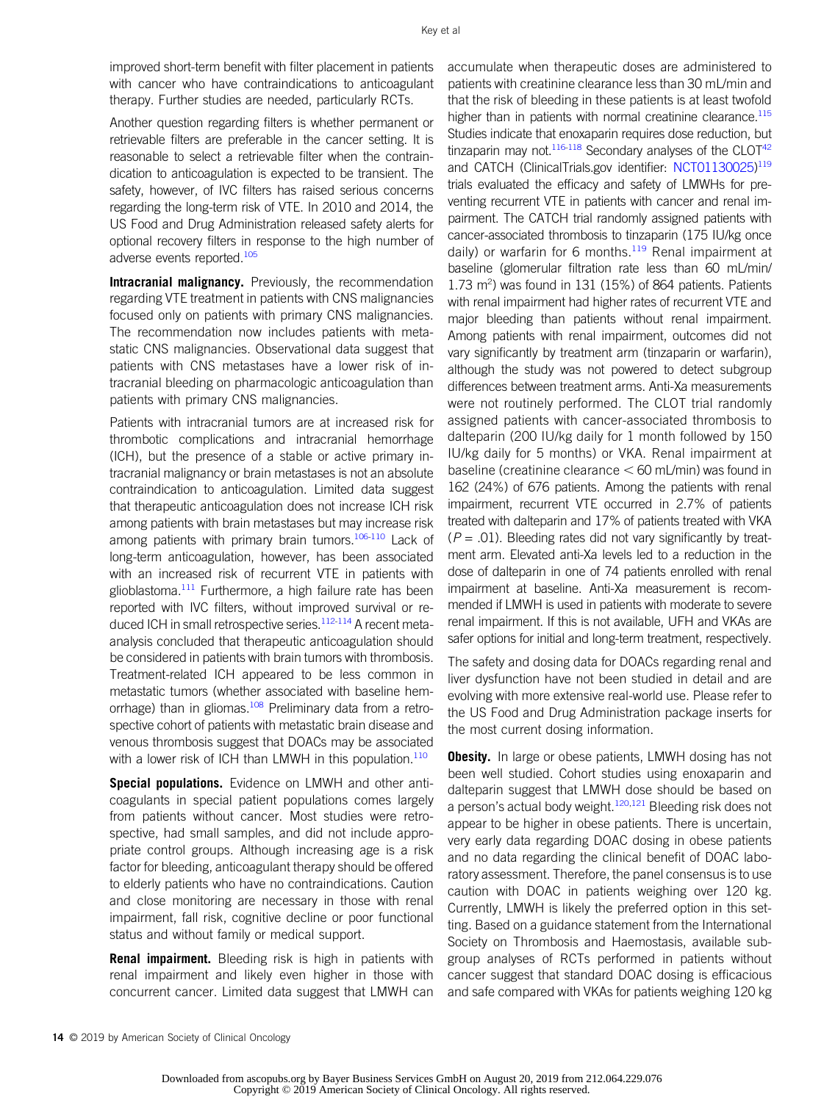improved short-term benefit with filter placement in patients with cancer who have contraindications to anticoagulant therapy. Further studies are needed, particularly RCTs.

Another question regarding filters is whether permanent or retrievable filters are preferable in the cancer setting. It is reasonable to select a retrievable filter when the contraindication to anticoagulation is expected to be transient. The safety, however, of IVC filters has raised serious concerns regarding the long-term risk of VTE. In 2010 and 2014, the US Food and Drug Administration released safety alerts for optional recovery filters in response to the high number of adverse events reported.<sup>105</sup>

Intracranial malignancy. Previously, the recommendation regarding VTE treatment in patients with CNS malignancies focused only on patients with primary CNS malignancies. The recommendation now includes patients with metastatic CNS malignancies. Observational data suggest that patients with CNS metastases have a lower risk of intracranial bleeding on pharmacologic anticoagulation than patients with primary CNS malignancies.

Patients with intracranial tumors are at increased risk for thrombotic complications and intracranial hemorrhage (ICH), but the presence of a stable or active primary intracranial malignancy or brain metastases is not an absolute contraindication to anticoagulation. Limited data suggest that therapeutic anticoagulation does not increase ICH risk among patients with brain metastases but may increase risk among patients with primary brain tumors.<sup>106-110</sup> Lack of long-term anticoagulation, however, has been associated with an increased risk of recurrent VTE in patients with glioblastoma.<sup>[111](#page-23-0)</sup> Furthermore, a high failure rate has been reported with IVC filters, without improved survival or re-duced ICH in small retrospective series.<sup>[112-114](#page-23-0)</sup> A recent metaanalysis concluded that therapeutic anticoagulation should be considered in patients with brain tumors with thrombosis. Treatment-related ICH appeared to be less common in metastatic tumors (whether associated with baseline hemorrhage) than in gliomas.<sup>108</sup> Preliminary data from a retrospective cohort of patients with metastatic brain disease and venous thrombosis suggest that DOACs may be associated with a lower risk of ICH than LMWH in this population.<sup>[110](#page-23-0)</sup>

Special populations. Evidence on LMWH and other anticoagulants in special patient populations comes largely from patients without cancer. Most studies were retrospective, had small samples, and did not include appropriate control groups. Although increasing age is a risk factor for bleeding, anticoagulant therapy should be offered to elderly patients who have no contraindications. Caution and close monitoring are necessary in those with renal impairment, fall risk, cognitive decline or poor functional status and without family or medical support.

**Renal impairment.** Bleeding risk is high in patients with renal impairment and likely even higher in those with concurrent cancer. Limited data suggest that LMWH can accumulate when therapeutic doses are administered to patients with creatinine clearance less than 30 mL/min and that the risk of bleeding in these patients is at least twofold higher than in patients with normal creatinine clearance. $115$ Studies indicate that enoxaparin requires dose reduction, but tinzaparin may not. $116-118$  Secondary analyses of the CLOT<sup>42</sup> and CATCH (ClinicalTrials.gov identifier: [NCT01130025](https://clinicaltrials.gov/ct2/show/NCT01130025))<sup>[119](#page-23-0)</sup> trials evaluated the efficacy and safety of LMWHs for preventing recurrent VTE in patients with cancer and renal impairment. The CATCH trial randomly assigned patients with cancer-associated thrombosis to tinzaparin (175 IU/kg once daily) or warfarin for 6 months.<sup>[119](#page-23-0)</sup> Renal impairment at baseline (glomerular filtration rate less than 60 mL/min/  $1.73$  m<sup>2</sup>) was found in  $131$  ( $15\%$ ) of 864 patients. Patients with renal impairment had higher rates of recurrent VTE and major bleeding than patients without renal impairment. Among patients with renal impairment, outcomes did not vary significantly by treatment arm (tinzaparin or warfarin), although the study was not powered to detect subgroup differences between treatment arms. Anti-Xa measurements were not routinely performed. The CLOT trial randomly assigned patients with cancer-associated thrombosis to dalteparin (200 IU/kg daily for 1 month followed by 150 IU/kg daily for 5 months) or VKA. Renal impairment at baseline (creatinine clearance  $<$  60 mL/min) was found in 162 (24%) of 676 patients. Among the patients with renal impairment, recurrent VTE occurred in 2.7% of patients treated with dalteparin and 17% of patients treated with VKA  $(P = .01)$ . Bleeding rates did not vary significantly by treatment arm. Elevated anti-Xa levels led to a reduction in the dose of dalteparin in one of 74 patients enrolled with renal impairment at baseline. Anti-Xa measurement is recommended if LMWH is used in patients with moderate to severe renal impairment. If this is not available, UFH and VKAs are safer options for initial and long-term treatment, respectively.

The safety and dosing data for DOACs regarding renal and liver dysfunction have not been studied in detail and are evolving with more extensive real-world use. Please refer to the US Food and Drug Administration package inserts for the most current dosing information.

**Obesity.** In large or obese patients, LMWH dosing has not been well studied. Cohort studies using enoxaparin and dalteparin suggest that LMWH dose should be based on a person's actual body weight.<sup>[120,121](#page-23-0)</sup> Bleeding risk does not appear to be higher in obese patients. There is uncertain, very early data regarding DOAC dosing in obese patients and no data regarding the clinical benefit of DOAC laboratory assessment. Therefore, the panel consensus is to use caution with DOAC in patients weighing over 120 kg. Currently, LMWH is likely the preferred option in this setting. Based on a guidance statement from the International Society on Thrombosis and Haemostasis, available subgroup analyses of RCTs performed in patients without cancer suggest that standard DOAC dosing is efficacious and safe compared with VKAs for patients weighing 120 kg

14 © 2019 by American Society of Clinical Oncology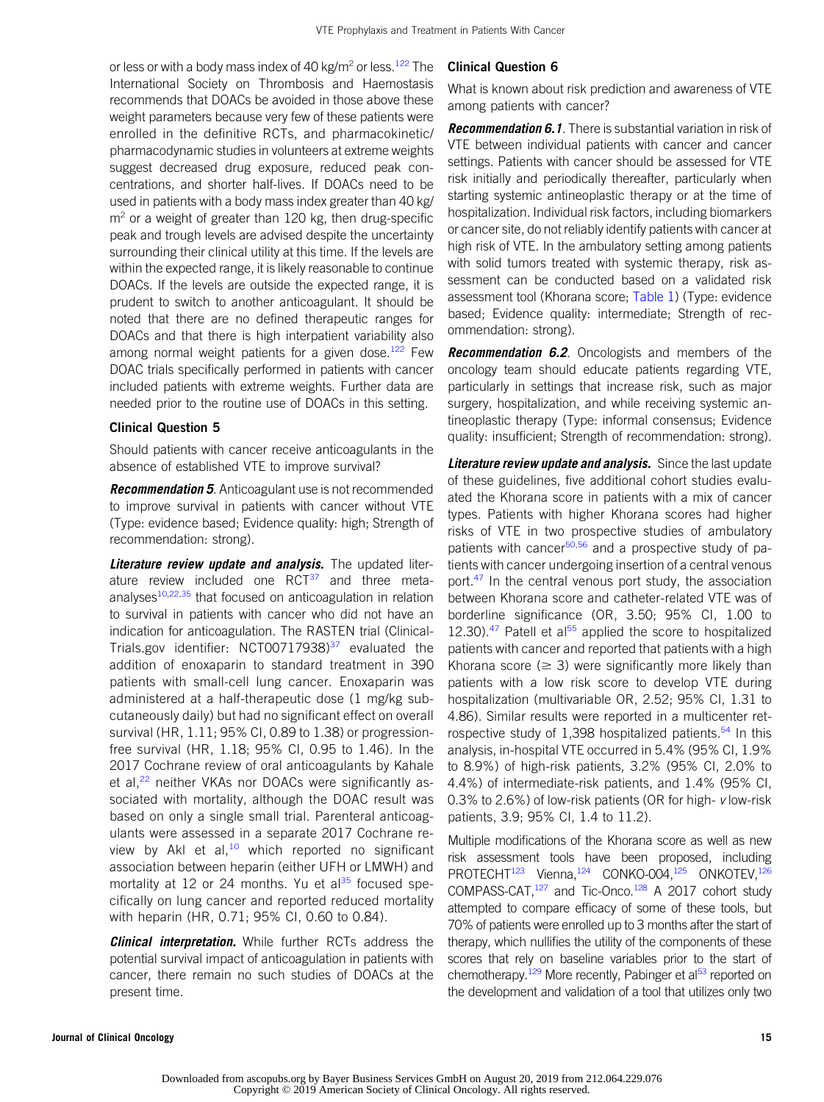or less or with a body mass index of 40 kg/m<sup>2</sup> or less.<sup>[122](#page-23-0)</sup> The International Society on Thrombosis and Haemostasis recommends that DOACs be avoided in those above these weight parameters because very few of these patients were enrolled in the definitive RCTs, and pharmacokinetic/ pharmacodynamic studies in volunteers at extreme weights suggest decreased drug exposure, reduced peak concentrations, and shorter half-lives. If DOACs need to be used in patients with a body mass index greater than 40 kg/  $m<sup>2</sup>$  or a weight of greater than 120 kg, then drug-specific peak and trough levels are advised despite the uncertainty surrounding their clinical utility at this time. If the levels are within the expected range, it is likely reasonable to continue DOACs. If the levels are outside the expected range, it is prudent to switch to another anticoagulant. It should be noted that there are no defined therapeutic ranges for DOACs and that there is high interpatient variability also among normal weight patients for a given dose.<sup>122</sup> Few DOAC trials specifically performed in patients with cancer included patients with extreme weights. Further data are needed prior to the routine use of DOACs in this setting.

### Clinical Question 5

Should patients with cancer receive anticoagulants in the absence of established VTE to improve survival?

**Recommendation 5.** Anticoagulant use is not recommended to improve survival in patients with cancer without VTE (Type: evidence based; Evidence quality: high; Strength of recommendation: strong).

Literature review update and analysis. The updated literature review included one  $RCT^{37}$  $RCT^{37}$  $RCT^{37}$  and three meta-analyses<sup>[10,](#page-20-0)[22](#page-21-0),[35](#page-21-0)</sup> that focused on anticoagulation in relation to survival in patients with cancer who did not have an indication for anticoagulation. The RASTEN trial (Clinical-Trials.gov identifier:  $NCT00717938$ <sup>[37](#page-21-0)</sup> evaluated the addition of enoxaparin to standard treatment in 390 patients with small-cell lung cancer. Enoxaparin was administered at a half-therapeutic dose (1 mg/kg subcutaneously daily) but had no significant effect on overall survival (HR, 1.11; 95% CI, 0.89 to 1.38) or progressionfree survival (HR, 1.18; 95% CI, 0.95 to 1.46). In the 2017 Cochrane review of oral anticoagulants by Kahale et al, $^{22}$  $^{22}$  $^{22}$  neither VKAs nor DOACs were significantly associated with mortality, although the DOAC result was based on only a single small trial. Parenteral anticoagulants were assessed in a separate 2017 Cochrane review by Akl et al, $10$  which reported no significant association between heparin (either UFH or LMWH) and mortality at 12 or 24 months. Yu et  $a^{35}$  $a^{35}$  $a^{35}$  focused specifically on lung cancer and reported reduced mortality with heparin (HR, 0.71; 95% CI, 0.60 to 0.84).

**Clinical interpretation.** While further RCTs address the potential survival impact of anticoagulation in patients with cancer, there remain no such studies of DOACs at the present time.

# Clinical Question 6

What is known about risk prediction and awareness of VTE among patients with cancer?

Recommendation 6.1. There is substantial variation in risk of VTE between individual patients with cancer and cancer settings. Patients with cancer should be assessed for VTE risk initially and periodically thereafter, particularly when starting systemic antineoplastic therapy or at the time of hospitalization. Individual risk factors, including biomarkers or cancer site, do not reliably identify patients with cancer at high risk of VTE. In the ambulatory setting among patients with solid tumors treated with systemic therapy, risk assessment can be conducted based on a validated risk assessment tool (Khorana score; [Table 1](#page-6-0)) (Type: evidence based; Evidence quality: intermediate; Strength of recommendation: strong).

**Recommendation 6.2.** Oncologists and members of the oncology team should educate patients regarding VTE, particularly in settings that increase risk, such as major surgery, hospitalization, and while receiving systemic antineoplastic therapy (Type: informal consensus; Evidence quality: insufficient; Strength of recommendation: strong).

Literature review update and analysis. Since the last update of these guidelines, five additional cohort studies evaluated the Khorana score in patients with a mix of cancer types. Patients with higher Khorana scores had higher risks of VTE in two prospective studies of ambulatory patients with cancer<sup>[50,](#page-21-0)[56](#page-22-0)</sup> and a prospective study of patients with cancer undergoing insertion of a central venous port.<sup>[47](#page-21-0)</sup> In the central venous port study, the association between Khorana score and catheter-related VTE was of borderline significance (OR, 3.50; 95% CI, 1.00 to 12.30). $47$  Patell et al<sup>[55](#page-22-0)</sup> applied the score to hospitalized patients with cancer and reported that patients with a high Khorana score ( $\geq$  3) were significantly more likely than patients with a low risk score to develop VTE during hospitalization (multivariable OR, 2.52; 95% CI, 1.31 to 4.86). Similar results were reported in a multicenter ret-rospective study of 1,398 hospitalized patients.<sup>[54](#page-22-0)</sup> In this analysis, in-hospital VTE occurred in 5.4% (95% CI, 1.9% to 8.9%) of high-risk patients, 3.2% (95% CI, 2.0% to 4.4%) of intermediate-risk patients, and 1.4% (95% CI, 0.3% to 2.6%) of low-risk patients (OR for high- v low-risk patients, 3.9; 95% CI, 1.4 to 11.2).

Multiple modifications of the Khorana score as well as new risk assessment tools have been proposed, including PROTECHT<sup>[123](#page-23-0)</sup> Vienna,<sup>[124](#page-23-0)</sup> CONKO-004,<sup>125</sup> ONKOTEV,<sup>126</sup> COMPASS-CAT,<sup>127</sup> and Tic-Onco.<sup>128</sup> A 2017 cohort study attempted to compare efficacy of some of these tools, but 70% of patients were enrolled up to 3 months after the start of therapy, which nullifies the utility of the components of these scores that rely on baseline variables prior to the start of chemotherapy.<sup>[129](#page-24-0)</sup> More recently, Pabinger et al<sup>53</sup> reported on the development and validation of a tool that utilizes only two

Journal of Clinical Oncology 15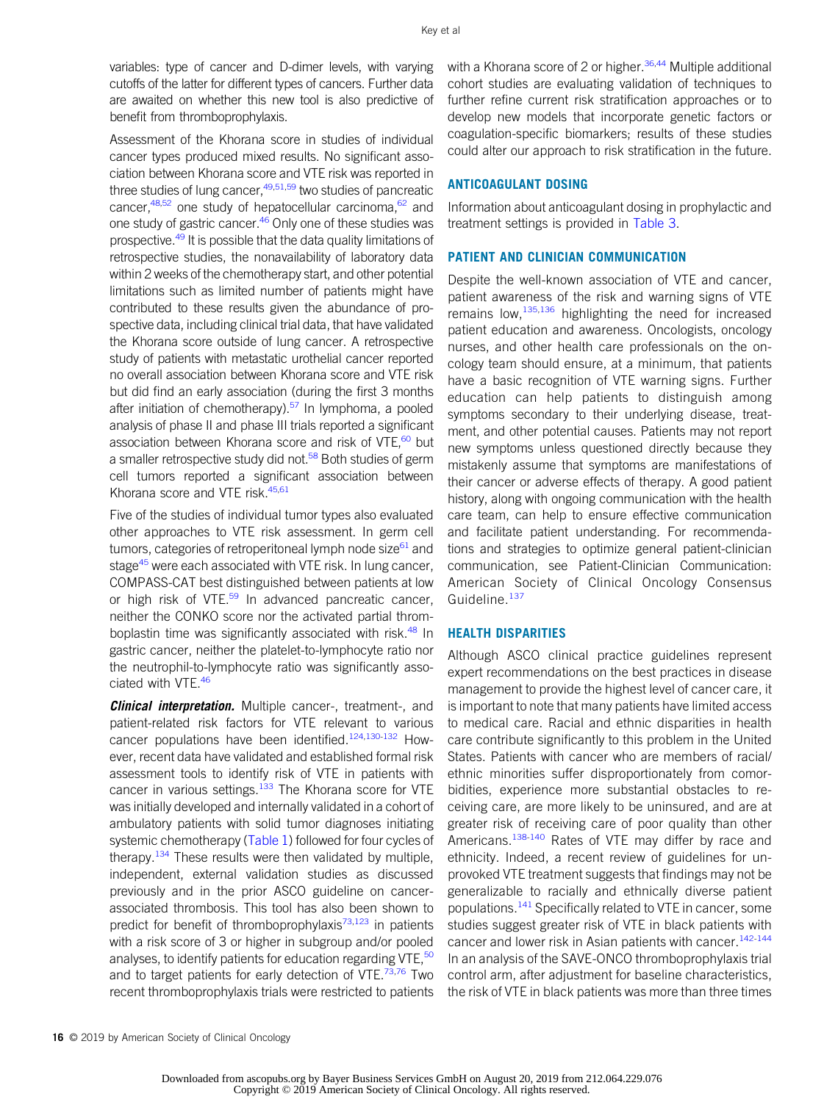variables: type of cancer and D-dimer levels, with varying cutoffs of the latter for different types of cancers. Further data are awaited on whether this new tool is also predictive of benefit from thromboprophylaxis.

Assessment of the Khorana score in studies of individual cancer types produced mixed results. No significant association between Khorana score and VTE risk was reported in three studies of lung cancer,<sup>49,51,[59](#page-22-0)</sup> two studies of pancreatic cancer,  $48,52$  one study of hepatocellular carcinoma,  $62$  and one study of gastric cancer.<sup>46</sup> Only one of these studies was prospective.<sup>49</sup> It is possible that the data quality limitations of retrospective studies, the nonavailability of laboratory data within 2 weeks of the chemotherapy start, and other potential limitations such as limited number of patients might have contributed to these results given the abundance of prospective data, including clinical trial data, that have validated the Khorana score outside of lung cancer. A retrospective study of patients with metastatic urothelial cancer reported no overall association between Khorana score and VTE risk but did find an early association (during the first 3 months after initiation of chemotherapy).<sup>[57](#page-22-0)</sup> In lymphoma, a pooled analysis of phase II and phase III trials reported a significant association between Khorana score and risk of VTE,<sup>60</sup> but a smaller retrospective study did not.<sup>58</sup> Both studies of germ cell tumors reported a significant association between Khorana score and VTE risk.<sup>45,[61](#page-22-0)</sup>

Five of the studies of individual tumor types also evaluated other approaches to VTE risk assessment. In germ cell tumors, categories of retroperitoneal lymph node size<sup>[61](#page-22-0)</sup> and stage<sup>[45](#page-21-0)</sup> were each associated with VTE risk. In lung cancer, COMPASS-CAT best distinguished between patients at low or high risk of VTE.<sup>[59](#page-22-0)</sup> In advanced pancreatic cancer, neither the CONKO score nor the activated partial throm-boplastin time was significantly associated with risk.<sup>[48](#page-21-0)</sup> In gastric cancer, neither the platelet-to-lymphocyte ratio nor the neutrophil-to-lymphocyte ratio was significantly asso-ciated with VTE.<sup>[46](#page-21-0)</sup>

Clinical interpretation. Multiple cancer-, treatment-, and patient-related risk factors for VTE relevant to various cancer populations have been identified.<sup>[124](#page-23-0),[130-132](#page-24-0)</sup> However, recent data have validated and established formal risk assessment tools to identify risk of VTE in patients with cancer in various settings.<sup>[133](#page-24-0)</sup> The Khorana score for VTE was initially developed and internally validated in a cohort of ambulatory patients with solid tumor diagnoses initiating systemic chemotherapy ([Table 1](#page-6-0)) followed for four cycles of therapy.<sup>[134](#page-24-0)</sup> These results were then validated by multiple, independent, external validation studies as discussed previously and in the prior ASCO guideline on cancerassociated thrombosis. This tool has also been shown to predict for benefit of thromboprophylaxis $73,123$  $73,123$  $73,123$  in patients with a risk score of 3 or higher in subgroup and/or pooled analyses, to identify patients for education regarding VTE, <sup>[50](#page-21-0)</sup> and to target patients for early detection of VTE.<sup>[73,76](#page-22-0)</sup> Two recent thromboprophylaxis trials were restricted to patients with a Khorana score of 2 or higher. $36,44$  Multiple additional cohort studies are evaluating validation of techniques to further refine current risk stratification approaches or to develop new models that incorporate genetic factors or coagulation-specific biomarkers; results of these studies could alter our approach to risk stratification in the future.

### ANTICOAGULANT DOSING

Information about anticoagulant dosing in prophylactic and treatment settings is provided in [Table 3](#page-16-0).

### PATIENT AND CLINICIAN COMMUNICATION

Despite the well-known association of VTE and cancer, patient awareness of the risk and warning signs of VTE remains low,  $135,136$  highlighting the need for increased patient education and awareness. Oncologists, oncology nurses, and other health care professionals on the oncology team should ensure, at a minimum, that patients have a basic recognition of VTE warning signs. Further education can help patients to distinguish among symptoms secondary to their underlying disease, treatment, and other potential causes. Patients may not report new symptoms unless questioned directly because they mistakenly assume that symptoms are manifestations of their cancer or adverse effects of therapy. A good patient history, along with ongoing communication with the health care team, can help to ensure effective communication and facilitate patient understanding. For recommendations and strategies to optimize general patient-clinician communication, see Patient-Clinician Communication: American Society of Clinical Oncology Consensus Guideline.<sup>[137](#page-24-0)</sup>

### HEALTH DISPARITIES

Although ASCO clinical practice guidelines represent expert recommendations on the best practices in disease management to provide the highest level of cancer care, it is important to note that many patients have limited access to medical care. Racial and ethnic disparities in health care contribute significantly to this problem in the United States. Patients with cancer who are members of racial/ ethnic minorities suffer disproportionately from comorbidities, experience more substantial obstacles to receiving care, are more likely to be uninsured, and are at greater risk of receiving care of poor quality than other Americans.<sup>[138-140](#page-24-0)</sup> Rates of VTE may differ by race and ethnicity. Indeed, a recent review of guidelines for unprovoked VTE treatment suggests that findings may not be generalizable to racially and ethnically diverse patient populations.<sup>[141](#page-24-0)</sup> Specifically related to VTE in cancer, some studies suggest greater risk of VTE in black patients with cancer and lower risk in Asian patients with cancer.  $142-144$  $142-144$  $142-144$ In an analysis of the SAVE-ONCO thromboprophylaxis trial control arm, after adjustment for baseline characteristics, the risk of VTE in black patients was more than three times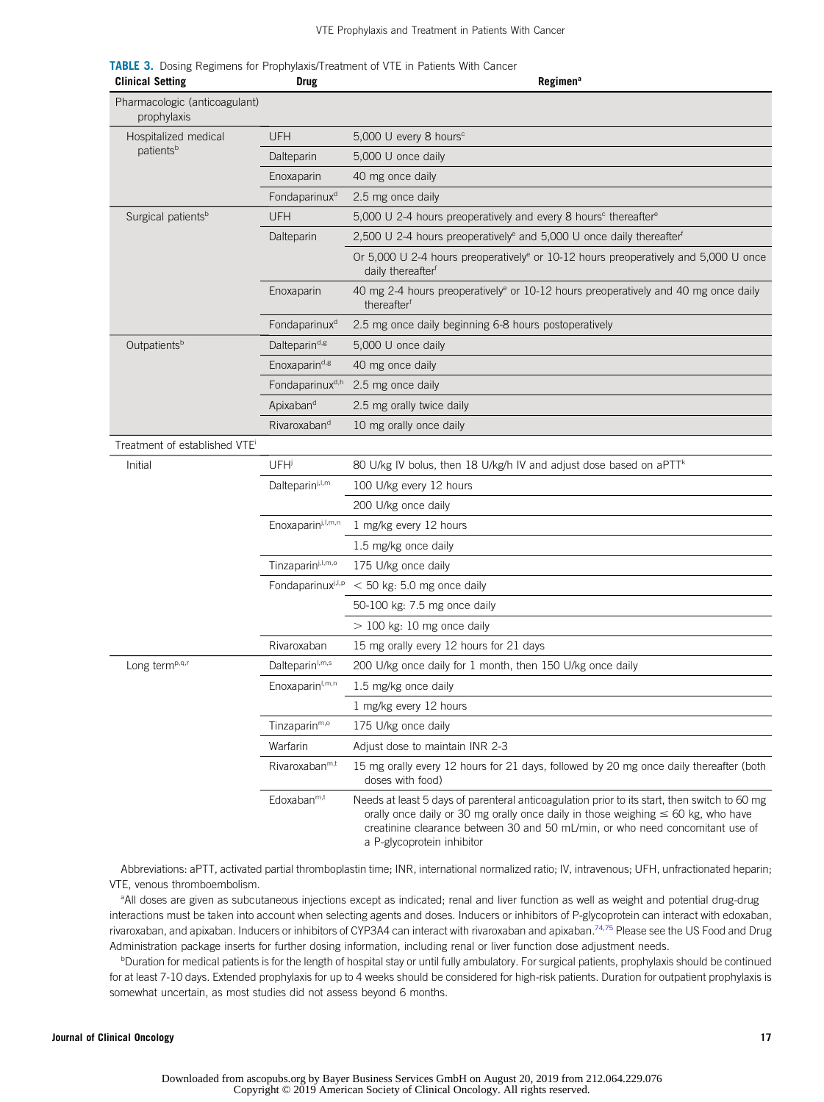<span id="page-16-0"></span>TABLE 3. Dosing Regimens for Prophylaxis/Treatment of VTE in Patients With Cancer **Clinical Setting Community Community Community Community Community Community Community Community Community Community Regimen** 

| Pharmacologic (anticoagulant)<br>prophylaxis |                             |                                                                                                                                                                                                                                                                                                      |
|----------------------------------------------|-----------------------------|------------------------------------------------------------------------------------------------------------------------------------------------------------------------------------------------------------------------------------------------------------------------------------------------------|
| Hospitalized medical                         | <b>UFH</b>                  | 5,000 U every 8 hours <sup>c</sup>                                                                                                                                                                                                                                                                   |
| patients <sup>b</sup>                        | Dalteparin                  | 5,000 U once daily                                                                                                                                                                                                                                                                                   |
|                                              | Enoxaparin                  | 40 mg once daily                                                                                                                                                                                                                                                                                     |
|                                              | Fondaparinux <sup>d</sup>   | 2.5 mg once daily                                                                                                                                                                                                                                                                                    |
| Surgical patients <sup>b</sup>               | <b>UFH</b>                  | 5,000 U 2-4 hours preoperatively and every 8 hours <sup>c</sup> thereafter <sup>e</sup>                                                                                                                                                                                                              |
|                                              | Dalteparin                  | 2,500 U 2-4 hours preoperatively <sup>e</sup> and 5,000 U once daily thereafter <sup>f</sup>                                                                                                                                                                                                         |
|                                              |                             | Or 5,000 U 2-4 hours preoperatively <sup>e</sup> or 10-12 hours preoperatively and 5,000 U once<br>daily thereafterf                                                                                                                                                                                 |
|                                              | Enoxaparin                  | 40 mg 2-4 hours preoperatively <sup>e</sup> or 10-12 hours preoperatively and 40 mg once daily<br>thereafter                                                                                                                                                                                         |
|                                              | Fondaparinux <sup>d</sup>   | 2.5 mg once daily beginning 6-8 hours postoperatively                                                                                                                                                                                                                                                |
| Outpatientsb                                 | Dalteparin <sup>d,g</sup>   | 5,000 U once daily                                                                                                                                                                                                                                                                                   |
|                                              | Enoxaparin <sup>d,g</sup>   | 40 mg once daily                                                                                                                                                                                                                                                                                     |
|                                              | Fondaparinux <sup>d,h</sup> | 2.5 mg once daily                                                                                                                                                                                                                                                                                    |
|                                              | Apixaban <sup>d</sup>       | 2.5 mg orally twice daily                                                                                                                                                                                                                                                                            |
|                                              | Rivaroxaban <sup>d</sup>    | 10 mg orally once daily                                                                                                                                                                                                                                                                              |
| Treatment of established VTE <sup>i</sup>    |                             |                                                                                                                                                                                                                                                                                                      |
| Initial                                      | UFH                         | 80 U/kg IV bolus, then 18 U/kg/h IV and adjust dose based on aPTT <sup>k</sup>                                                                                                                                                                                                                       |
|                                              | Dalteparini, I,m            | 100 U/kg every 12 hours                                                                                                                                                                                                                                                                              |
|                                              |                             | 200 U/kg once daily                                                                                                                                                                                                                                                                                  |
|                                              | Enoxaparini, I,m,n          | 1 mg/kg every 12 hours                                                                                                                                                                                                                                                                               |
|                                              |                             | 1.5 mg/kg once daily                                                                                                                                                                                                                                                                                 |
|                                              | Tinzaparini, I,m,o          | 175 U/kg once daily                                                                                                                                                                                                                                                                                  |
|                                              | Fondaparinuxi, I,p          | $<$ 50 kg: 5.0 mg once daily                                                                                                                                                                                                                                                                         |
|                                              |                             | 50-100 kg: 7.5 mg once daily                                                                                                                                                                                                                                                                         |
|                                              |                             | $>$ 100 kg: 10 mg once daily                                                                                                                                                                                                                                                                         |
|                                              | Rivaroxaban                 | 15 mg orally every 12 hours for 21 days                                                                                                                                                                                                                                                              |
| Long term <sup>p,q,r</sup>                   | Dalteparin <sup>l,m,s</sup> | 200 U/kg once daily for 1 month, then 150 U/kg once daily                                                                                                                                                                                                                                            |
|                                              | Enoxaparin <sup>1,m,n</sup> | 1.5 mg/kg once daily                                                                                                                                                                                                                                                                                 |
|                                              |                             | 1 mg/kg every 12 hours                                                                                                                                                                                                                                                                               |
|                                              | Tinzaparin <sup>m,o</sup>   | 175 U/kg once daily                                                                                                                                                                                                                                                                                  |
|                                              | Warfarin                    | Adjust dose to maintain INR 2-3                                                                                                                                                                                                                                                                      |
|                                              | Rivaroxaban <sup>m,t</sup>  | 15 mg orally every 12 hours for 21 days, followed by 20 mg once daily thereafter (both<br>doses with food)                                                                                                                                                                                           |
|                                              | Edoxaban <sup>m,t</sup>     | Needs at least 5 days of parenteral anticoagulation prior to its start, then switch to 60 mg<br>orally once daily or 30 mg orally once daily in those weighing $\leq 60$ kg, who have<br>creatinine clearance between 30 and 50 mL/min, or who need concomitant use of<br>a P-glycoprotein inhibitor |

Abbreviations: aPTT, activated partial thromboplastin time; INR, international normalized ratio; IV, intravenous; UFH, unfractionated heparin; VTE, venous thromboembolism.

<sup>a</sup>All doses are given as subcutaneous injections except as indicated; renal and liver function as well as weight and potential drug-drug interactions must be taken into account when selecting agents and doses. Inducers or inhibitors of P-glycoprotein can interact with edoxaban, rivaroxaban, and apixaban. Inducers or inhibitors of CYP3A4 can interact with rivaroxaban and apixaban.<sup>74,[75](#page-22-0)</sup> Please see the US Food and Drug Administration package inserts for further dosing information, including renal or liver function dose adjustment needs.

**bDuration for medical patients is for the length of hospital stay or until fully ambulatory. For surgical patients, prophylaxis should be continued** for at least 7-10 days. Extended prophylaxis for up to 4 weeks should be considered for high-risk patients. Duration for outpatient prophylaxis is somewhat uncertain, as most studies did not assess beyond 6 months.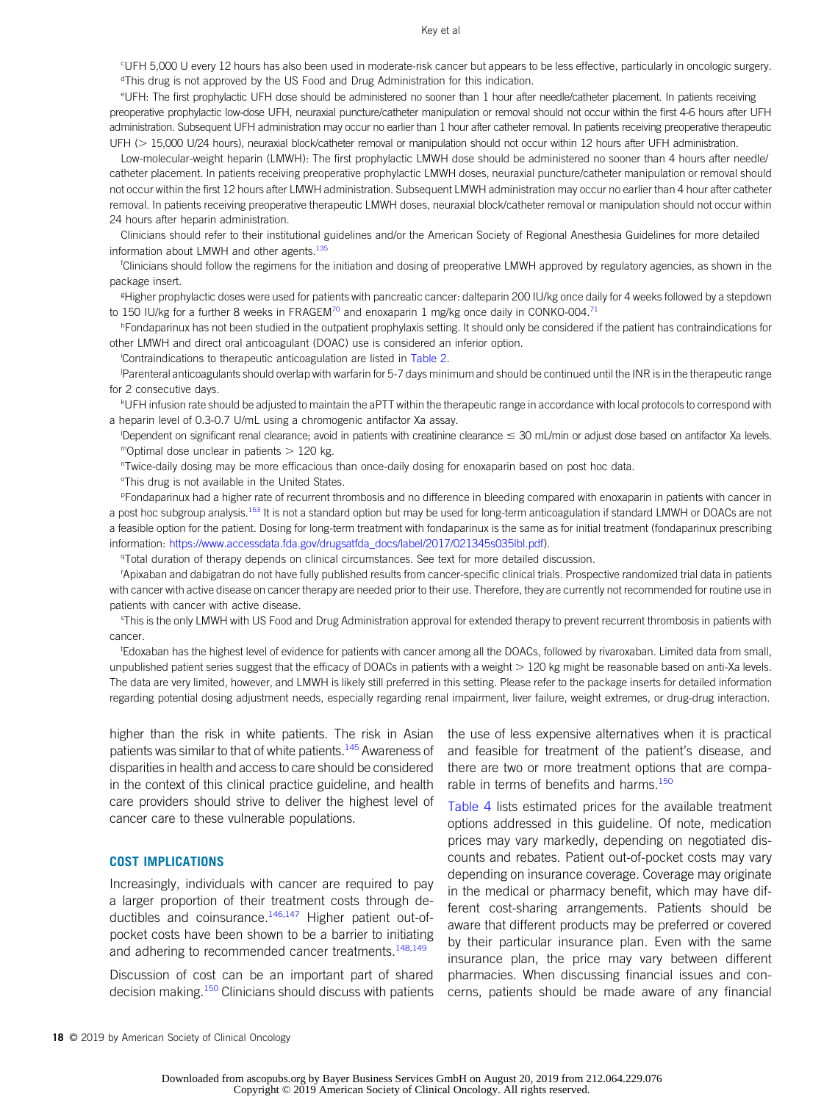#### Key et al

c UFH 5,000 U every 12 hours has also been used in moderate-risk cancer but appears to be less effective, particularly in oncologic surgery. <sup>d</sup>This drug is not approved by the US Food and Drug Administration for this indication.

e UFH: The first prophylactic UFH dose should be administered no sooner than 1 hour after needle/catheter placement. In patients receiving preoperative prophylactic low-dose UFH, neuraxial puncture/catheter manipulation or removal should not occur within the first 4-6 hours after UFH administration. Subsequent UFH administration may occur no earlier than 1 hour after catheter removal. In patients receiving preoperative therapeutic UFH (> 15,000 U/24 hours), neuraxial block/catheter removal or manipulation should not occur within 12 hours after UFH administration.

Low-molecular-weight heparin (LMWH): The first prophylactic LMWH dose should be administered no sooner than 4 hours after needle/ catheter placement. In patients receiving preoperative prophylactic LMWH doses, neuraxial puncture/catheter manipulation or removal should not occur within the first 12 hours after LMWH administration. Subsequent LMWH administration may occur no earlier than 4 hour after catheter removal. In patients receiving preoperative therapeutic LMWH doses, neuraxial block/catheter removal or manipulation should not occur within 24 hours after heparin administration.

Clinicians should refer to their institutional guidelines and/or the American Society of Regional Anesthesia Guidelines for more detailed information about LMWH and other agents.<sup>135</sup>

f Clinicians should follow the regimens for the initiation and dosing of preoperative LMWH approved by regulatory agencies, as shown in the package insert.

g Higher prophylactic doses were used for patients with pancreatic cancer: dalteparin 200 IU/kg once daily for 4 weeks followed by a stepdown to 150 IU/kg for a further 8 weeks in FRAGEM<sup>[70](#page-22-0)</sup> and enoxaparin 1 mg/kg once daily in CONKO-004.<sup>[71](#page-22-0)</sup>

<sup>h</sup>Fondaparinux has not been studied in the outpatient prophylaxis setting. It should only be considered if the patient has contraindications for other LMWH and direct oral anticoagulant (DOAC) use is considered an inferior option.

i Contraindications to therapeutic anticoagulation are listed in [Table 2](#page-11-0).

j Parenteral anticoagulants should overlap with warfarin for 5-7 days minimum and should be continued until the INR is in the therapeutic range for 2 consecutive days.

k UFH infusion rate should be adjusted to maintain the aPTT within the therapeutic range in accordance with local protocols to correspond with a heparin level of 0.3-0.7 U/mL using a chromogenic antifactor Xa assay.

<sup>1</sup>Dependent on significant renal clearance; avoid in patients with creatinine clearance ≤ 30 mL/min or adjust dose based on antifactor Xa levels. mOptimal dose unclear in patients  $> 120$  kg.

n Twice-daily dosing may be more efficacious than once-daily dosing for enoxaparin based on post hoc data.

<sup>o</sup>This drug is not available in the United States.

PFondaparinux had a higher rate of recurrent thrombosis and no difference in bleeding compared with enoxaparin in patients with cancer in a post hoc subgroup analysis.<sup>153</sup> It is not a standard option but may be used for long-term anticoagulation if standard LMWH or DOACs are not a feasible option for the patient. Dosing for long-term treatment with fondaparinux is the same as for initial treatment (fondaparinux prescribing information: [https://www.accessdata.fda.gov/drugsatfda\\_docs/label/2017/021345s035lbl.pdf\)](https://www.accessdata.fda.gov/drugsatfda_docs/label/2017/021345s035lbl.pdf).

<sup>q</sup>Total duration of therapy depends on clinical circumstances. See text for more detailed discussion.

r Apixaban and dabigatran do not have fully published results from cancer-specific clinical trials. Prospective randomized trial data in patients with cancer with active disease on cancer therapy are needed prior to their use. Therefore, they are currently not recommended for routine use in patients with cancer with active disease.

s This is the only LMWH with US Food and Drug Administration approval for extended therapy to prevent recurrent thrombosis in patients with cancer.

t Edoxaban has the highest level of evidence for patients with cancer among all the DOACs, followed by rivaroxaban. Limited data from small, unpublished patient series suggest that the efficacy of DOACs in patients with a weight  $>120$  kg might be reasonable based on anti-Xa levels. The data are very limited, however, and LMWH is likely still preferred in this setting. Please refer to the package inserts for detailed information regarding potential dosing adjustment needs, especially regarding renal impairment, liver failure, weight extremes, or drug-drug interaction.

higher than the risk in white patients. The risk in Asian patients was similar to that of white patients.<sup>[145](#page-24-0)</sup> Awareness of disparities in health and access to care should be considered in the context of this clinical practice guideline, and health care providers should strive to deliver the highest level of cancer care to these vulnerable populations.

### COST IMPLICATIONS

Increasingly, individuals with cancer are required to pay a larger proportion of their treatment costs through de-ductibles and coinsurance.<sup>[146,147](#page-24-0)</sup> Higher patient out-ofpocket costs have been shown to be a barrier to initiating and adhering to recommended cancer treatments.<sup>[148](#page-24-0),[149](#page-24-0)</sup>

Discussion of cost can be an important part of shared decision making.<sup>[150](#page-24-0)</sup> Clinicians should discuss with patients

the use of less expensive alternatives when it is practical and feasible for treatment of the patient's disease, and there are two or more treatment options that are compa-rable in terms of benefits and harms.<sup>[150](#page-24-0)</sup>

[Table 4](#page-18-0) lists estimated prices for the available treatment options addressed in this guideline. Of note, medication prices may vary markedly, depending on negotiated discounts and rebates. Patient out-of-pocket costs may vary depending on insurance coverage. Coverage may originate in the medical or pharmacy benefit, which may have different cost-sharing arrangements. Patients should be aware that different products may be preferred or covered by their particular insurance plan. Even with the same insurance plan, the price may vary between different pharmacies. When discussing financial issues and concerns, patients should be made aware of any financial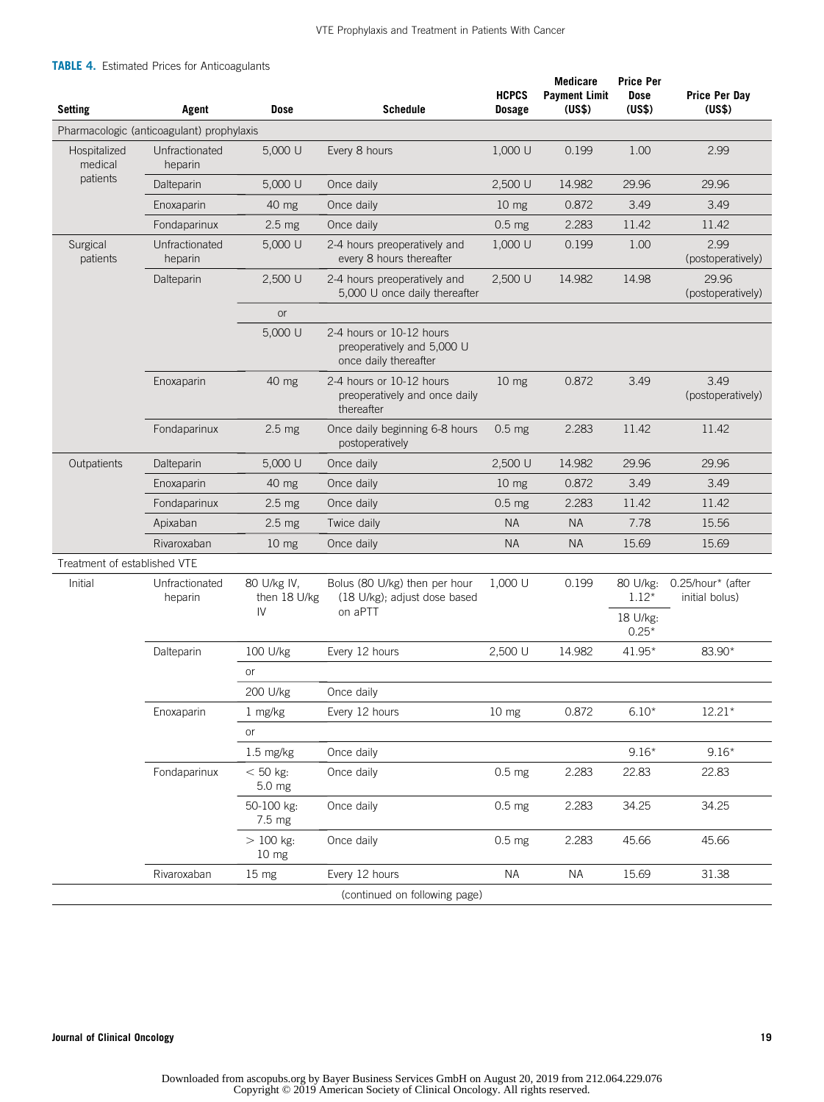# <span id="page-18-0"></span>TABLE 4. Estimated Prices for Anticoagulants

| Setting                             | Agent                                     | Dose                        | <b>Schedule</b>                                                                 | <b>HCPCS</b><br><b>Dosage</b> | Medicare<br><b>Payment Limit</b><br>(US\$) | <b>Price Per</b><br><b>Dose</b><br>(US\$) | <b>Price Per Day</b><br>(US\$)      |
|-------------------------------------|-------------------------------------------|-----------------------------|---------------------------------------------------------------------------------|-------------------------------|--------------------------------------------|-------------------------------------------|-------------------------------------|
|                                     | Pharmacologic (anticoagulant) prophylaxis |                             |                                                                                 |                               |                                            |                                           |                                     |
| Hospitalized<br>medical<br>patients | Unfractionated<br>heparin                 | 5,000 U                     | Every 8 hours                                                                   | 1,000 U                       | 0.199                                      | 1.00                                      | 2.99                                |
|                                     | Dalteparin                                | 5,000 U                     | Once daily                                                                      | 2,500 U                       | 14.982                                     | 29.96                                     | 29.96                               |
|                                     | Enoxaparin                                | 40 mg                       | Once daily                                                                      | 10 <sub>mg</sub>              | 0.872                                      | 3.49                                      | 3.49                                |
|                                     | Fondaparinux                              | 2.5 <sub>mg</sub>           | Once daily                                                                      | 0.5 <sub>mg</sub>             | 2.283                                      | 11.42                                     | 11.42                               |
| Surgical<br>patients                | Unfractionated<br>heparin                 | 5,000 U                     | 2-4 hours preoperatively and<br>every 8 hours thereafter                        | 1,000 U                       | 0.199                                      | 1.00                                      | 2.99<br>(postoperatively)           |
|                                     | Dalteparin                                | $2,500$ U                   | 2-4 hours preoperatively and<br>5,000 U once daily thereafter                   | 2,500 U                       | 14.982                                     | 14.98                                     | 29.96<br>(postoperatively)          |
|                                     |                                           | or                          |                                                                                 |                               |                                            |                                           |                                     |
|                                     |                                           | 5,000 U                     | 2-4 hours or 10-12 hours<br>preoperatively and 5,000 U<br>once daily thereafter |                               |                                            |                                           |                                     |
|                                     | Enoxaparin                                | 40 mg                       | 2-4 hours or 10-12 hours<br>preoperatively and once daily<br>thereafter         | 10 <sub>mg</sub>              | 0.872                                      | 3.49                                      | 3.49<br>(postoperatively)           |
|                                     | Fondaparinux                              | 2.5 <sub>mg</sub>           | Once daily beginning 6-8 hours<br>postoperatively                               | 0.5 <sub>mg</sub>             | 2.283                                      | 11.42                                     | 11.42                               |
| Outpatients                         | Dalteparin                                | 5.000 U                     | Once daily                                                                      | 2,500 U                       | 14.982                                     | 29.96                                     | 29.96                               |
|                                     | Enoxaparin                                | 40 mg                       | Once daily                                                                      | 10 <sub>mg</sub>              | 0.872                                      | 3.49                                      | 3.49                                |
|                                     | Fondaparinux                              | 2.5 <sub>mg</sub>           | Once daily                                                                      | 0.5 <sub>mg</sub>             | 2.283                                      | 11.42                                     | 11.42                               |
|                                     | Apixaban                                  | 2.5 <sub>mg</sub>           | Twice daily                                                                     | <b>NA</b>                     | <b>NA</b>                                  | 7.78                                      | 15.56                               |
|                                     | Rivaroxaban                               | 10 <sub>mg</sub>            | Once daily                                                                      | <b>NA</b>                     | <b>NA</b>                                  | 15.69                                     | 15.69                               |
| Treatment of established VTE        |                                           |                             |                                                                                 |                               |                                            |                                           |                                     |
| Initial                             | Unfractionated<br>heparin                 | 80 U/kg IV,<br>then 18 U/kg | Bolus (80 U/kg) then per hour<br>(18 U/kg); adjust dose based                   | 1,000 U                       | 0.199                                      | 80 U/kg:<br>$1.12*$                       | 0.25/hour* (after<br>initial bolus) |
|                                     |                                           | IV                          | on aPTT                                                                         |                               |                                            | 18 U/kg:<br>$0.25*$                       |                                     |
|                                     | Dalteparin                                | 100 U/kg                    | Every 12 hours                                                                  | 2,500 U                       | 14.982                                     | 41.95*                                    | 83.90*                              |
|                                     |                                           | or                          |                                                                                 |                               |                                            |                                           |                                     |
|                                     |                                           | 200 U/kg                    | Once daily                                                                      |                               |                                            |                                           |                                     |
|                                     | Enoxaparin                                | 1 mg/kg                     | Every 12 hours                                                                  | 10 <sub>mg</sub>              | 0.872                                      | $6.10*$                                   | $12.21*$                            |
|                                     |                                           | or                          |                                                                                 |                               |                                            |                                           |                                     |
|                                     |                                           | $1.5$ mg/kg                 | Once daily                                                                      |                               |                                            | $9.16*$                                   | $9.16*$                             |
|                                     | Fondaparinux                              | $<$ 50 kg:<br>5.0 mg        | Once daily                                                                      | 0.5 <sub>mg</sub>             | 2.283                                      | 22.83                                     | 22.83                               |
|                                     |                                           | 50-100 kg:<br>7.5 mg        | Once daily                                                                      | 0.5 <sub>mg</sub>             | 2.283                                      | 34.25                                     | 34.25                               |
|                                     |                                           | $> 100$ kg:<br>10 mg        | Once daily                                                                      | 0.5 <sub>mg</sub>             | 2.283                                      | 45.66                                     | 45.66                               |
|                                     | Rivaroxaban                               | 15 <sub>mg</sub>            | Every 12 hours                                                                  | <b>NA</b>                     | <b>NA</b>                                  | 15.69                                     | 31.38                               |
|                                     |                                           |                             | (continued on following page)                                                   |                               |                                            |                                           |                                     |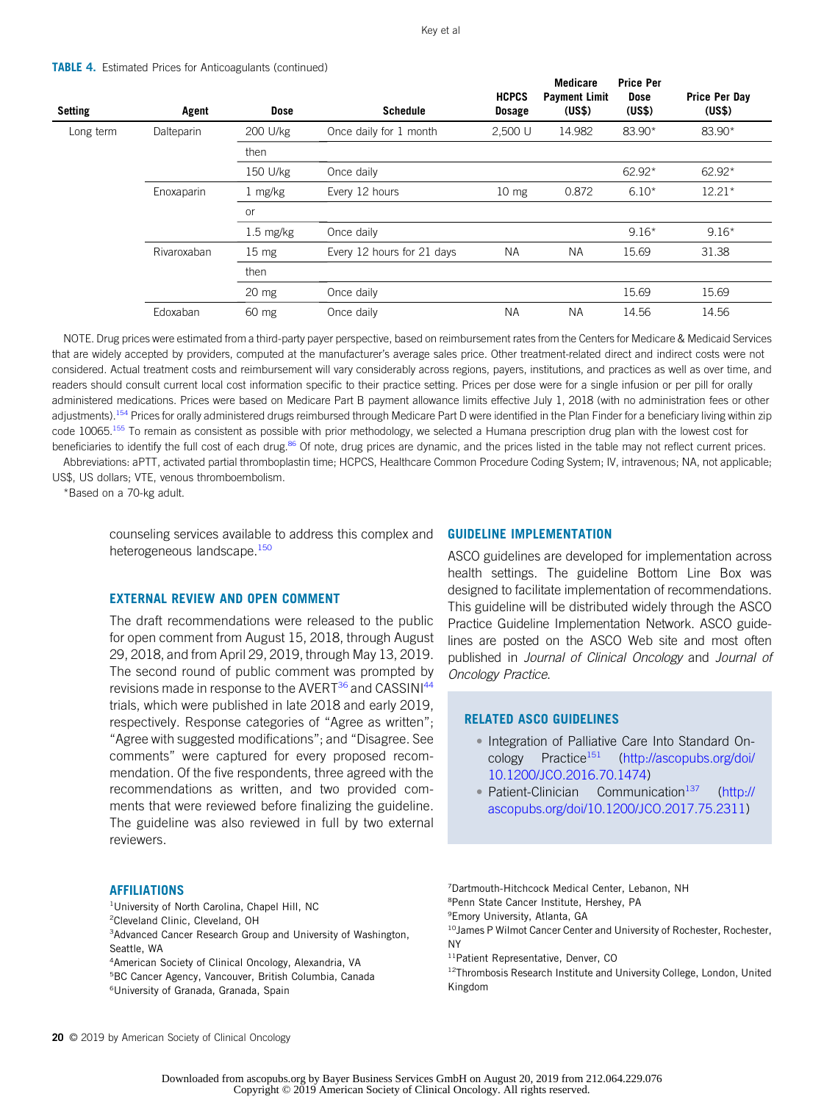#### **TABLE 4.** Estimated Prices for Anticoagulants (continued)

| Setting   | Agent       | <b>Dose</b>      | <b>Schedule</b>            | <b>HCPCS</b><br><b>Dosage</b> | Medicare<br><b>Payment Limit</b><br>(US\$) | <b>Price Per</b><br><b>Dose</b><br>(US\$) | <b>Price Per Day</b><br>(US\$) |  |
|-----------|-------------|------------------|----------------------------|-------------------------------|--------------------------------------------|-------------------------------------------|--------------------------------|--|
| Long term | Dalteparin  | 200 U/kg         | Once daily for 1 month     | 2,500 U                       | 14.982                                     | 83.90*                                    | 83.90*                         |  |
|           |             | then             |                            |                               |                                            |                                           |                                |  |
|           |             | 150 U/kg         | Once daily                 |                               |                                            | $62.92*$                                  | $62.92*$                       |  |
|           | Enoxaparin  | $1 \,$ mg/kg     | Every 12 hours             | 10 <sub>mg</sub>              | 0.872                                      | $6.10*$                                   | $12.21*$                       |  |
|           |             | or               |                            |                               |                                            |                                           |                                |  |
|           |             | $1.5$ mg/kg      | Once daily                 |                               |                                            | $9.16*$                                   | $9.16*$                        |  |
|           | Rivaroxaban | 15 <sub>mg</sub> | Every 12 hours for 21 days | <b>NA</b>                     | <b>NA</b>                                  | 15.69                                     | 31.38                          |  |
|           |             | then             |                            |                               |                                            |                                           |                                |  |
|           |             | $20 \text{ mg}$  | Once daily                 |                               |                                            | 15.69                                     | 15.69                          |  |
|           | Edoxaban    | 60 mg            | Once daily                 | <b>NA</b>                     | <b>NA</b>                                  | 14.56                                     | 14.56                          |  |

NOTE. Drug prices were estimated from a third-party payer perspective, based on reimbursement rates from the Centers for Medicare & Medicaid Services that are widely accepted by providers, computed at the manufacturer's average sales price. Other treatment-related direct and indirect costs were not considered. Actual treatment costs and reimbursement will vary considerably across regions, payers, institutions, and practices as well as over time, and readers should consult current local cost information specific to their practice setting. Prices per dose were for a single infusion or per pill for orally administered medications. Prices were based on Medicare Part B payment allowance limits effective July 1, 2018 (with no administration fees or other adjustments).<sup>154</sup> Prices for orally administered drugs reimbursed through Medicare Part D were identified in the Plan Finder for a beneficiary living within zip code 10065.<sup>155</sup> To remain as consistent as possible with prior methodology, we selected a Humana prescription drug plan with the lowest cost for beneficiaries to identify the full cost of each drug.<sup>86</sup> Of note, drug prices are dynamic, and the prices listed in the table may not reflect current prices. Abbreviations: aPTT, activated partial thromboplastin time; HCPCS, Healthcare Common Procedure Coding System; IV, intravenous; NA, not applicable; US\$, US dollars; VTE, venous thromboembolism.

\*Based on a 70-kg adult.

counseling services available to address this complex and heterogeneous landscape.<sup>[150](#page-24-0)</sup>

### EXTERNAL REVIEW AND OPEN COMMENT

The draft recommendations were released to the public for open comment from August 15, 2018, through August 29, 2018, and from April 29, 2019, through May 13, 2019. The second round of public comment was prompted by revisions made in response to the AVERT<sup>[36](#page-21-0)</sup> and CASSINI<sup>[44](#page-21-0)</sup> trials, which were published in late 2018 and early 2019, respectively. Response categories of "Agree as written"; "Agree with suggested modifications"; and "Disagree. See comments" were captured for every proposed recommendation. Of the five respondents, three agreed with the recommendations as written, and two provided comments that were reviewed before finalizing the guideline. The guideline was also reviewed in full by two external reviewers.

#### GUIDELINE IMPLEMENTATION

 $\ddotsc$ 

ASCO guidelines are developed for implementation across health settings. The guideline Bottom Line Box was designed to facilitate implementation of recommendations. This guideline will be distributed widely through the ASCO Practice Guideline Implementation Network. ASCO guidelines are posted on the ASCO Web site and most often published in Journal of Clinical Oncology and Journal of Oncology Practice.

# RELATED ASCO GUIDELINES

- Integration of Palliative Care Into Standard On-cology Practice<sup>[151](#page-24-0)</sup> [\(http://ascopubs.org/doi/](http://ascopubs.org/doi/10.1200/JCO.2016.70.1474) [10.1200/JCO.2016.70.1474](http://ascopubs.org/doi/10.1200/JCO.2016.70.1474))
- Patient-Clinician Communication<sup>[137](#page-24-0)</sup> ([http://](http://ascopubs.org/doi/10.1200/JCO.2017.75.2311) [ascopubs.org/doi/10.1200/JCO.2017.75.2311\)](http://ascopubs.org/doi/10.1200/JCO.2017.75.2311)

# AFFILIATIONS

<sup>1</sup>University of North Carolina, Chapel Hill, NC

2 Cleveland Clinic, Cleveland, OH

<sup>3</sup>Advanced Cancer Research Group and University of Washington, Seattle, WA

4 American Society of Clinical Oncology, Alexandria, VA

5 BC Cancer Agency, Vancouver, British Columbia, Canada

6 University of Granada, Granada, Spain

7 Dartmouth-Hitchcock Medical Center, Lebanon, NH 8 Penn State Cancer Institute, Hershey, PA

9 Emory University, Atlanta, GA

<sup>10</sup> James P Wilmot Cancer Center and University of Rochester, Rochester, NY

11Patient Representative, Denver, CO

<sup>12</sup>Thrombosis Research Institute and University College, London, United Kingdom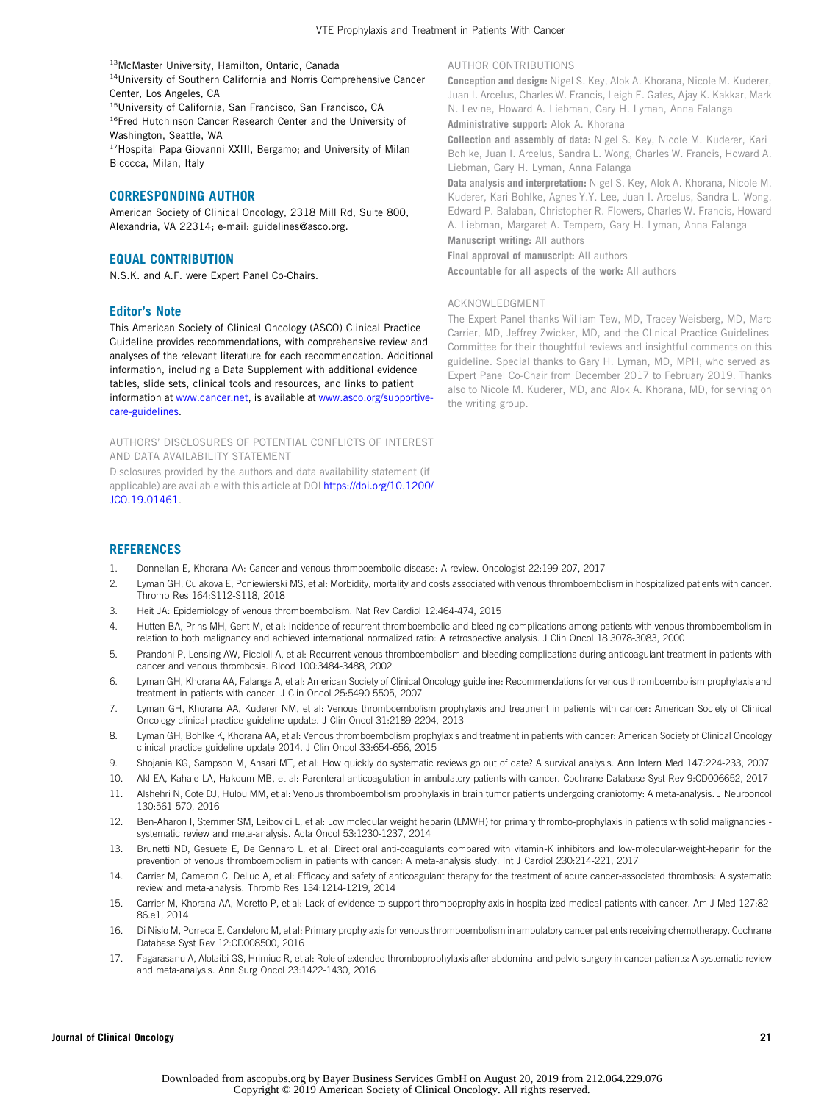<span id="page-20-0"></span>13McMaster University, Hamilton, Ontario, Canada

14University of Southern California and Norris Comprehensive Cancer Center, Los Angeles, CA

15University of California, San Francisco, San Francisco, CA <sup>16</sup>Fred Hutchinson Cancer Research Center and the University of Washington, Seattle, WA

<sup>17</sup> Hospital Papa Giovanni XXIII, Bergamo; and University of Milan Bicocca, Milan, Italy

### CORRESPONDING AUTHOR

American Society of Clinical Oncology, 2318 Mill Rd, Suite 800, Alexandria, VA 22314; e-mail: [guidelines@asco.org](mailto:guidelines@asco.org).

### EQUAL CONTRIBUTION

N.S.K. and A.F. were Expert Panel Co-Chairs.

### Editor's Note

This American Society of Clinical Oncology (ASCO) Clinical Practice Guideline provides recommendations, with comprehensive review and analyses of the relevant literature for each recommendation. Additional information, including a Data Supplement with additional evidence tables, slide sets, clinical tools and resources, and links to patient information at [www.cancer.net](http://www.cancer.net), is available at [www.asco.org/supportive](http://www.asco.org/supportive-care-guidelines)[care-guidelines.](http://www.asco.org/supportive-care-guidelines)

AUTHORS' DISCLOSURES OF POTENTIAL CONFLICTS OF INTEREST AND DATA AVAILABILITY STATEMENT

Disclosures provided by the authors and data availability statement (if applicable) are available with this article at DOI [https://doi.org/10.1200/](https://doi.org/10.1200/JCO.19.01461) [JCO.19.01461.](https://doi.org/10.1200/JCO.19.01461)

AUTHOR CONTRIBUTIONS

Conception and design: Nigel S. Key, Alok A. Khorana, Nicole M. Kuderer, Juan I. Arcelus, Charles W. Francis, Leigh E. Gates, Ajay K. Kakkar, Mark N. Levine, Howard A. Liebman, Gary H. Lyman, Anna Falanga Administrative support: Alok A. Khorana

Collection and assembly of data: Nigel S. Key, Nicole M. Kuderer, Kari Bohlke, Juan I. Arcelus, Sandra L. Wong, Charles W. Francis, Howard A. Liebman, Gary H. Lyman, Anna Falanga

Data analysis and interpretation: Nigel S. Key, Alok A. Khorana, Nicole M. Kuderer, Kari Bohlke, Agnes Y.Y. Lee, Juan I. Arcelus, Sandra L. Wong, Edward P. Balaban, Christopher R. Flowers, Charles W. Francis, Howard A. Liebman, Margaret A. Tempero, Gary H. Lyman, Anna Falanga

Manuscript writing: All authors

Final approval of manuscript: All authors

Accountable for all aspects of the work: All authors

#### ACKNOWLEDGMENT

The Expert Panel thanks William Tew, MD, Tracey Weisberg, MD, Marc Carrier, MD, Jeffrey Zwicker, MD, and the Clinical Practice Guidelines Committee for their thoughtful reviews and insightful comments on this guideline. Special thanks to Gary H. Lyman, MD, MPH, who served as Expert Panel Co-Chair from December 2017 to February 2019. Thanks also to Nicole M. Kuderer, MD, and Alok A. Khorana, MD, for serving on the writing group.

#### **REFERENCES**

- 1. Donnellan E, Khorana AA: Cancer and venous thromboembolic disease: A review. Oncologist 22:199-207, 2017
- 2. Lyman GH, Culakova E, Poniewierski MS, et al: Morbidity, mortality and costs associated with venous thromboembolism in hospitalized patients with cancer. Thromb Res 164:S112-S118, 2018
- 3. Heit JA: Epidemiology of venous thromboembolism. Nat Rev Cardiol 12:464-474, 2015
- 4. Hutten BA, Prins MH, Gent M, et al: Incidence of recurrent thromboembolic and bleeding complications among patients with venous thromboembolism in relation to both malignancy and achieved international normalized ratio: A retrospective analysis. J Clin Oncol 18:3078-3083, 2000
- 5. Prandoni P, Lensing AW, Piccioli A, et al: Recurrent venous thromboembolism and bleeding complications during anticoagulant treatment in patients with cancer and venous thrombosis. Blood 100:3484-3488, 2002
- 6. Lyman GH, Khorana AA, Falanga A, et al: American Society of Clinical Oncology guideline: Recommendations for venous thromboembolism prophylaxis and treatment in patients with cancer. J Clin Oncol 25:5490-5505, 2007
- 7. Lyman GH, Khorana AA, Kuderer NM, et al: Venous thromboembolism prophylaxis and treatment in patients with cancer: American Society of Clinical Oncology clinical practice guideline update. J Clin Oncol 31:2189-2204, 2013
- 8. Lyman GH, Bohlke K, Khorana AA, et al: Venous thromboembolism prophylaxis and treatment in patients with cancer: American Society of Clinical Oncology clinical practice guideline update 2014. J Clin Oncol 33:654-656, 2015
- 9. Shojania KG, Sampson M, Ansari MT, et al: How quickly do systematic reviews go out of date? A survival analysis. Ann Intern Med 147:224-233, 2007
- 10. Akl EA, Kahale LA, Hakoum MB, et al: Parenteral anticoagulation in ambulatory patients with cancer. Cochrane Database Syst Rev 9:CD006652, 2017
- 11. Alshehri N, Cote DJ, Hulou MM, et al: Venous thromboembolism prophylaxis in brain tumor patients undergoing craniotomy: A meta-analysis. J Neurooncol 130:561-570, 2016
- 12. Ben-Aharon I, Stemmer SM, Leibovici L, et al: Low molecular weight heparin (LMWH) for primary thrombo-prophylaxis in patients with solid malignancies systematic review and meta-analysis. Acta Oncol 53:1230-1237, 2014
- 13. Brunetti ND, Gesuete E, De Gennaro L, et al: Direct oral anti-coagulants compared with vitamin-K inhibitors and low-molecular-weight-heparin for the prevention of venous thromboembolism in patients with cancer: A meta-analysis study. Int J Cardiol 230:214-221, 2017
- 14. Carrier M, Cameron C, Delluc A, et al: Efficacy and safety of anticoagulant therapy for the treatment of acute cancer-associated thrombosis: A systematic review and meta-analysis. Thromb Res 134:1214-1219, 2014
- 15. Carrier M, Khorana AA, Moretto P, et al: Lack of evidence to support thromboprophylaxis in hospitalized medical patients with cancer. Am J Med 127:82- 86.e1, 2014
- 16. Di Nisio M, Porreca E, Candeloro M, et al: Primary prophylaxis for venous thromboembolism in ambulatory cancer patients receiving chemotherapy. Cochrane Database Syst Rev 12:CD008500, 2016
- 17. Fagarasanu A, Alotaibi GS, Hrimiuc R, et al: Role of extended thromboprophylaxis after abdominal and pelvic surgery in cancer patients: A systematic review and meta-analysis. Ann Surg Oncol 23:1422-1430, 2016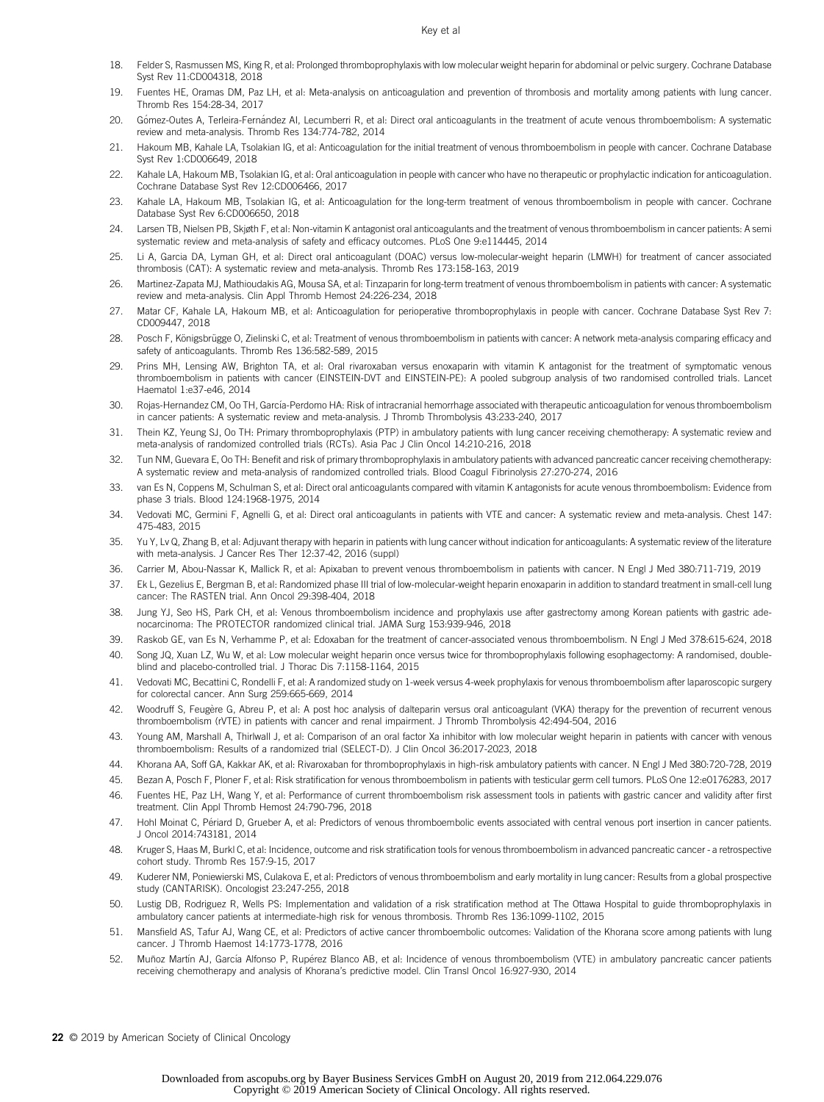#### Key et al

- <span id="page-21-0"></span>18. Felder S, Rasmussen MS, King R, et al: Prolonged thromboprophylaxis with low molecular weight heparin for abdominal or pelvic surgery. Cochrane Database Syst Rev 11:CD004318, 2018
- 19. Fuentes HE, Oramas DM, Paz LH, et al: Meta-analysis on anticoagulation and prevention of thrombosis and mortality among patients with lung cancer. Thromb Res 154:28-34, 2017
- 20. Gómez-Outes A, Terleira-Fernández AI, Lecumberri R, et al: Direct oral anticoagulants in the treatment of acute venous thromboembolism: A systematic review and meta-analysis. Thromb Res 134:774-782, 2014
- 21. Hakoum MB, Kahale LA, Tsolakian IG, et al: Anticoagulation for the initial treatment of venous thromboembolism in people with cancer. Cochrane Database Syst Rev 1:CD006649, 2018
- 22. Kahale LA, Hakoum MB, Tsolakian IG, et al: Oral anticoagulation in people with cancer who have no therapeutic or prophylactic indication for anticoagulation. Cochrane Database Syst Rev 12:CD006466, 2017
- 23. Kahale LA, Hakoum MB, Tsolakian IG, et al: Anticoagulation for the long-term treatment of venous thromboembolism in people with cancer. Cochrane Database Syst Rev 6:CD006650, 2018
- 24. Larsen TB, Nielsen PB, Skjøth F, et al: Non-vitamin K antagonist oral anticoagulants and the treatment of venous thromboembolism in cancer patients: A semi systematic review and meta-analysis of safety and efficacy outcomes. PLoS One 9:e114445, 2014
- 25. Li A, Garcia DA, Lyman GH, et al: Direct oral anticoagulant (DOAC) versus low-molecular-weight heparin (LMWH) for treatment of cancer associated thrombosis (CAT): A systematic review and meta-analysis. Thromb Res 173:158-163, 2019
- 26. Martinez-Zapata MJ, Mathioudakis AG, Mousa SA, et al: Tinzaparin for long-term treatment of venous thromboembolism in patients with cancer: A systematic review and meta-analysis. Clin Appl Thromb Hemost 24:226-234, 2018
- 27. Matar CF, Kahale LA, Hakoum MB, et al: Anticoagulation for perioperative thromboprophylaxis in people with cancer. Cochrane Database Syst Rev 7: CD009447, 2018
- 28. Posch F, Königsbrügge O, Zielinski C, et al: Treatment of venous thromboembolism in patients with cancer: A network meta-analysis comparing efficacy and safety of anticoagulants. Thromb Res 136:582-589, 2015
- 29. Prins MH, Lensing AW, Brighton TA, et al: Oral rivaroxaban versus enoxaparin with vitamin K antagonist for the treatment of symptomatic venous thromboembolism in patients with cancer (EINSTEIN-DVT and EINSTEIN-PE): A pooled subgroup analysis of two randomised controlled trials. Lancet Haematol 1:e37-e46, 2014
- 30. Rojas-Hernandez CM, Oo TH, García-Perdomo HA: Risk of intracranial hemorrhage associated with therapeutic anticoagulation for venous thromboembolism in cancer patients: A systematic review and meta-analysis. J Thromb Thrombolysis 43:233-240, 2017
- 31. Thein KZ, Yeung SJ, Oo TH: Primary thromboprophylaxis (PTP) in ambulatory patients with lung cancer receiving chemotherapy: A systematic review and meta-analysis of randomized controlled trials (RCTs). Asia Pac J Clin Oncol 14:210-216, 2018
- 32. Tun NM, Guevara E, Oo TH: Benefit and risk of primary thromboprophylaxis in ambulatory patients with advanced pancreatic cancer receiving chemotherapy: A systematic review and meta-analysis of randomized controlled trials. Blood Coagul Fibrinolysis 27:270-274, 2016
- 33. van Es N, Coppens M, Schulman S, et al: Direct oral anticoagulants compared with vitamin K antagonists for acute venous thromboembolism: Evidence from phase 3 trials. Blood 124:1968-1975, 2014
- 34. Vedovati MC, Germini F, Agnelli G, et al: Direct oral anticoagulants in patients with VTE and cancer: A systematic review and meta-analysis. Chest 147: 475-483, 2015
- 35. Yu Y, Lv Q, Zhang B, et al: Adjuvant therapy with heparin in patients with lung cancer without indication for anticoagulants: A systematic review of the literature with meta-analysis. J Cancer Res Ther 12:37-42, 2016 (suppl)
- 36. Carrier M, Abou-Nassar K, Mallick R, et al: Apixaban to prevent venous thromboembolism in patients with cancer. N Engl J Med 380:711-719, 2019
- 37. Ek L, Gezelius E, Bergman B, et al: Randomized phase III trial of low-molecular-weight heparin enoxaparin in addition to standard treatment in small-cell lung cancer: The RASTEN trial. Ann Oncol 29:398-404, 2018
- 38. Jung YJ, Seo HS, Park CH, et al: Venous thromboembolism incidence and prophylaxis use after gastrectomy among Korean patients with gastric adenocarcinoma: The PROTECTOR randomized clinical trial. JAMA Surg 153:939-946, 2018
- 39. Raskob GE, van Es N, Verhamme P, et al: Edoxaban for the treatment of cancer-associated venous thromboembolism. N Engl J Med 378:615-624, 2018
- 40. Song JQ, Xuan LZ, Wu W, et al: Low molecular weight heparin once versus twice for thromboprophylaxis following esophagectomy: A randomised, doubleblind and placebo-controlled trial. J Thorac Dis 7:1158-1164, 2015
- 41. Vedovati MC, Becattini C, Rondelli F, et al: A randomized study on 1-week versus 4-week prophylaxis for venous thromboembolism after laparoscopic surgery for colorectal cancer. Ann Surg 259:665-669, 2014
- 42. Woodruff S, Feugère G, Abreu P, et al: A post hoc analysis of dalteparin versus oral anticoagulant (VKA) therapy for the prevention of recurrent venous thromboembolism (rVTE) in patients with cancer and renal impairment. J Thromb Thrombolysis 42:494-504, 2016
- 43. Young AM, Marshall A, Thirlwall J, et al: Comparison of an oral factor Xa inhibitor with low molecular weight heparin in patients with cancer with venous thromboembolism: Results of a randomized trial (SELECT-D). J Clin Oncol 36:2017-2023, 2018
- 44. Khorana AA, Soff GA, Kakkar AK, et al: Rivaroxaban for thromboprophylaxis in high-risk ambulatory patients with cancer. N Engl J Med 380:720-728, 2019
- 45. Bezan A, Posch F, Ploner F, et al: Risk stratification for venous thromboembolism in patients with testicular germ cell tumors. PLoS One 12:e0176283, 2017
- 46. Fuentes HE, Paz LH, Wang Y, et al: Performance of current thromboembolism risk assessment tools in patients with gastric cancer and validity after first treatment. Clin Appl Thromb Hemost 24:790-796, 2018
- 47. Hohl Moinat C, Périard D, Grueber A, et al: Predictors of venous thromboembolic events associated with central venous port insertion in cancer patients. J Oncol 2014:743181, 2014
- 48. Kruger S, Haas M, Burkl C, et al: Incidence, outcome and risk stratification tools for venous thromboembolism in advanced pancreatic cancer a retrospective cohort study. Thromb Res 157:9-15, 2017
- 49. Kuderer NM, Poniewierski MS, Culakova E, et al: Predictors of venous thromboembolism and early mortality in lung cancer: Results from a global prospective study (CANTARISK). Oncologist 23:247-255, 2018
- 50. Lustig DB, Rodriguez R, Wells PS: Implementation and validation of a risk stratification method at The Ottawa Hospital to guide thromboprophylaxis in ambulatory cancer patients at intermediate-high risk for venous thrombosis. Thromb Res 136:1099-1102, 2015
- 51. Mansfield AS, Tafur AJ, Wang CE, et al: Predictors of active cancer thromboembolic outcomes: Validation of the Khorana score among patients with lung cancer. J Thromb Haemost 14:1773-1778, 2016
- 52. Muñoz Martín AJ, García Alfonso P, Rupérez Blanco AB, et al: Incidence of venous thromboembolism (VTE) in ambulatory pancreatic cancer patients receiving chemotherapy and analysis of Khorana's predictive model. Clin Transl Oncol 16:927-930, 2014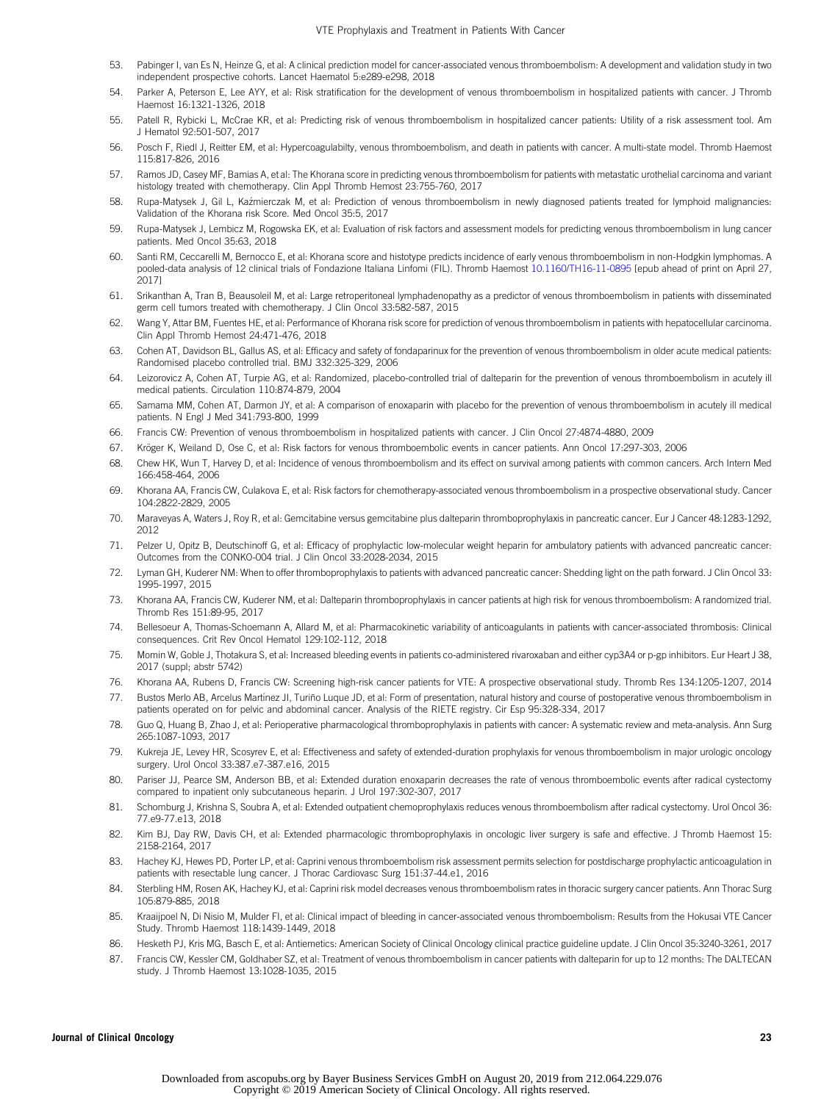- <span id="page-22-0"></span>53. Pabinger I, van Es N, Heinze G, et al: A clinical prediction model for cancer-associated venous thromboembolism: A development and validation study in two independent prospective cohorts. Lancet Haematol 5:e289-e298, 2018
- 54. Parker A, Peterson E, Lee AYY, et al: Risk stratification for the development of venous thromboembolism in hospitalized patients with cancer. J Thromb Haemost 16:1321-1326, 2018
- 55. Patell R, Rybicki L, McCrae KR, et al: Predicting risk of venous thromboembolism in hospitalized cancer patients: Utility of a risk assessment tool. Am J Hematol 92:501-507, 2017
- 56. Posch F, Riedl J, Reitter EM, et al: Hypercoagulabilty, venous thromboembolism, and death in patients with cancer. A multi-state model. Thromb Haemost 115:817-826, 2016
- 57. Ramos JD, Casey MF, Bamias A, et al: The Khorana score in predicting venous thromboembolism for patients with metastatic urothelial carcinoma and variant histology treated with chemotherapy. Clin Appl Thromb Hemost 23:755-760, 2017
- 58. Rupa-Matysek J, Gil L, Kaźmierczak M, et al: Prediction of venous thromboembolism in newly diagnosed patients treated for lymphoid malignancies: Validation of the Khorana risk Score. Med Oncol 35:5, 2017
- 59. Rupa-Matysek J, Lembicz M, Rogowska EK, et al: Evaluation of risk factors and assessment models for predicting venous thromboembolism in lung cancer patients. Med Oncol 35:63, 2018
- 60. Santi RM, Ceccarelli M, Bernocco E, et al: Khorana score and histotype predicts incidence of early venous thromboembolism in non-Hodgkin lymphomas. A pooled-data analysis of 12 clinical trials of Fondazione Italiana Linfomi (FIL). Thromb Haemost [10.1160/TH16-11-0895](http://dx.doi.org/10.1160/TH16-11-0895) [epub ahead of print on April 27, 2017]
- 61. Srikanthan A, Tran B, Beausoleil M, et al: Large retroperitoneal lymphadenopathy as a predictor of venous thromboembolism in patients with disseminated germ cell tumors treated with chemotherapy. J Clin Oncol 33:582-587, 2015
- 62. Wang Y, Attar BM, Fuentes HE, et al: Performance of Khorana risk score for prediction of venous thromboembolism in patients with hepatocellular carcinoma. Clin Appl Thromb Hemost 24:471-476, 2018
- 63. Cohen AT, Davidson BL, Gallus AS, et al: Efficacy and safety of fondaparinux for the prevention of venous thromboembolism in older acute medical patients: Randomised placebo controlled trial. BMJ 332:325-329, 2006
- 64. Leizorovicz A, Cohen AT, Turpie AG, et al: Randomized, placebo-controlled trial of dalteparin for the prevention of venous thromboembolism in acutely ill medical patients. Circulation 110:874-879, 2004
- 65. Samama MM, Cohen AT, Darmon JY, et al: A comparison of enoxaparin with placebo for the prevention of venous thromboembolism in acutely ill medical patients. N Engl J Med 341:793-800, 1999
- 66. Francis CW: Prevention of venous thromboembolism in hospitalized patients with cancer. J Clin Oncol 27:4874-4880, 2009
- 67. Kröger K, Weiland D, Ose C, et al: Risk factors for venous thromboembolic events in cancer patients. Ann Oncol 17:297-303, 2006
- 68. Chew HK, Wun T, Harvey D, et al: Incidence of venous thromboembolism and its effect on survival among patients with common cancers. Arch Intern Med 166:458-464, 2006
- 69. Khorana AA, Francis CW, Culakova E, et al: Risk factors for chemotherapy-associated venous thromboembolism in a prospective observational study. Cancer 104:2822-2829, 2005
- 70. Maraveyas A, Waters J, Roy R, et al: Gemcitabine versus gemcitabine plus dalteparin thromboprophylaxis in pancreatic cancer. Eur J Cancer 48:1283-1292, 2012
- 71. Pelzer U, Opitz B, Deutschinoff G, et al: Efficacy of prophylactic low-molecular weight heparin for ambulatory patients with advanced pancreatic cancer: Outcomes from the CONKO-004 trial. J Clin Oncol 33:2028-2034, 2015
- 72. Lyman GH, Kuderer NM: When to offer thromboprophylaxis to patients with advanced pancreatic cancer: Shedding light on the path forward. J Clin Oncol 33: 1995-1997, 2015
- 73. Khorana AA, Francis CW, Kuderer NM, et al: Dalteparin thromboprophylaxis in cancer patients at high risk for venous thromboembolism: A randomized trial. Thromb Res 151:89-95, 2017
- 74. Bellesoeur A, Thomas-Schoemann A, Allard M, et al: Pharmacokinetic variability of anticoagulants in patients with cancer-associated thrombosis: Clinical consequences. Crit Rev Oncol Hematol 129:102-112, 2018
- 75. Momin W, Goble J, Thotakura S, et al: Increased bleeding events in patients co-administered rivaroxaban and either cyp3A4 or p-gp inhibitors. Eur Heart J 38, 2017 (suppl; abstr 5742)
- 76. Khorana AA, Rubens D, Francis CW: Screening high-risk cancer patients for VTE: A prospective observational study. Thromb Res 134:1205-1207, 2014
- 77. Bustos Merlo AB, Arcelus Mart´ınez JI, Turiño Luque JD, et al: Form of presentation, natural history and course of postoperative venous thromboembolism in patients operated on for pelvic and abdominal cancer. Analysis of the RIETE registry. Cir Esp 95:328-334, 2017
- 78. Guo Q, Huang B, Zhao J, et al: Perioperative pharmacological thromboprophylaxis in patients with cancer: A systematic review and meta-analysis. Ann Surg 265:1087-1093, 2017
- 79. Kukreja JE, Levey HR, Scosyrev E, et al: Effectiveness and safety of extended-duration prophylaxis for venous thromboembolism in major urologic oncology surgery. Urol Oncol 33:387.e7-387.e16, 2015
- 80. Pariser JJ, Pearce SM, Anderson BB, et al: Extended duration enoxaparin decreases the rate of venous thromboembolic events after radical cystectomy compared to inpatient only subcutaneous heparin. J Urol 197:302-307, 2017
- 81. Schomburg J, Krishna S, Soubra A, et al: Extended outpatient chemoprophylaxis reduces venous thromboembolism after radical cystectomy. Urol Oncol 36: 77.e9-77.e13, 2018
- 82. Kim BJ, Day RW, Davis CH, et al: Extended pharmacologic thromboprophylaxis in oncologic liver surgery is safe and effective. J Thromb Haemost 15: 2158-2164, 2017
- 83. Hachey KJ, Hewes PD, Porter LP, et al: Caprini venous thromboembolism risk assessment permits selection for postdischarge prophylactic anticoagulation in patients with resectable lung cancer. J Thorac Cardiovasc Surg 151:37-44.e1, 2016
- 84. Sterbling HM, Rosen AK, Hachey KJ, et al: Caprini risk model decreases venous thromboembolism rates in thoracic surgery cancer patients. Ann Thorac Surg 105:879-885, 2018
- 85. Kraaijpoel N, Di Nisio M, Mulder FI, et al: Clinical impact of bleeding in cancer-associated venous thromboembolism: Results from the Hokusai VTE Cancer Study. Thromb Haemost 118:1439-1449, 2018
- 86. Hesketh PJ, Kris MG, Basch E, et al: Antiemetics: American Society of Clinical Oncology clinical practice guideline update. J Clin Oncol 35:3240-3261, 2017
- 87. Francis CW, Kessler CM, Goldhaber SZ, et al: Treatment of venous thromboembolism in cancer patients with dalteparin for up to 12 months: The DALTECAN study. J Thromb Haemost 13:1028-1035, 2015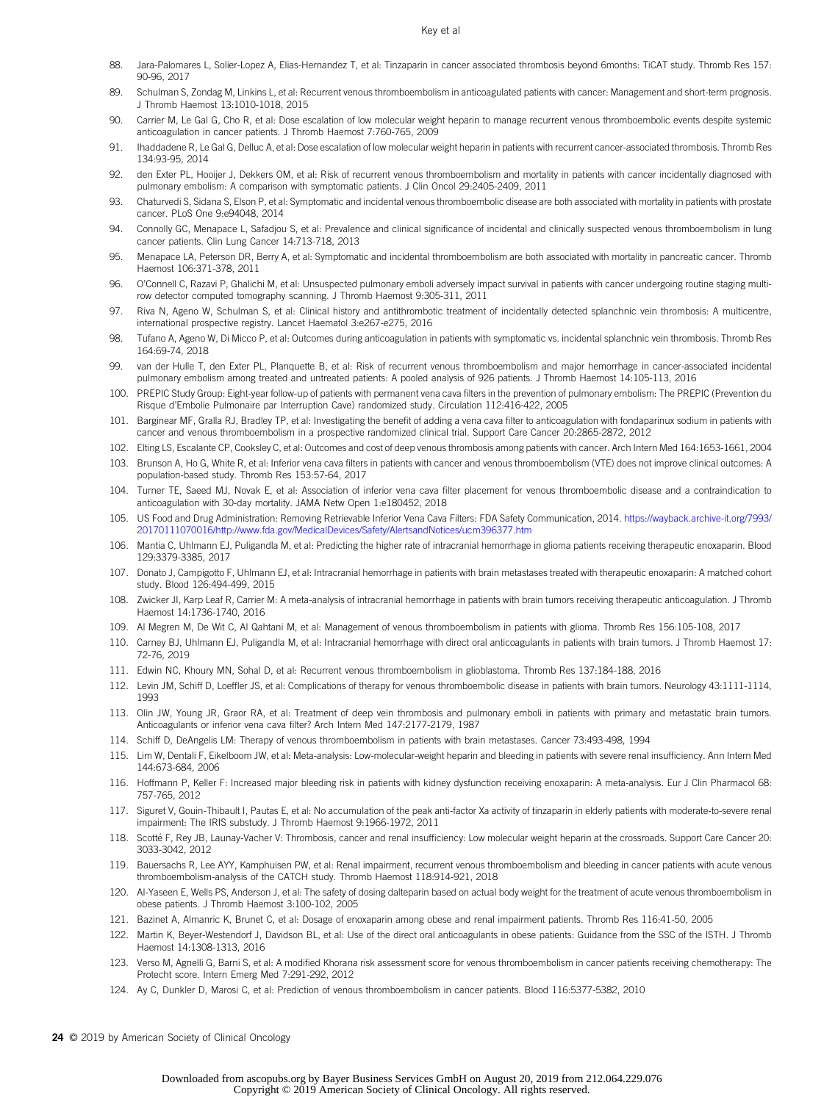- <span id="page-23-0"></span>88. Jara-Palomares L, Solier-Lopez A, Elias-Hernandez T, et al: Tinzaparin in cancer associated thrombosis beyond 6months: TiCAT study. Thromb Res 157: 90-96, 2017
- 89. Schulman S, Zondag M, Linkins L, et al: Recurrent venous thromboembolism in anticoagulated patients with cancer: Management and short-term prognosis. J Thromb Haemost 13:1010-1018, 2015
- 90. Carrier M, Le Gal G, Cho R, et al: Dose escalation of low molecular weight heparin to manage recurrent venous thromboembolic events despite systemic anticoagulation in cancer patients. J Thromb Haemost 7:760-765, 2009
- 91. Ihaddadene R, Le Gal G, Delluc A, et al: Dose escalation of low molecular weight heparin in patients with recurrent cancer-associated thrombosis. Thromb Res 134:93-95, 2014
- 92. den Exter PL, Hooijer J, Dekkers OM, et al: Risk of recurrent venous thromboembolism and mortality in patients with cancer incidentally diagnosed with pulmonary embolism: A comparison with symptomatic patients. J Clin Oncol 29:2405-2409, 2011
- 93. Chaturvedi S, Sidana S, Elson P, et al: Symptomatic and incidental venous thromboembolic disease are both associated with mortality in patients with prostate cancer. PLoS One 9:e94048, 2014
- 94. Connolly GC, Menapace L, Safadjou S, et al: Prevalence and clinical significance of incidental and clinically suspected venous thromboembolism in lung cancer patients. Clin Lung Cancer 14:713-718, 2013
- 95. Menapace LA, Peterson DR, Berry A, et al: Symptomatic and incidental thromboembolism are both associated with mortality in pancreatic cancer. Thromb Haemost 106:371-378, 2011
- 96. O'Connell C, Razavi P, Ghalichi M, et al: Unsuspected pulmonary emboli adversely impact survival in patients with cancer undergoing routine staging multirow detector computed tomography scanning. J Thromb Haemost 9:305-311, 2011
- 97. Riva N, Ageno W, Schulman S, et al: Clinical history and antithrombotic treatment of incidentally detected splanchnic vein thrombosis: A multicentre, international prospective registry. Lancet Haematol 3:e267-e275, 2016
- 98. Tufano A, Ageno W, Di Micco P, et al: Outcomes during anticoagulation in patients with symptomatic vs. incidental splanchnic vein thrombosis. Thromb Res 164:69-74, 2018
- 99. van der Hulle T, den Exter PL, Planquette B, et al: Risk of recurrent venous thromboembolism and major hemorrhage in cancer-associated incidental pulmonary embolism among treated and untreated patients: A pooled analysis of 926 patients. J Thromb Haemost 14:105-113, 2016
- 100. PREPIC Study Group: Eight-year follow-up of patients with permanent vena cava filters in the prevention of pulmonary embolism: The PREPIC (Prevention du Risque d'Embolie Pulmonaire par Interruption Cave) randomized study. Circulation 112:416-422, 2005
- 101. Barginear MF, Gralla RJ, Bradley TP, et al: Investigating the benefit of adding a vena cava filter to anticoagulation with fondaparinux sodium in patients with cancer and venous thromboembolism in a prospective randomized clinical trial. Support Care Cancer 20:2865-2872, 2012
- 102. Elting LS, Escalante CP, Cooksley C, et al: Outcomes and cost of deep venous thrombosis among patients with cancer. Arch Intern Med 164:1653-1661, 2004
- 103. Brunson A, Ho G, White R, et al: Inferior vena cava filters in patients with cancer and venous thromboembolism (VTE) does not improve clinical outcomes: A population-based study. Thromb Res 153:57-64, 2017
- 104. Turner TE, Saeed MJ, Novak E, et al: Association of inferior vena cava filter placement for venous thromboembolic disease and a contraindication to anticoagulation with 30-day mortality. JAMA Netw Open 1:e180452, 2018
- 105. US Food and Drug Administration: Removing Retrievable Inferior Vena Cava Filters: FDA Safety Communication, 2014. [https://wayback.archive-it.org/7993/](https://wayback.archive-it.org/7993/20170111070016/http://www.fda.gov/MedicalDevices/Safety/AlertsandNotices/ucm396377.htm) [20170111070016/http://www.fda.gov/MedicalDevices/Safety/AlertsandNotices/ucm396377.htm](https://wayback.archive-it.org/7993/20170111070016/http://www.fda.gov/MedicalDevices/Safety/AlertsandNotices/ucm396377.htm)
- 106. Mantia C, Uhlmann EJ, Puligandla M, et al: Predicting the higher rate of intracranial hemorrhage in glioma patients receiving therapeutic enoxaparin. Blood 129:3379-3385, 2017
- 107. Donato J, Campigotto F, Uhlmann EJ, et al: Intracranial hemorrhage in patients with brain metastases treated with therapeutic enoxaparin: A matched cohort study. Blood 126:494-499, 2015
- 108. Zwicker JI, Karp Leaf R, Carrier M: A meta-analysis of intracranial hemorrhage in patients with brain tumors receiving therapeutic anticoagulation. J Thromb Haemost 14:1736-1740, 2016
- 109. Al Megren M, De Wit C, Al Qahtani M, et al: Management of venous thromboembolism in patients with glioma. Thromb Res 156:105-108, 2017
- 110. Carney BJ, Uhlmann EJ, Puligandla M, et al: Intracranial hemorrhage with direct oral anticoagulants in patients with brain tumors. J Thromb Haemost 17: 72-76, 2019
- 111. Edwin NC, Khoury MN, Sohal D, et al: Recurrent venous thromboembolism in glioblastoma. Thromb Res 137:184-188, 2016
- 112. Levin JM, Schiff D, Loeffler JS, et al: Complications of therapy for venous thromboembolic disease in patients with brain tumors. Neurology 43:1111-1114, 1993
- 113. Olin JW, Young JR, Graor RA, et al: Treatment of deep vein thrombosis and pulmonary emboli in patients with primary and metastatic brain tumors. Anticoagulants or inferior vena cava filter? Arch Intern Med 147:2177-2179, 1987
- 114. Schiff D, DeAngelis LM: Therapy of venous thromboembolism in patients with brain metastases. Cancer 73:493-498, 1994
- 115. Lim W, Dentali F, Eikelboom JW, et al: Meta-analysis: Low-molecular-weight heparin and bleeding in patients with severe renal insufficiency. Ann Intern Med 144:673-684, 2006
- 116. Hoffmann P, Keller F: Increased major bleeding risk in patients with kidney dysfunction receiving enoxaparin: A meta-analysis. Eur J Clin Pharmacol 68: 757-765, 2012
- 117. Siguret V, Gouin-Thibault I, Pautas E, et al: No accumulation of the peak anti-factor Xa activity of tinzaparin in elderly patients with moderate-to-severe renal impairment: The IRIS substudy. J Thromb Haemost 9:1966-1972, 2011
- 118. Scotté F, Rey JB, Launay-Vacher V: Thrombosis, cancer and renal insufficiency: Low molecular weight heparin at the crossroads. Support Care Cancer 20: 3033-3042, 2012
- 119. Bauersachs R, Lee AYY, Kamphuisen PW, et al: Renal impairment, recurrent venous thromboembolism and bleeding in cancer patients with acute venous thromboembolism-analysis of the CATCH study. Thromb Haemost 118:914-921, 2018
- 120. Al-Yaseen E, Wells PS, Anderson J, et al: The safety of dosing dalteparin based on actual body weight for the treatment of acute venous thromboembolism in obese patients. J Thromb Haemost 3:100-102, 2005
- 121. Bazinet A, Almanric K, Brunet C, et al: Dosage of enoxaparin among obese and renal impairment patients. Thromb Res 116:41-50, 2005
- 122. Martin K, Beyer-Westendorf J, Davidson BL, et al: Use of the direct oral anticoagulants in obese patients: Guidance from the SSC of the ISTH. J Thromb Haemost 14:1308-1313, 2016
- 123. Verso M, Agnelli G, Barni S, et al: A modified Khorana risk assessment score for venous thromboembolism in cancer patients receiving chemotherapy: The Protecht score. Intern Emerg Med 7:291-292, 2012
- 124. Ay C, Dunkler D, Marosi C, et al: Prediction of venous thromboembolism in cancer patients. Blood 116:5377-5382, 2010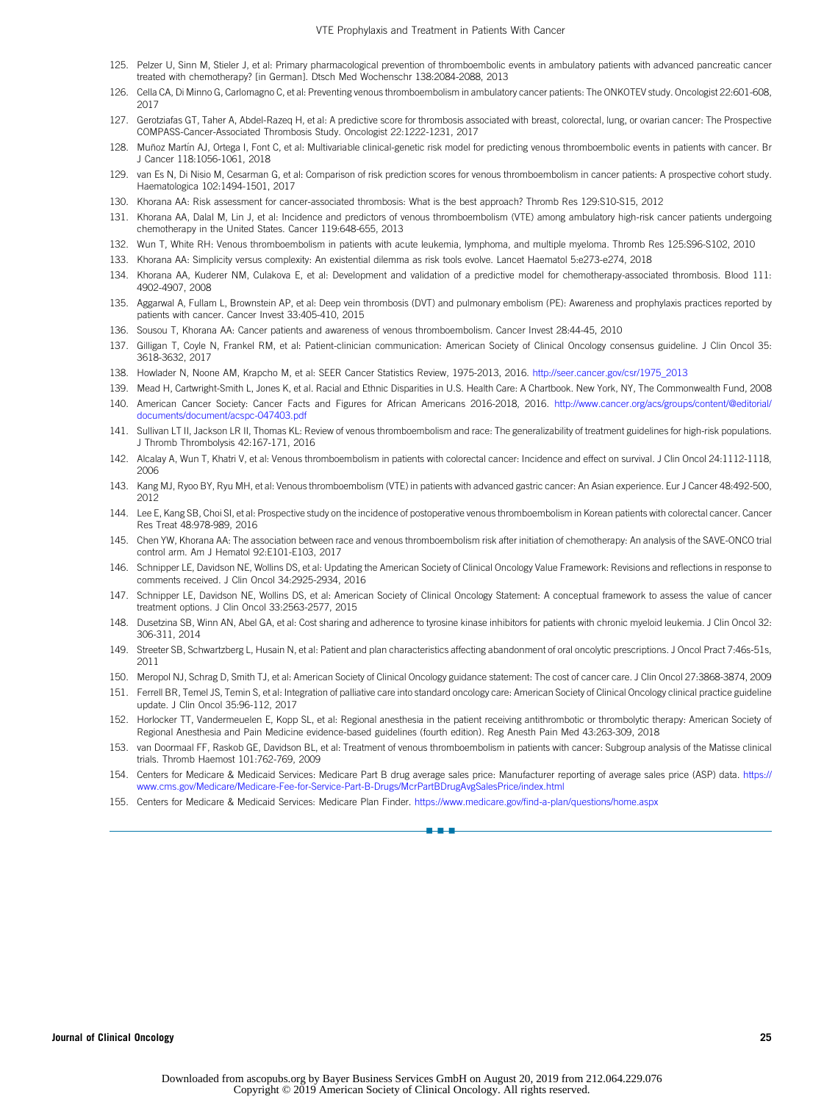- <span id="page-24-0"></span>125. Pelzer U, Sinn M, Stieler J, et al: Primary pharmacological prevention of thromboembolic events in ambulatory patients with advanced pancreatic cancer treated with chemotherapy? [in German]. Dtsch Med Wochenschr 138:2084-2088, 2013
- 126. Cella CA, Di Minno G, Carlomagno C, et al: Preventing venous thromboembolism in ambulatory cancer patients: The ONKOTEV study. Oncologist 22:601-608,  $2017$
- 127. Gerotziafas GT, Taher A, Abdel-Razeq H, et al: A predictive score for thrombosis associated with breast, colorectal, lung, or ovarian cancer: The Prospective COMPASS-Cancer-Associated Thrombosis Study. Oncologist 22:1222-1231, 2017
- 128. Muñoz Martín AJ, Ortega I, Font C, et al: Multivariable clinical-genetic risk model for predicting venous thromboembolic events in patients with cancer. Br J Cancer 118:1056-1061, 2018
- 129. van Es N, Di Nisio M, Cesarman G, et al: Comparison of risk prediction scores for venous thromboembolism in cancer patients: A prospective cohort study. Haematologica 102:1494-1501, 2017
- 130. Khorana AA: Risk assessment for cancer-associated thrombosis: What is the best approach? Thromb Res 129:S10-S15, 2012
- 131. Khorana AA, Dalal M, Lin J, et al: Incidence and predictors of venous thromboembolism (VTE) among ambulatory high-risk cancer patients undergoing chemotherapy in the United States. Cancer 119:648-655, 2013
- 132. Wun T, White RH: Venous thromboembolism in patients with acute leukemia, lymphoma, and multiple myeloma. Thromb Res 125:S96-S102, 2010
- 133. Khorana AA: Simplicity versus complexity: An existential dilemma as risk tools evolve. Lancet Haematol 5:e273-e274, 2018
- 134. Khorana AA, Kuderer NM, Culakova E, et al: Development and validation of a predictive model for chemotherapy-associated thrombosis. Blood 111: 4902-4907, 2008
- 135. Aggarwal A, Fullam L, Brownstein AP, et al: Deep vein thrombosis (DVT) and pulmonary embolism (PE): Awareness and prophylaxis practices reported by patients with cancer. Cancer Invest 33:405-410, 2015
- 136. Sousou T, Khorana AA: Cancer patients and awareness of venous thromboembolism. Cancer Invest 28:44-45, 2010
- 137. Gilligan T, Coyle N, Frankel RM, et al: Patient-clinician communication: American Society of Clinical Oncology consensus guideline. J Clin Oncol 35: 3618-3632, 2017
- 138. Howlader N, Noone AM, Krapcho M, et al: SEER Cancer Statistics Review, 1975-2013, 2016. [http://seer.cancer.gov/csr/1975\\_2013](http://seer.cancer.gov/csr/1975_2013)
- 139. Mead H, Cartwright-Smith L, Jones K, et al. Racial and Ethnic Disparities in U.S. Health Care: A Chartbook. New York, NY, The Commonwealth Fund, 2008
- 140. American Cancer Society: Cancer Facts and Figures for African Americans 2016-2018, 2016. [http://www.cancer.org/acs/groups/content/@editorial/](http://www.cancer.org/acs/groups/content/@editorial/documents/document/acspc-047403.pdf) [documents/document/acspc-047403.pdf](http://www.cancer.org/acs/groups/content/@editorial/documents/document/acspc-047403.pdf)
- 141. Sullivan LT II, Jackson LR II, Thomas KL: Review of venous thromboembolism and race: The generalizability of treatment guidelines for high-risk populations. J Thromb Thrombolysis 42:167-171, 2016
- 142. Alcalay A, Wun T, Khatri V, et al: Venous thromboembolism in patients with colorectal cancer: Incidence and effect on survival. J Clin Oncol 24:1112-1118, 2006
- 143. Kang MJ, Ryoo BY, Ryu MH, et al: Venous thromboembolism (VTE) in patients with advanced gastric cancer: An Asian experience. Eur J Cancer 48:492-500, 2012
- 144. Lee E, Kang SB, Choi SI, et al: Prospective study on the incidence of postoperative venous thromboembolism in Korean patients with colorectal cancer. Cancer Res Treat 48:978-989, 2016
- 145. Chen YW, Khorana AA: The association between race and venous thromboembolism risk after initiation of chemotherapy: An analysis of the SAVE-ONCO trial control arm. Am J Hematol 92:E101-E103, 2017
- 146. Schnipper LE, Davidson NE, Wollins DS, et al: Updating the American Society of Clinical Oncology Value Framework: Revisions and reflections in response to comments received. J Clin Oncol 34:2925-2934, 2016
- 147. Schnipper LE, Davidson NE, Wollins DS, et al: American Society of Clinical Oncology Statement: A conceptual framework to assess the value of cancer treatment options. J Clin Oncol 33:2563-2577, 2015
- 148. Dusetzina SB, Winn AN, Abel GA, et al: Cost sharing and adherence to tyrosine kinase inhibitors for patients with chronic myeloid leukemia. J Clin Oncol 32: 306-311, 2014
- 149. Streeter SB, Schwartzberg L, Husain N, et al: Patient and plan characteristics affecting abandonment of oral oncolytic prescriptions. J Oncol Pract 7:46s-51s, 2011
- 150. Meropol NJ, Schrag D, Smith TJ, et al: American Society of Clinical Oncology guidance statement: The cost of cancer care. J Clin Oncol 27:3868-3874, 2009
- 151. Ferrell BR, Temel JS, Temin S, et al: Integration of palliative care into standard oncology care: American Society of Clinical Oncology clinical practice guideline update. J Clin Oncol 35:96-112, 2017
- 152. Horlocker TT, Vandermeuelen E, Kopp SL, et al: Regional anesthesia in the patient receiving antithrombotic or thrombolytic therapy: American Society of Regional Anesthesia and Pain Medicine evidence-based guidelines (fourth edition). Reg Anesth Pain Med 43:263-309, 2018
- 153. van Doormaal FF, Raskob GE, Davidson BL, et al: Treatment of venous thromboembolism in patients with cancer: Subgroup analysis of the Matisse clinical trials. Thromb Haemost 101:762-769, 2009
- 154. Centers for Medicare & Medicaid Services: Medicare Part B drug average sales price: Manufacturer reporting of average sales price (ASP) data. [https://](https://www.cms.gov/Medicare/Medicare-Fee-for-Service-Part-B-Drugs/McrPartBDrugAvgSalesPrice/index.html) [www.cms.gov/Medicare/Medicare-Fee-for-Service-Part-B-Drugs/McrPartBDrugAvgSalesPrice/index.html](https://www.cms.gov/Medicare/Medicare-Fee-for-Service-Part-B-Drugs/McrPartBDrugAvgSalesPrice/index.html)

nnn

155. Centers for Medicare & Medicaid Services: Medicare Plan Finder. https://www.medicare.gov/fi[nd-a-plan/questions/home.aspx](https://www.medicare.gov/find-a-plan/questions/home.aspx)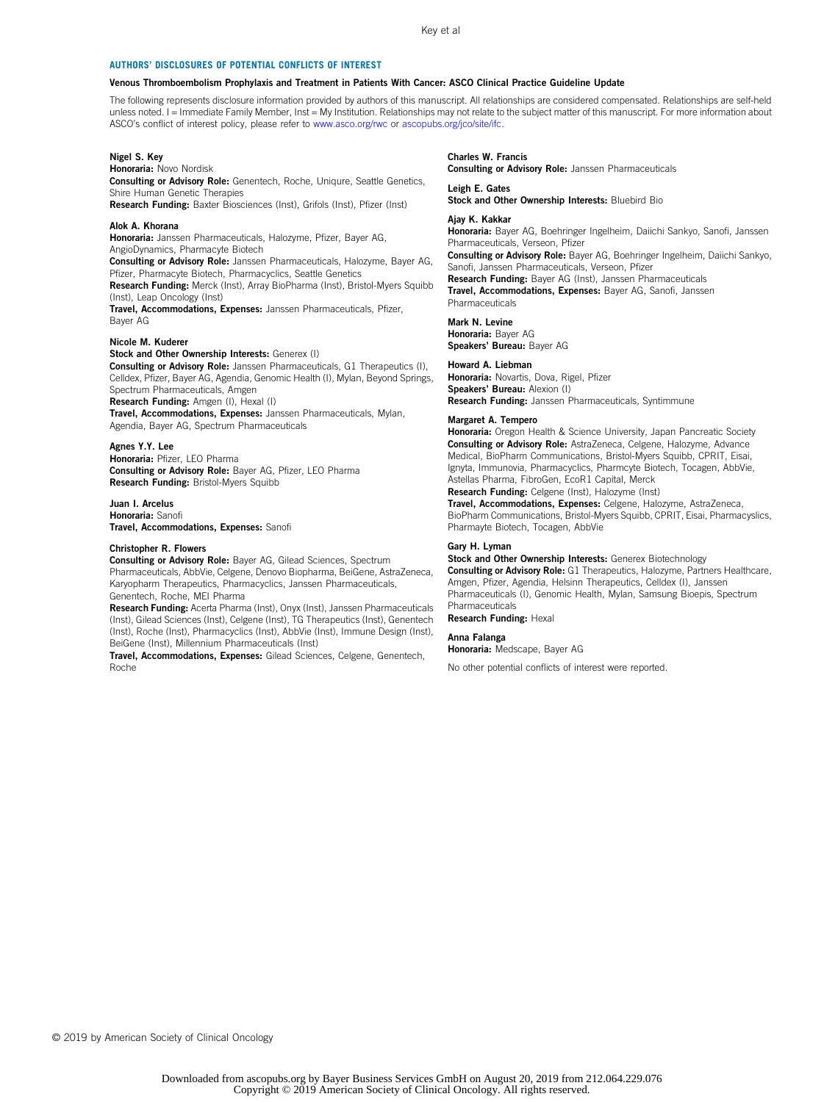#### AUTHORS' DISCLOSURES OF POTENTIAL CONFLICTS OF INTEREST

#### Venous Thromboembolism Prophylaxis and Treatment in Patients With Cancer: ASCO Clinical Practice Guideline Update

The following represents disclosure information provided by authors of this manuscript. All relationships are considered compensated. Relationships are self-held unless noted. I = Immediate Family Member, Inst = My Institution. Relationships may not relate to the subject matter of this manuscript. For more information about ASCO's conflict of interest policy, please refer to [www.asco.org/rwc](http://www.asco.org/rwc) or [ascopubs.org/jco/site/ifc](https://ascopubs.org/jco/site/ifc).

#### Nigel S. Key

#### Honoraria: Novo Nordisk

Consulting or Advisory Role: Genentech, Roche, Uniqure, Seattle Genetics, Shire Human Genetic Therapies

Research Funding: Baxter Biosciences (Inst), Grifols (Inst), Pfizer (Inst)

### Alok A. Khorana

Honoraria: Janssen Pharmaceuticals, Halozyme, Pfizer, Bayer AG, AngioDynamics, Pharmacyte Biotech

Consulting or Advisory Role: Janssen Pharmaceuticals, Halozyme, Bayer AG, Pfizer, Pharmacyte Biotech, Pharmacyclics, Seattle Genetics Research Funding: Merck (Inst), Array BioPharma (Inst), Bristol-Myers Squibb

(Inst), Leap Oncology (Inst)

Travel, Accommodations, Expenses: Janssen Pharmaceuticals, Pfizer, Bayer AG

#### Nicole M. Kuderer

Stock and Other Ownership Interests: Generex (I)

Consulting or Advisory Role: Janssen Pharmaceuticals, G1 Therapeutics (I), Celldex, Pfizer, Bayer AG, Agendia, Genomic Health (I), Mylan, Beyond Springs, Spectrum Pharmaceuticals, Amgen

Research Funding: Amgen (I), Hexal (I)

Travel, Accommodations, Expenses: Janssen Pharmaceuticals, Mylan, Agendia, Bayer AG, Spectrum Pharmaceuticals

#### Agnes Y.Y. Lee

Honoraria: Pfizer, LEO Pharma Consulting or Advisory Role: Bayer AG, Pfizer, LEO Pharma Research Funding: Bristol-Myers Squibb

#### Juan I. Arcelus

Honoraria: Sanofi Travel, Accommodations, Expenses: Sanofi

#### Christopher R. Flowers

Consulting or Advisory Role: Bayer AG, Gilead Sciences, Spectrum Pharmaceuticals, AbbVie, Celgene, Denovo Biopharma, BeiGene, AstraZeneca, Karyopharm Therapeutics, Pharmacyclics, Janssen Pharmaceuticals, Genentech, Roche, MEI Pharma

Research Funding: Acerta Pharma (Inst), Onyx (Inst), Janssen Pharmaceuticals (Inst), Gilead Sciences (Inst), Celgene (Inst), TG Therapeutics (Inst), Genentech (Inst), Roche (Inst), Pharmacyclics (Inst), AbbVie (Inst), Immune Design (Inst), BeiGene (Inst), Millennium Pharmaceuticals (Inst)

Travel, Accommodations, Expenses: Gilead Sciences, Celgene, Genentech, Roche

#### Charles W. Francis

Consulting or Advisory Role: Janssen Pharmaceuticals

#### Leigh E. Gates Stock and Other Ownership Interests: Bluebird Bio

#### Ajay K. Kakkar

Honoraria: Bayer AG, Boehringer Ingelheim, Daiichi Sankyo, Sanofi, Janssen Pharmaceuticals, Verseon, Pfizer Consulting or Advisory Role: Bayer AG, Boehringer Ingelheim, Daiichi Sankyo,

Sanofi, Janssen Pharmaceuticals, Verseon, Pfizer Research Funding: Bayer AG (Inst), Janssen Pharmaceuticals Travel, Accommodations, Expenses: Bayer AG, Sanofi, Janssen **Pharmaceuticals** 

#### Mark N. Levine

Honoraria: Bayer AG Speakers' Bureau: Bayer AG

#### Howard A. Liebman

Honoraria: Novartis, Dova, Rigel, Pfizer Speakers' Bureau: Alexion (I) Research Funding: Janssen Pharmaceuticals, Syntimmune

#### Margaret A. Tempero

Honoraria: Oregon Health & Science University, Japan Pancreatic Society Consulting or Advisory Role: AstraZeneca, Celgene, Halozyme, Advance Medical, BioPharm Communications, Bristol-Myers Squibb, CPRIT, Eisai, Ignyta, Immunovia, Pharmacyclics, Pharmcyte Biotech, Tocagen, AbbVie, Astellas Pharma, FibroGen, EcoR1 Capital, Merck Research Funding: Celgene (Inst), Halozyme (Inst)

Travel, Accommodations, Expenses: Celgene, Halozyme, AstraZeneca, BioPharm Communications, Bristol-Myers Squibb, CPRIT, Eisai, Pharmacyslics, Pharmayte Biotech, Tocagen, AbbVie

#### Gary H. Lyman

Stock and Other Ownership Interests: Generex Biotechnology Consulting or Advisory Role: G1 Therapeutics, Halozyme, Partners Healthcare, Amgen, Pfizer, Agendia, Helsinn Therapeutics, Celldex (I), Janssen Pharmaceuticals (I), Genomic Health, Mylan, Samsung Bioepis, Spectrum Pharmaceuticals

Research Funding: Hexal

#### Anna Falanga

Honoraria: Medscape, Bayer AG

No other potential conflicts of interest were reported.